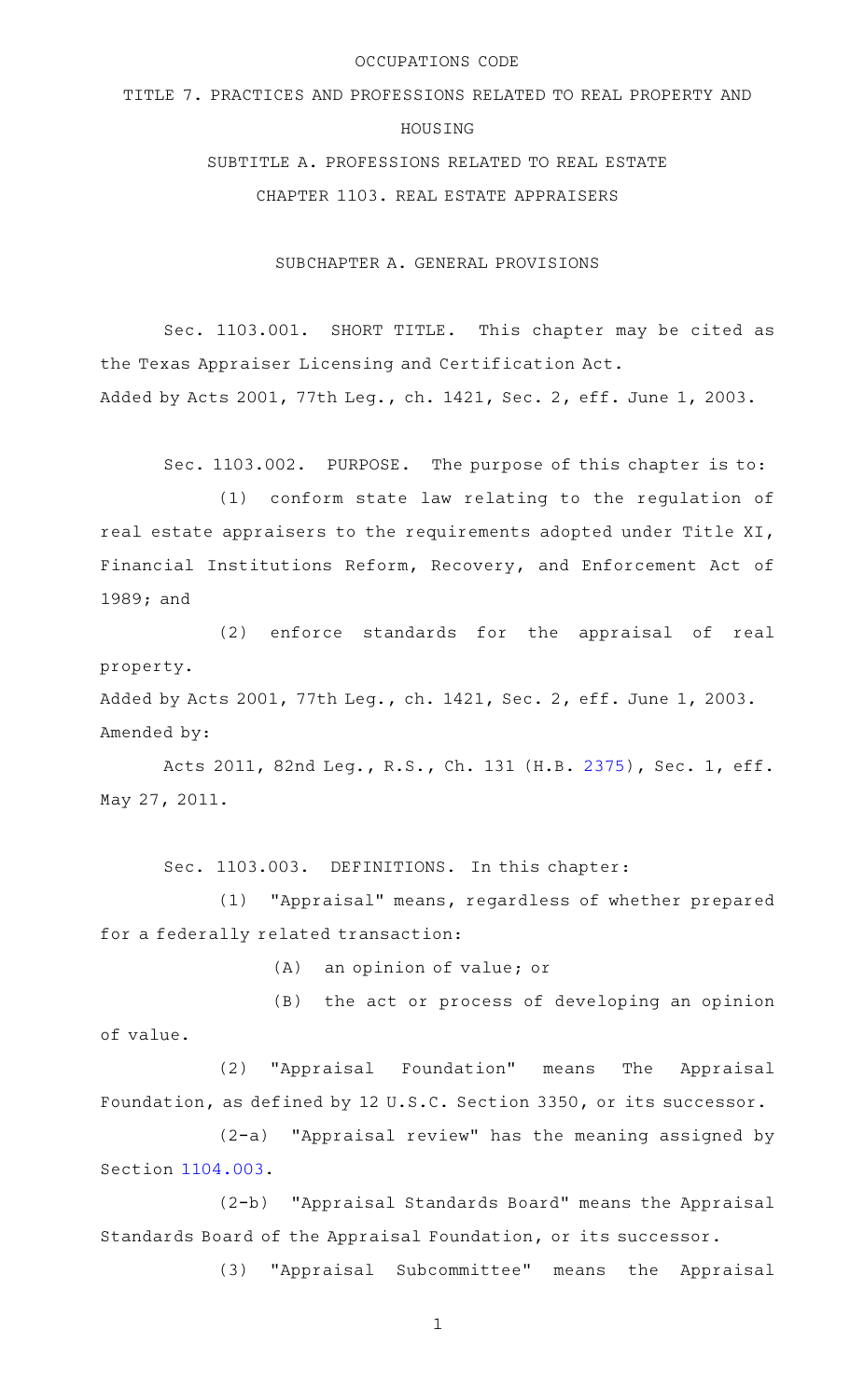#### OCCUPATIONS CODE

# TITLE 7. PRACTICES AND PROFESSIONS RELATED TO REAL PROPERTY AND HOUSING

SUBTITLE A. PROFESSIONS RELATED TO REAL ESTATE

CHAPTER 1103. REAL ESTATE APPRAISERS

SUBCHAPTER A. GENERAL PROVISIONS

Sec. 1103.001. SHORT TITLE. This chapter may be cited as the Texas Appraiser Licensing and Certification Act. Added by Acts 2001, 77th Leg., ch. 1421, Sec. 2, eff. June 1, 2003.

Sec. 1103.002. PURPOSE. The purpose of this chapter is to:

(1) conform state law relating to the regulation of real estate appraisers to the requirements adopted under Title XI, Financial Institutions Reform, Recovery, and Enforcement Act of 1989; and

(2) enforce standards for the appraisal of real property.

Added by Acts 2001, 77th Leg., ch. 1421, Sec. 2, eff. June 1, 2003. Amended by:

Acts 2011, 82nd Leg., R.S., Ch. 131 (H.B. [2375](http://www.legis.state.tx.us/tlodocs/82R/billtext/html/HB02375F.HTM)), Sec. 1, eff. May 27, 2011.

Sec. 1103.003. DEFINITIONS. In this chapter:

(1) "Appraisal" means, regardless of whether prepared for a federally related transaction:

 $(A)$  an opinion of value; or

(B) the act or process of developing an opinion of value.

(2) "Appraisal Foundation" means The Appraisal Foundation, as defined by 12 U.S.C. Section 3350, or its successor.

 $(2-a)$  "Appraisal review" has the meaning assigned by Section [1104.003](http://www.statutes.legis.state.tx.us/GetStatute.aspx?Code=OC&Value=1104.003).

(2-b) "Appraisal Standards Board" means the Appraisal Standards Board of the Appraisal Foundation, or its successor.

(3) "Appraisal Subcommittee" means the Appraisal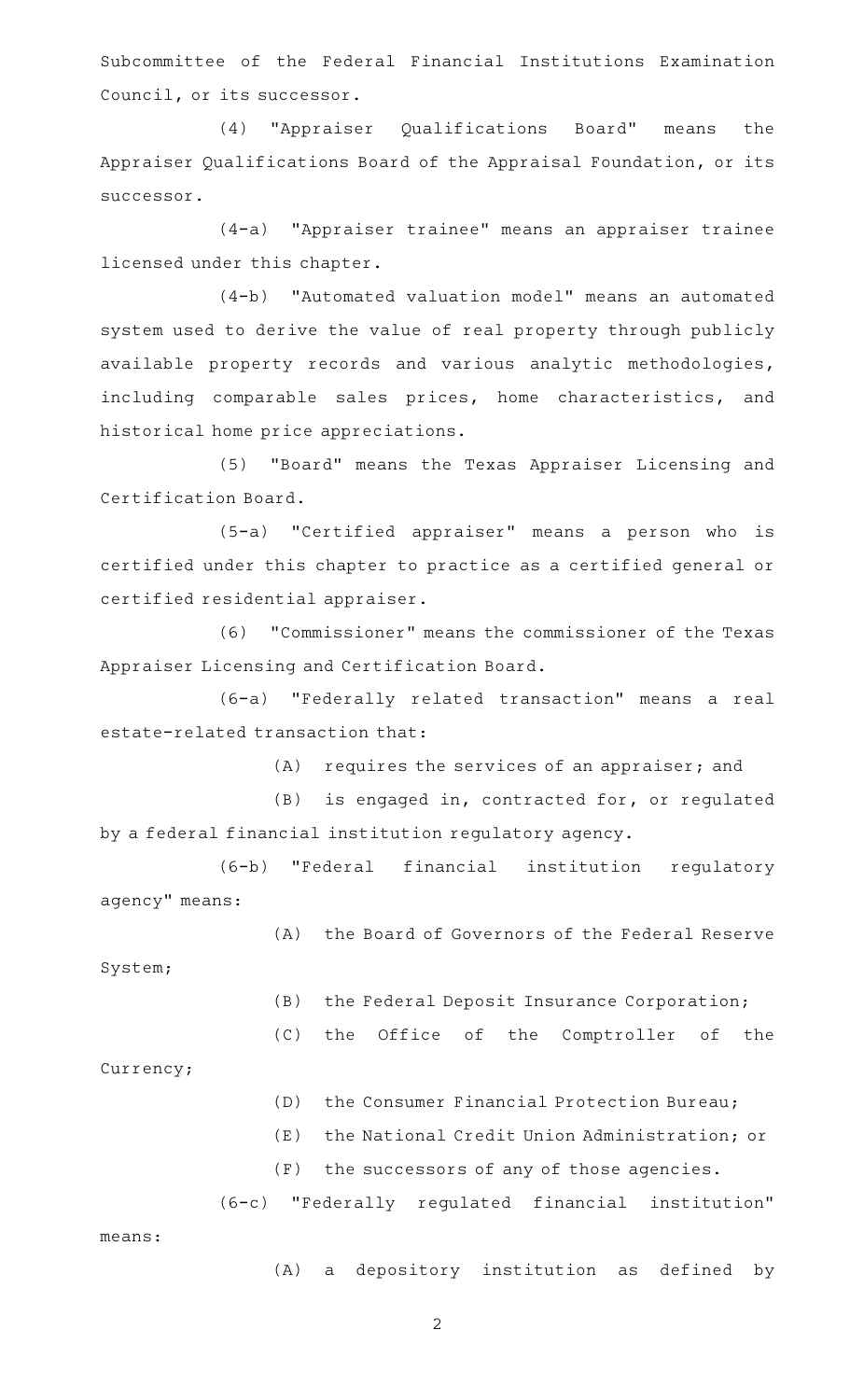Subcommittee of the Federal Financial Institutions Examination Council, or its successor.

(4) "Appraiser Qualifications Board" means the Appraiser Qualifications Board of the Appraisal Foundation, or its successor.

(4-a) "Appraiser trainee" means an appraiser trainee licensed under this chapter.

(4-b) "Automated valuation model" means an automated system used to derive the value of real property through publicly available property records and various analytic methodologies, including comparable sales prices, home characteristics, and historical home price appreciations.

(5) "Board" means the Texas Appraiser Licensing and Certification Board.

(5-a) "Certified appraiser" means a person who is certified under this chapter to practice as a certified general or certified residential appraiser.

(6)AA"Commissioner" means the commissioner of the Texas Appraiser Licensing and Certification Board.

(6-a) "Federally related transaction" means a real estate-related transaction that:

 $(A)$  requires the services of an appraiser; and

(B) is engaged in, contracted for, or regulated by a federal financial institution regulatory agency.

(6-b) "Federal financial institution regulatory agency" means:

(A) the Board of Governors of the Federal Reserve

System;

(B) the Federal Deposit Insurance Corporation;

(C) the Office of the Comptroller of the

Currency;

(D) the Consumer Financial Protection Bureau;

(E) the National Credit Union Administration; or

 $(F)$  the successors of any of those agencies.

(6-c)AA"Federally regulated financial institution" means:

(A) a depository institution as defined by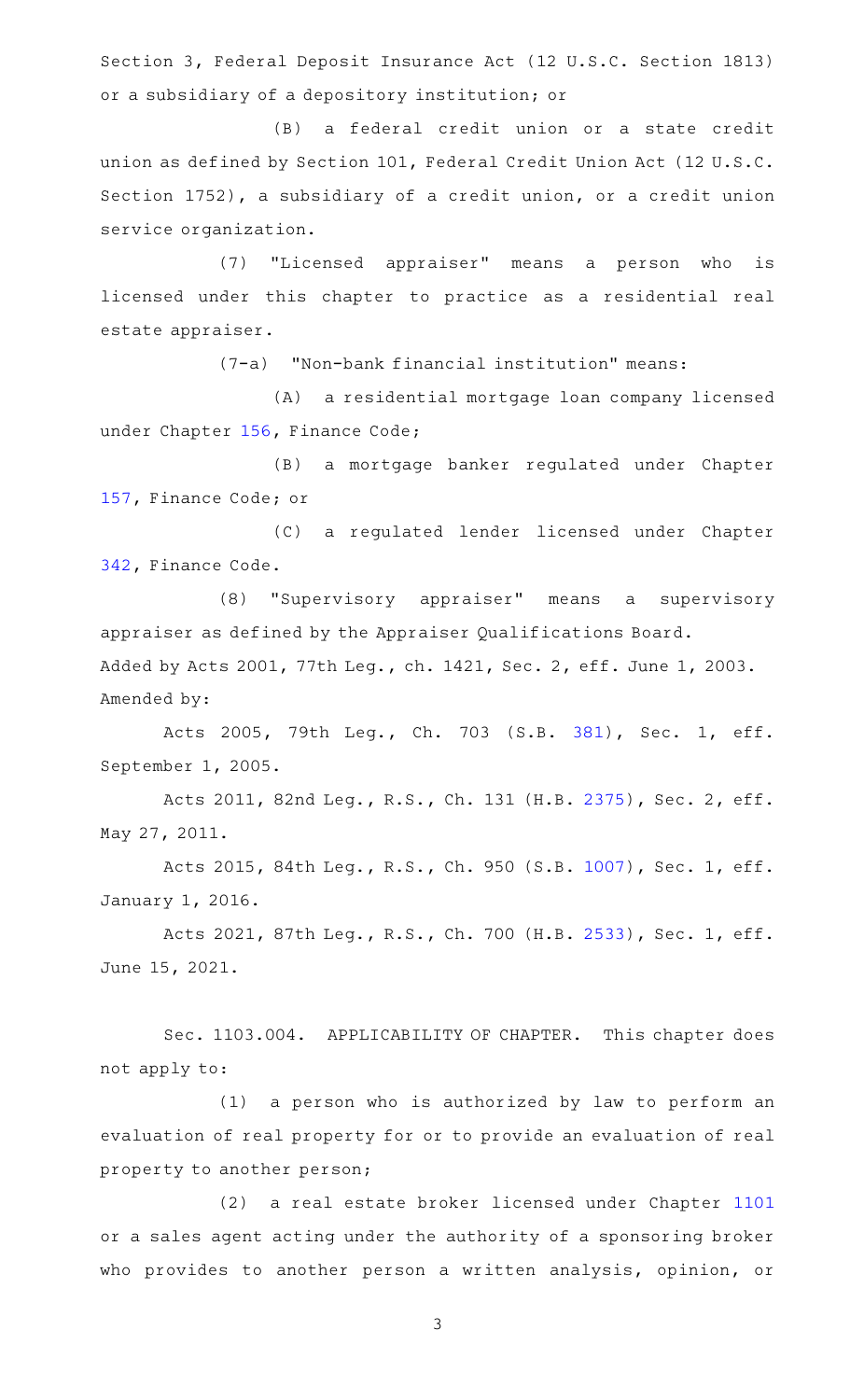Section 3, Federal Deposit Insurance Act (12 U.S.C. Section 1813) or a subsidiary of a depository institution; or

(B) a federal credit union or a state credit union as defined by Section 101, Federal Credit Union Act (12 U.S.C. Section 1752), a subsidiary of a credit union, or a credit union service organization.

(7) "Licensed appraiser" means a person who is licensed under this chapter to practice as a residential real estate appraiser.

 $(7-a)$  "Non-bank financial institution" means:

(A) a residential mortgage loan company licensed under Chapter [156](http://www.statutes.legis.state.tx.us/GetStatute.aspx?Code=FI&Value=156), Finance Code;

(B) a mortgage banker regulated under Chapter [157,](http://www.statutes.legis.state.tx.us/GetStatute.aspx?Code=FI&Value=157) Finance Code; or

(C) a regulated lender licensed under Chapter [342,](http://www.statutes.legis.state.tx.us/GetStatute.aspx?Code=FI&Value=342) Finance Code.

(8) "Supervisory appraiser" means a supervisory appraiser as defined by the Appraiser Qualifications Board. Added by Acts 2001, 77th Leg., ch. 1421, Sec. 2, eff. June 1, 2003. Amended by:

Acts 2005, 79th Leg., Ch. 703 (S.B. [381\)](http://www.legis.state.tx.us/tlodocs/79R/billtext/html/SB00381F.HTM), Sec. 1, eff. September 1, 2005.

Acts 2011, 82nd Leg., R.S., Ch. 131 (H.B. [2375](http://www.legis.state.tx.us/tlodocs/82R/billtext/html/HB02375F.HTM)), Sec. 2, eff. May 27, 2011.

Acts 2015, 84th Leg., R.S., Ch. 950 (S.B. [1007](http://www.legis.state.tx.us/tlodocs/84R/billtext/html/SB01007F.HTM)), Sec. 1, eff. January 1, 2016.

Acts 2021, 87th Leg., R.S., Ch. 700 (H.B. [2533](http://www.legis.state.tx.us/tlodocs/87R/billtext/html/HB02533F.HTM)), Sec. 1, eff. June 15, 2021.

Sec. 1103.004. APPLICABILITY OF CHAPTER. This chapter does not apply to:

(1) a person who is authorized by law to perform an evaluation of real property for or to provide an evaluation of real property to another person;

(2) a real estate broker licensed under Chapter [1101](http://www.statutes.legis.state.tx.us/GetStatute.aspx?Code=OC&Value=1101) or a sales agent acting under the authority of a sponsoring broker who provides to another person a written analysis, opinion, or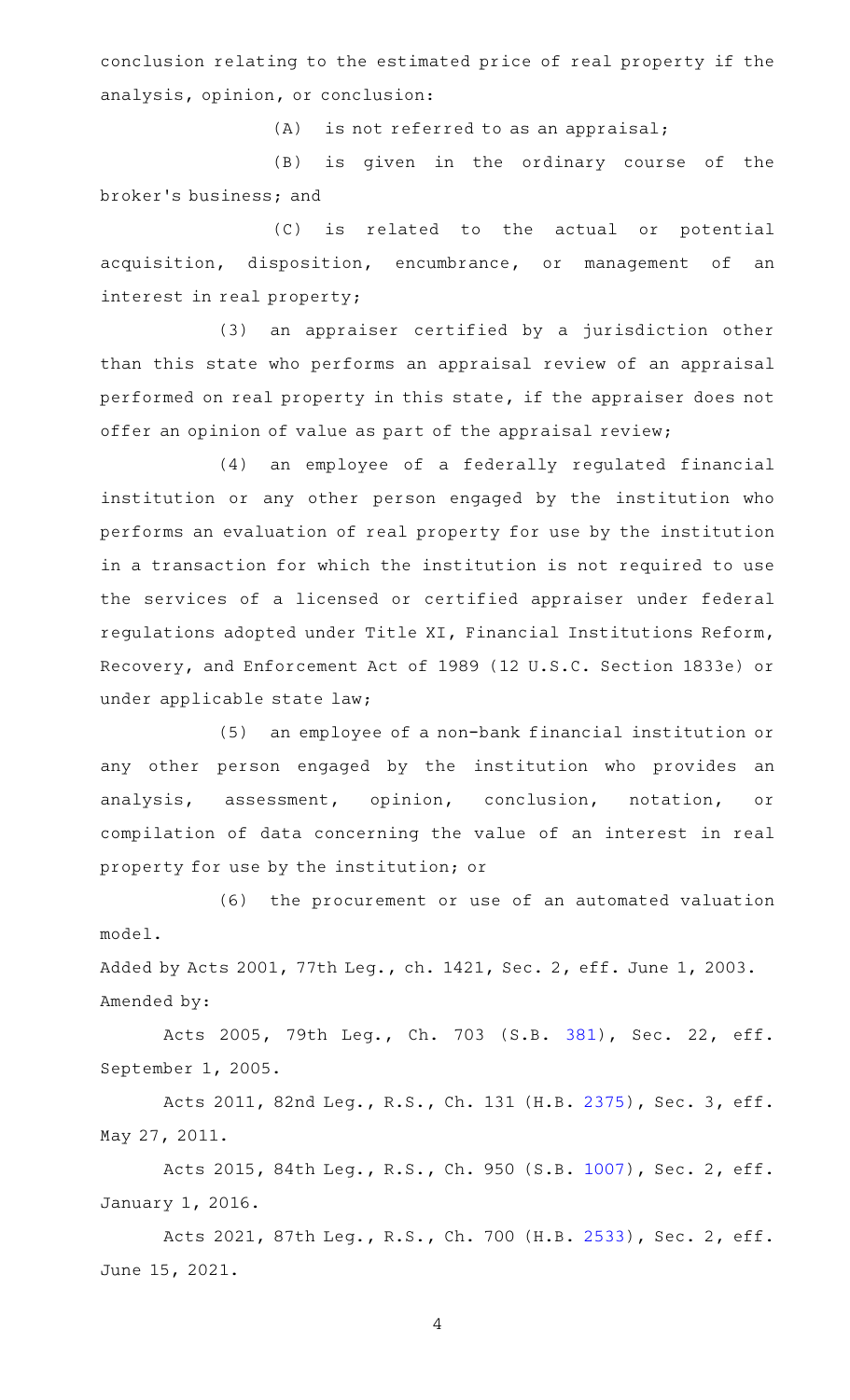conclusion relating to the estimated price of real property if the analysis, opinion, or conclusion:

 $(A)$  is not referred to as an appraisal;

(B) is given in the ordinary course of the broker 's business; and

(C) is related to the actual or potential acquisition, disposition, encumbrance, or management of an interest in real property;

(3) an appraiser certified by a jurisdiction other than this state who performs an appraisal review of an appraisal performed on real property in this state, if the appraiser does not offer an opinion of value as part of the appraisal review;

(4) an employee of a federally regulated financial institution or any other person engaged by the institution who performs an evaluation of real property for use by the institution in a transaction for which the institution is not required to use the services of a licensed or certified appraiser under federal regulations adopted under Title XI, Financial Institutions Reform, Recovery, and Enforcement Act of 1989 (12 U.S.C. Section 1833e) or under applicable state law;

(5) an employee of a non-bank financial institution or any other person engaged by the institution who provides an analysis, assessment, opinion, conclusion, notation, or compilation of data concerning the value of an interest in real property for use by the institution; or

(6) the procurement or use of an automated valuation model.

Added by Acts 2001, 77th Leg., ch. 1421, Sec. 2, eff. June 1, 2003. Amended by:

Acts 2005, 79th Leg., Ch. 703 (S.B. [381\)](http://www.legis.state.tx.us/tlodocs/79R/billtext/html/SB00381F.HTM), Sec. 22, eff. September 1, 2005.

Acts 2011, 82nd Leg., R.S., Ch. 131 (H.B. [2375](http://www.legis.state.tx.us/tlodocs/82R/billtext/html/HB02375F.HTM)), Sec. 3, eff. May 27, 2011.

Acts 2015, 84th Leg., R.S., Ch. 950 (S.B. [1007](http://www.legis.state.tx.us/tlodocs/84R/billtext/html/SB01007F.HTM)), Sec. 2, eff. January 1, 2016.

Acts 2021, 87th Leg., R.S., Ch. 700 (H.B. [2533](http://www.legis.state.tx.us/tlodocs/87R/billtext/html/HB02533F.HTM)), Sec. 2, eff. June 15, 2021.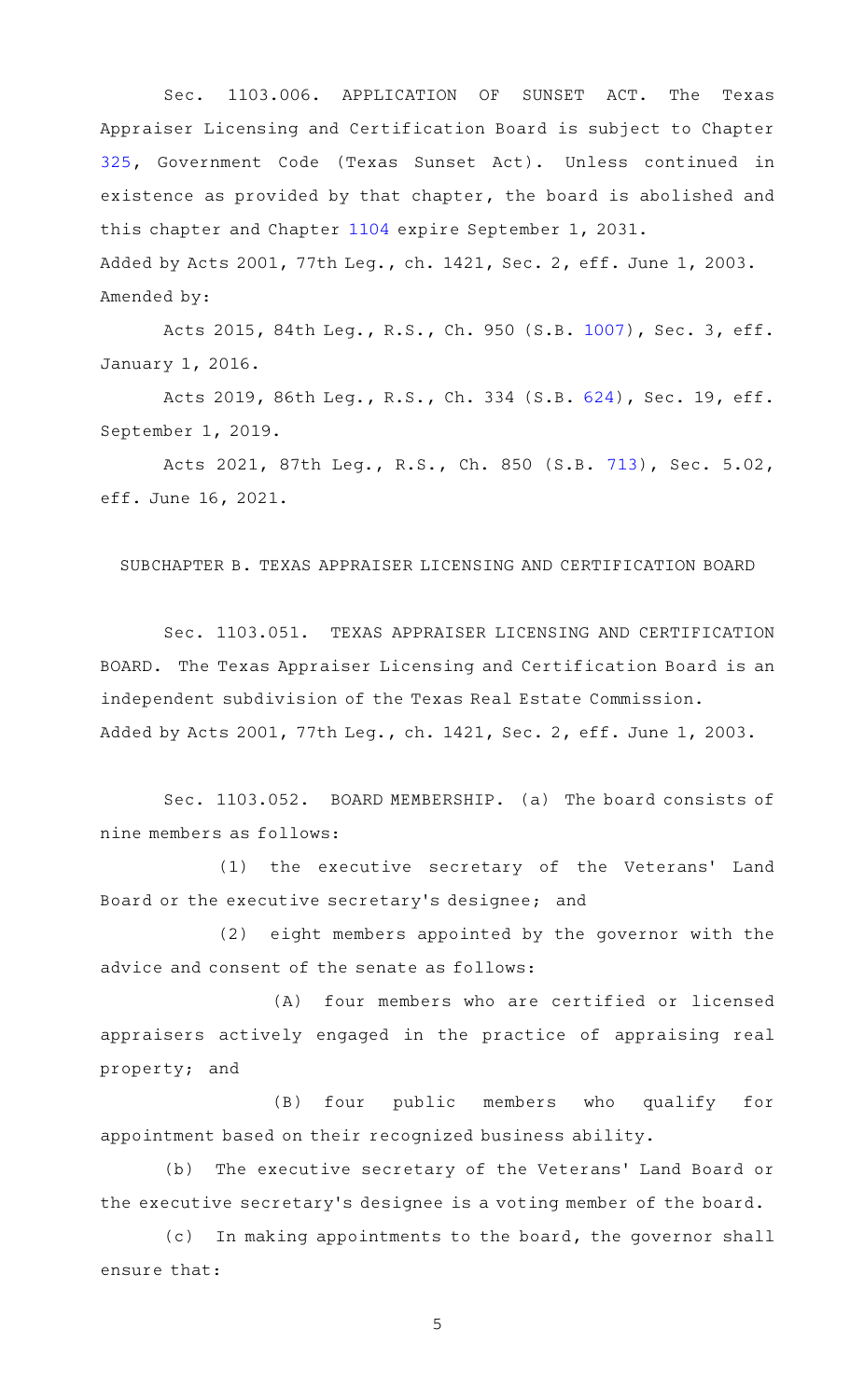Sec. 1103.006. APPLICATION OF SUNSET ACT. The Texas Appraiser Licensing and Certification Board is subject to Chapter [325,](http://www.statutes.legis.state.tx.us/GetStatute.aspx?Code=GV&Value=325) Government Code (Texas Sunset Act). Unless continued in existence as provided by that chapter, the board is abolished and this chapter and Chapter [1104](http://www.statutes.legis.state.tx.us/GetStatute.aspx?Code=OC&Value=1104) expire September 1, 2031. Added by Acts 2001, 77th Leg., ch. 1421, Sec. 2, eff. June 1, 2003. Amended by:

Acts 2015, 84th Leg., R.S., Ch. 950 (S.B. [1007](http://www.legis.state.tx.us/tlodocs/84R/billtext/html/SB01007F.HTM)), Sec. 3, eff. January 1, 2016.

Acts 2019, 86th Leg., R.S., Ch. 334 (S.B. [624\)](http://www.legis.state.tx.us/tlodocs/86R/billtext/html/SB00624F.HTM), Sec. 19, eff. September 1, 2019.

Acts 2021, 87th Leg., R.S., Ch. 850 (S.B. [713](http://www.legis.state.tx.us/tlodocs/87R/billtext/html/SB00713F.HTM)), Sec. 5.02, eff. June 16, 2021.

SUBCHAPTER B. TEXAS APPRAISER LICENSING AND CERTIFICATION BOARD

Sec. 1103.051. TEXAS APPRAISER LICENSING AND CERTIFICATION BOARD. The Texas Appraiser Licensing and Certification Board is an independent subdivision of the Texas Real Estate Commission. Added by Acts 2001, 77th Leg., ch. 1421, Sec. 2, eff. June 1, 2003.

Sec. 1103.052. BOARD MEMBERSHIP. (a) The board consists of nine members as follows:

(1) the executive secretary of the Veterans' Land Board or the executive secretary 's designee; and

(2) eight members appointed by the governor with the advice and consent of the senate as follows:

(A) four members who are certified or licensed appraisers actively engaged in the practice of appraising real property; and

(B) four public members who qualify for appointment based on their recognized business ability.

(b) The executive secretary of the Veterans' Land Board or the executive secretary 's designee is a voting member of the board.

(c) In making appointments to the board, the governor shall ensure that: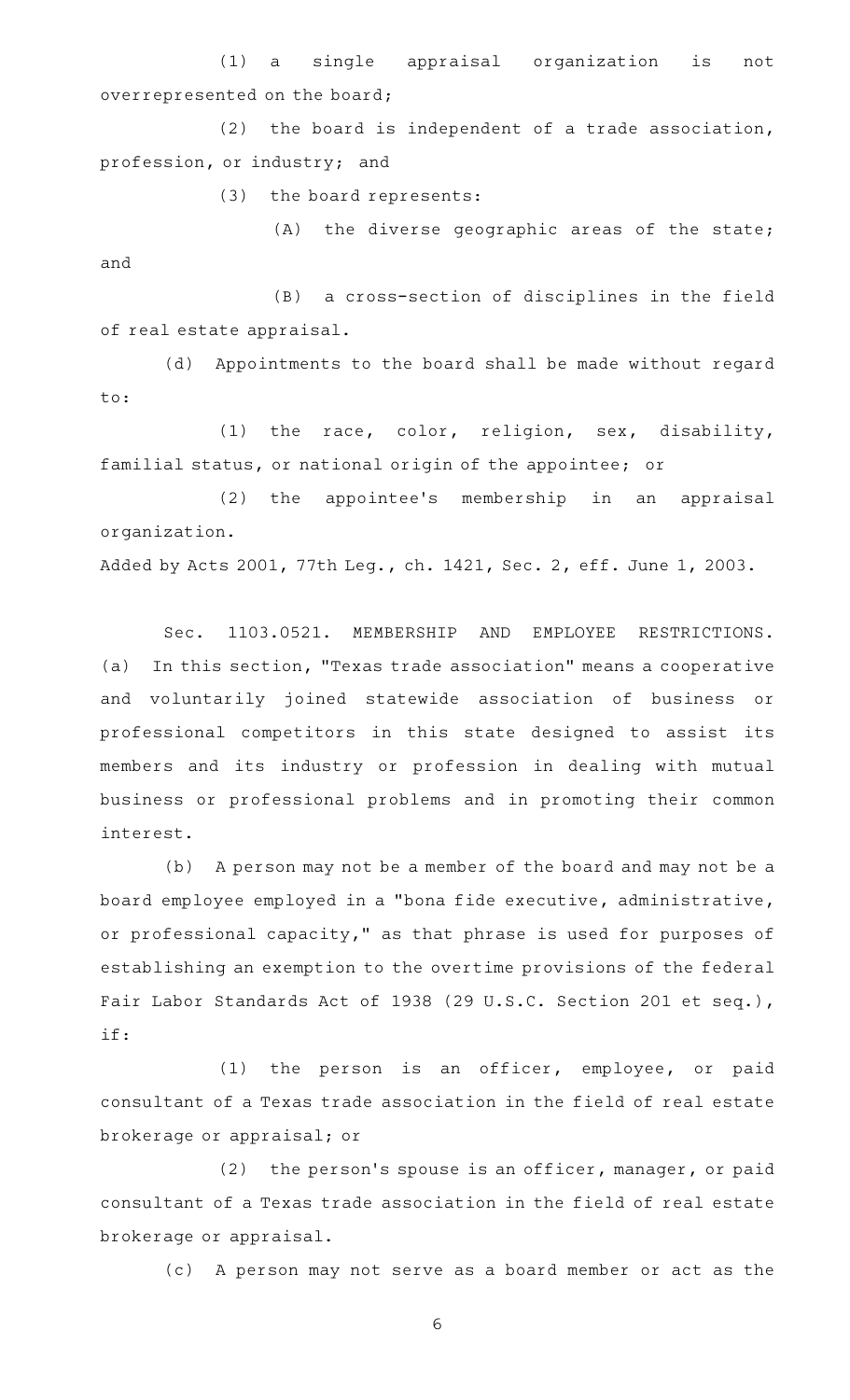(1) a single appraisal organization is not overrepresented on the board;

 $(2)$  the board is independent of a trade association, profession, or industry; and

(3) the board represents:

 $(A)$  the diverse geographic areas of the state; and

(B) a cross-section of disciplines in the field of real estate appraisal.

(d) Appointments to the board shall be made without regard to:

(1) the race, color, religion, sex, disability, familial status, or national origin of the appointee; or

(2) the appointee's membership in an appraisal organization.

Added by Acts 2001, 77th Leg., ch. 1421, Sec. 2, eff. June 1, 2003.

Sec. 1103.0521. MEMBERSHIP AND EMPLOYEE RESTRICTIONS. (a) In this section, "Texas trade association" means a cooperative and voluntarily joined statewide association of business or professional competitors in this state designed to assist its members and its industry or profession in dealing with mutual business or professional problems and in promoting their common interest.

(b) A person may not be a member of the board and may not be a board employee employed in a "bona fide executive, administrative, or professional capacity," as that phrase is used for purposes of establishing an exemption to the overtime provisions of the federal Fair Labor Standards Act of 1938 (29 U.S.C. Section 201 et seq.), if:

(1) the person is an officer, employee, or paid consultant of a Texas trade association in the field of real estate brokerage or appraisal; or

 $(2)$  the person's spouse is an officer, manager, or paid consultant of a Texas trade association in the field of real estate brokerage or appraisal.

(c) A person may not serve as a board member or act as the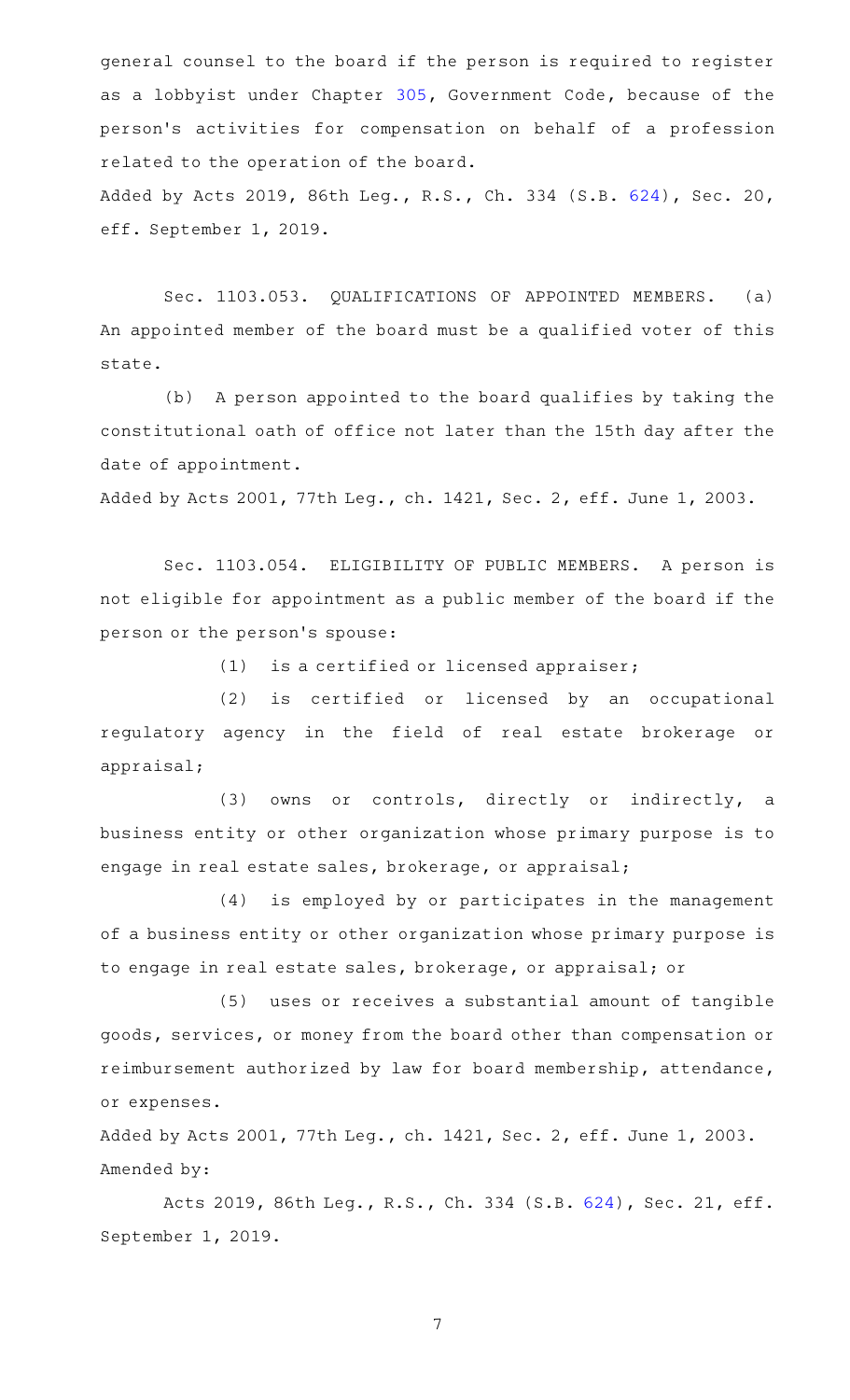general counsel to the board if the person is required to register as a lobbyist under Chapter [305](http://www.statutes.legis.state.tx.us/GetStatute.aspx?Code=GV&Value=305), Government Code, because of the person 's activities for compensation on behalf of a profession related to the operation of the board. Added by Acts 2019, 86th Leg., R.S., Ch. 334 (S.B. [624\)](http://www.legis.state.tx.us/tlodocs/86R/billtext/html/SB00624F.HTM), Sec. 20,

eff. September 1, 2019.

Sec. 1103.053. QUALIFICATIONS OF APPOINTED MEMBERS. (a) An appointed member of the board must be a qualified voter of this state.

(b) A person appointed to the board qualifies by taking the constitutional oath of office not later than the 15th day after the date of appointment.

Added by Acts 2001, 77th Leg., ch. 1421, Sec. 2, eff. June 1, 2003.

Sec. 1103.054. ELIGIBILITY OF PUBLIC MEMBERS. A person is not eligible for appointment as a public member of the board if the person or the person 's spouse:

 $(1)$  is a certified or licensed appraiser;

(2) is certified or licensed by an occupational regulatory agency in the field of real estate brokerage or appraisal;

(3) owns or controls, directly or indirectly, a business entity or other organization whose primary purpose is to engage in real estate sales, brokerage, or appraisal;

(4) is employed by or participates in the management of a business entity or other organization whose primary purpose is to engage in real estate sales, brokerage, or appraisal; or

(5) uses or receives a substantial amount of tangible goods, services, or money from the board other than compensation or reimbursement authorized by law for board membership, attendance, or expenses.

Added by Acts 2001, 77th Leg., ch. 1421, Sec. 2, eff. June 1, 2003. Amended by:

Acts 2019, 86th Leg., R.S., Ch. 334 (S.B. [624\)](http://www.legis.state.tx.us/tlodocs/86R/billtext/html/SB00624F.HTM), Sec. 21, eff. September 1, 2019.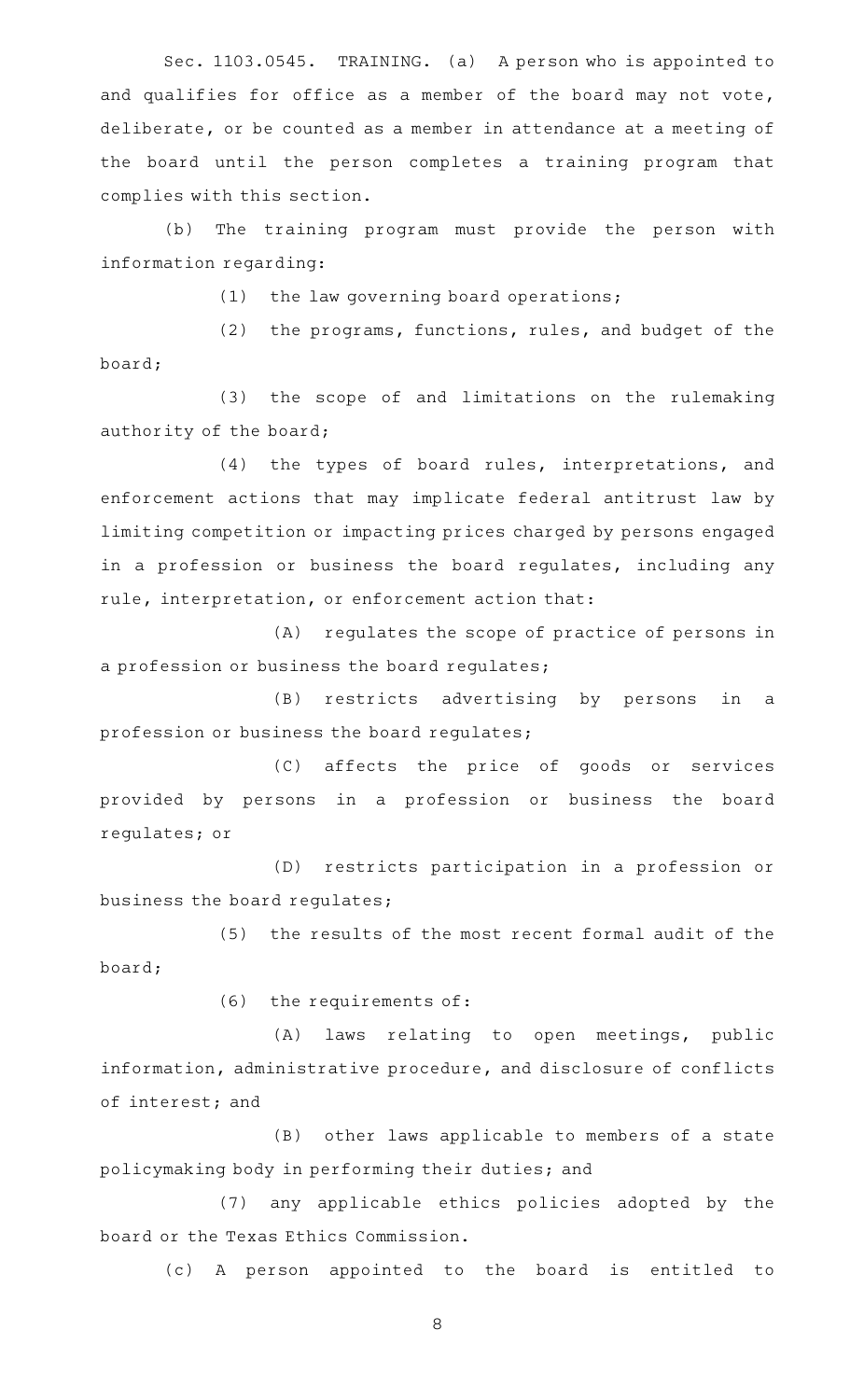Sec. 1103.0545. TRAINING. (a) A person who is appointed to and qualifies for office as a member of the board may not vote, deliberate, or be counted as a member in attendance at a meeting of the board until the person completes a training program that complies with this section.

(b) The training program must provide the person with information regarding:

 $(1)$  the law governing board operations;

 $(2)$  the programs, functions, rules, and budget of the board;

(3) the scope of and limitations on the rulemaking authority of the board;

(4) the types of board rules, interpretations, and enforcement actions that may implicate federal antitrust law by limiting competition or impacting prices charged by persons engaged in a profession or business the board regulates, including any rule, interpretation, or enforcement action that:

(A) regulates the scope of practice of persons in a profession or business the board regulates;

(B) restricts advertising by persons in a profession or business the board regulates;

(C) affects the price of goods or services provided by persons in a profession or business the board regulates; or

(D) restricts participation in a profession or business the board regulates;

(5) the results of the most recent formal audit of the board;

 $(6)$  the requirements of:

(A) laws relating to open meetings, public information, administrative procedure, and disclosure of conflicts of interest; and

(B) other laws applicable to members of a state policymaking body in performing their duties; and

(7) any applicable ethics policies adopted by the board or the Texas Ethics Commission.

(c)AAA person appointed to the board is entitled to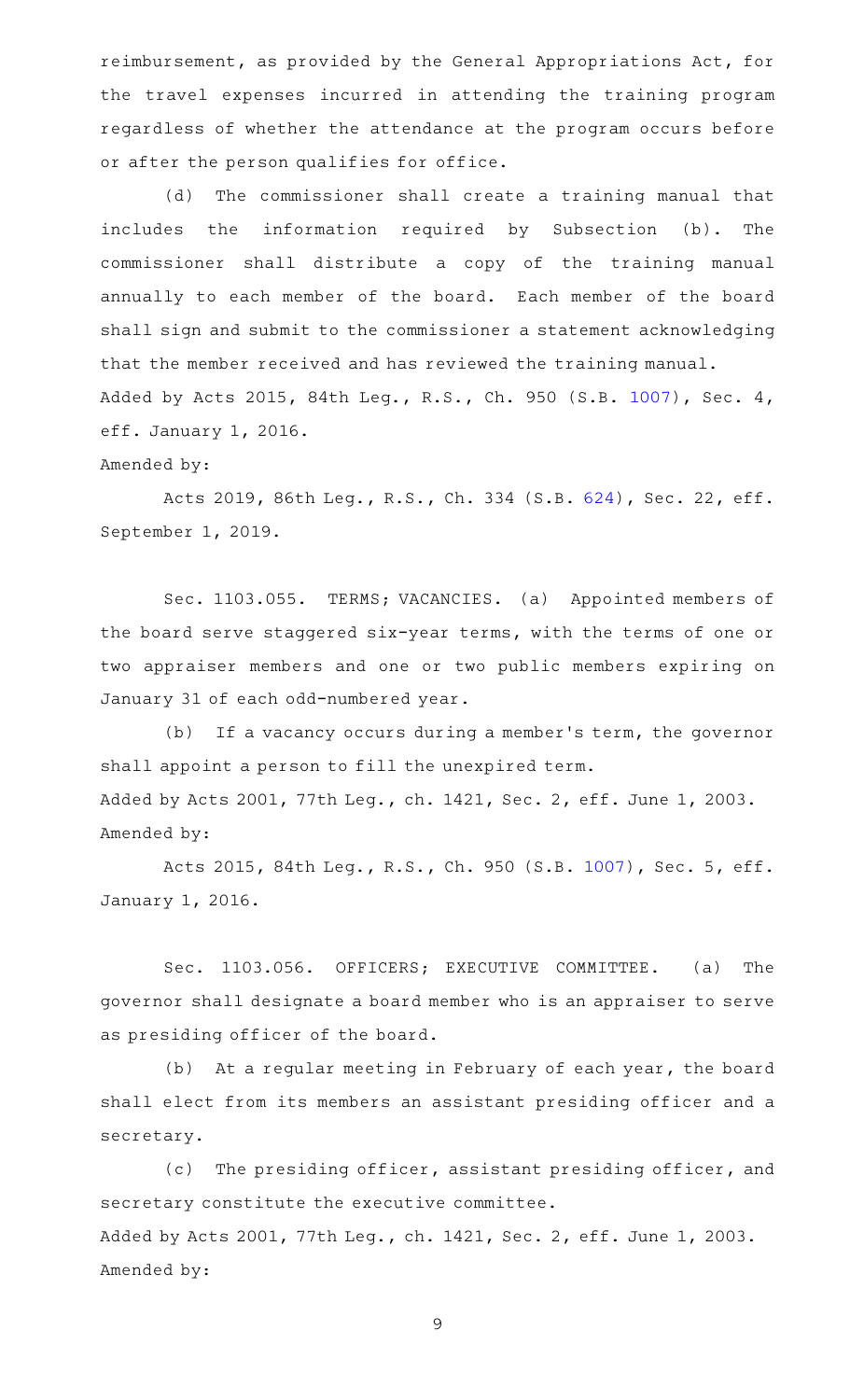reimbursement, as provided by the General Appropriations Act, for the travel expenses incurred in attending the training program regardless of whether the attendance at the program occurs before or after the person qualifies for office.

(d) The commissioner shall create a training manual that includes the information required by Subsection (b). The commissioner shall distribute a copy of the training manual annually to each member of the board. Each member of the board shall sign and submit to the commissioner a statement acknowledging that the member received and has reviewed the training manual. Added by Acts 2015, 84th Leg., R.S., Ch. 950 (S.B. [1007](http://www.legis.state.tx.us/tlodocs/84R/billtext/html/SB01007F.HTM)), Sec. 4, eff. January 1, 2016.

#### Amended by:

Acts 2019, 86th Leg., R.S., Ch. 334 (S.B. [624\)](http://www.legis.state.tx.us/tlodocs/86R/billtext/html/SB00624F.HTM), Sec. 22, eff. September 1, 2019.

Sec. 1103.055. TERMS; VACANCIES. (a) Appointed members of the board serve staggered six-year terms, with the terms of one or two appraiser members and one or two public members expiring on January 31 of each odd-numbered year.

(b) If a vacancy occurs during a member's term, the governor shall appoint a person to fill the unexpired term. Added by Acts 2001, 77th Leg., ch. 1421, Sec. 2, eff. June 1, 2003. Amended by:

Acts 2015, 84th Leg., R.S., Ch. 950 (S.B. [1007](http://www.legis.state.tx.us/tlodocs/84R/billtext/html/SB01007F.HTM)), Sec. 5, eff. January 1, 2016.

Sec. 1103.056. OFFICERS; EXECUTIVE COMMITTEE. (a) The governor shall designate a board member who is an appraiser to serve as presiding officer of the board.

(b) At a regular meeting in February of each year, the board shall elect from its members an assistant presiding officer and a secretary.

(c) The presiding officer, assistant presiding officer, and secretary constitute the executive committee. Added by Acts 2001, 77th Leg., ch. 1421, Sec. 2, eff. June 1, 2003. Amended by: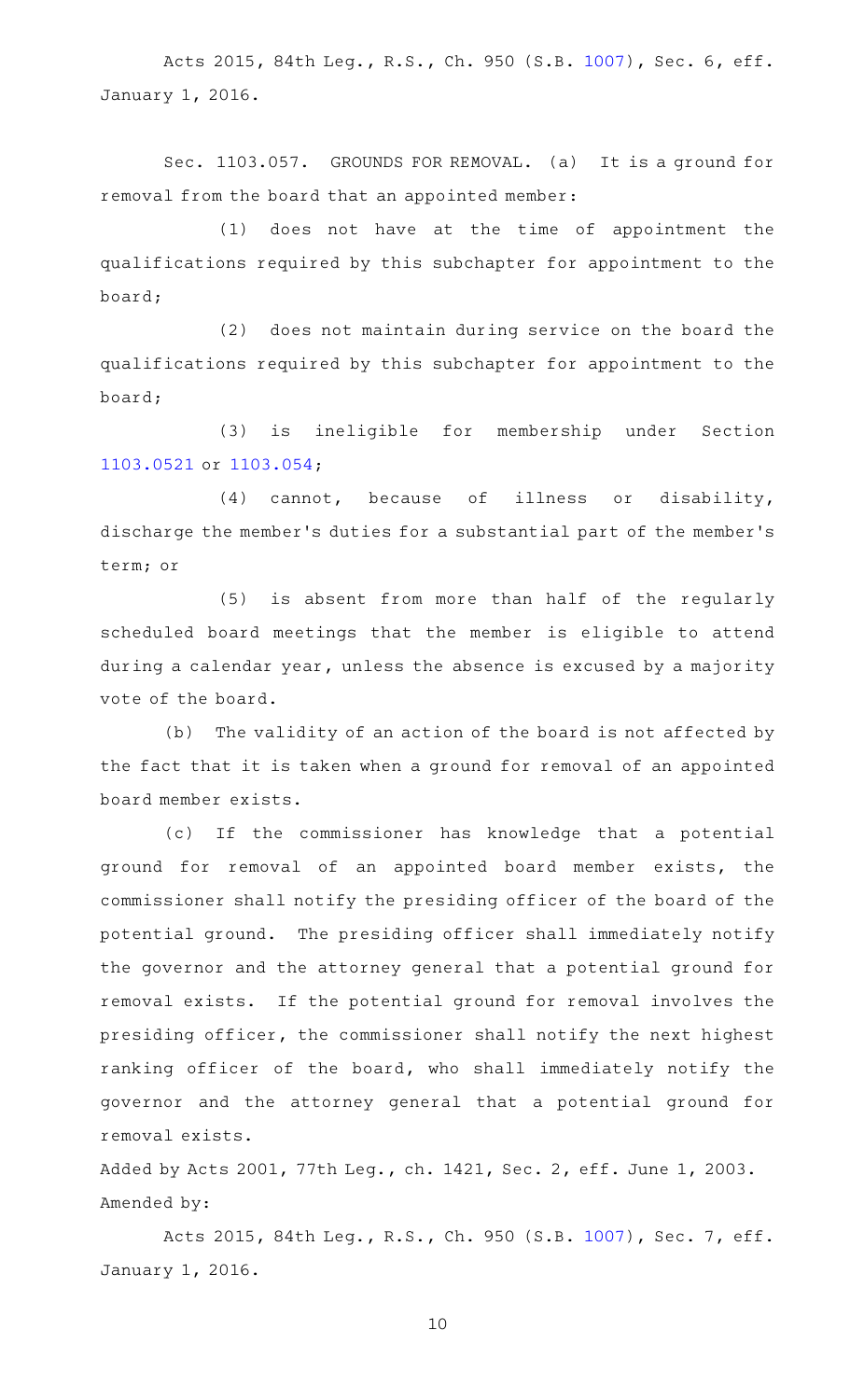Acts 2015, 84th Leg., R.S., Ch. 950 (S.B. [1007](http://www.legis.state.tx.us/tlodocs/84R/billtext/html/SB01007F.HTM)), Sec. 6, eff. January 1, 2016.

Sec. 1103.057. GROUNDS FOR REMOVAL. (a) It is a ground for removal from the board that an appointed member:

 $(1)$  does not have at the time of appointment the qualifications required by this subchapter for appointment to the board;

 $(2)$  does not maintain during service on the board the qualifications required by this subchapter for appointment to the board;

(3) is ineligible for membership under Section [1103.0521](http://www.statutes.legis.state.tx.us/GetStatute.aspx?Code=OC&Value=1103.0521) or [1103.054](http://www.statutes.legis.state.tx.us/GetStatute.aspx?Code=OC&Value=1103.054);

 $(4)$  cannot, because of illness or disability, discharge the member 's duties for a substantial part of the member 's term; or

(5) is absent from more than half of the regularly scheduled board meetings that the member is eligible to attend during a calendar year, unless the absence is excused by a majority vote of the board.

(b) The validity of an action of the board is not affected by the fact that it is taken when a ground for removal of an appointed board member exists.

(c) If the commissioner has knowledge that a potential ground for removal of an appointed board member exists, the commissioner shall notify the presiding officer of the board of the potential ground. The presiding officer shall immediately notify the governor and the attorney general that a potential ground for removal exists. If the potential ground for removal involves the presiding officer, the commissioner shall notify the next highest ranking officer of the board, who shall immediately notify the governor and the attorney general that a potential ground for removal exists.

Added by Acts 2001, 77th Leg., ch. 1421, Sec. 2, eff. June 1, 2003. Amended by:

Acts 2015, 84th Leg., R.S., Ch. 950 (S.B. [1007](http://www.legis.state.tx.us/tlodocs/84R/billtext/html/SB01007F.HTM)), Sec. 7, eff. January 1, 2016.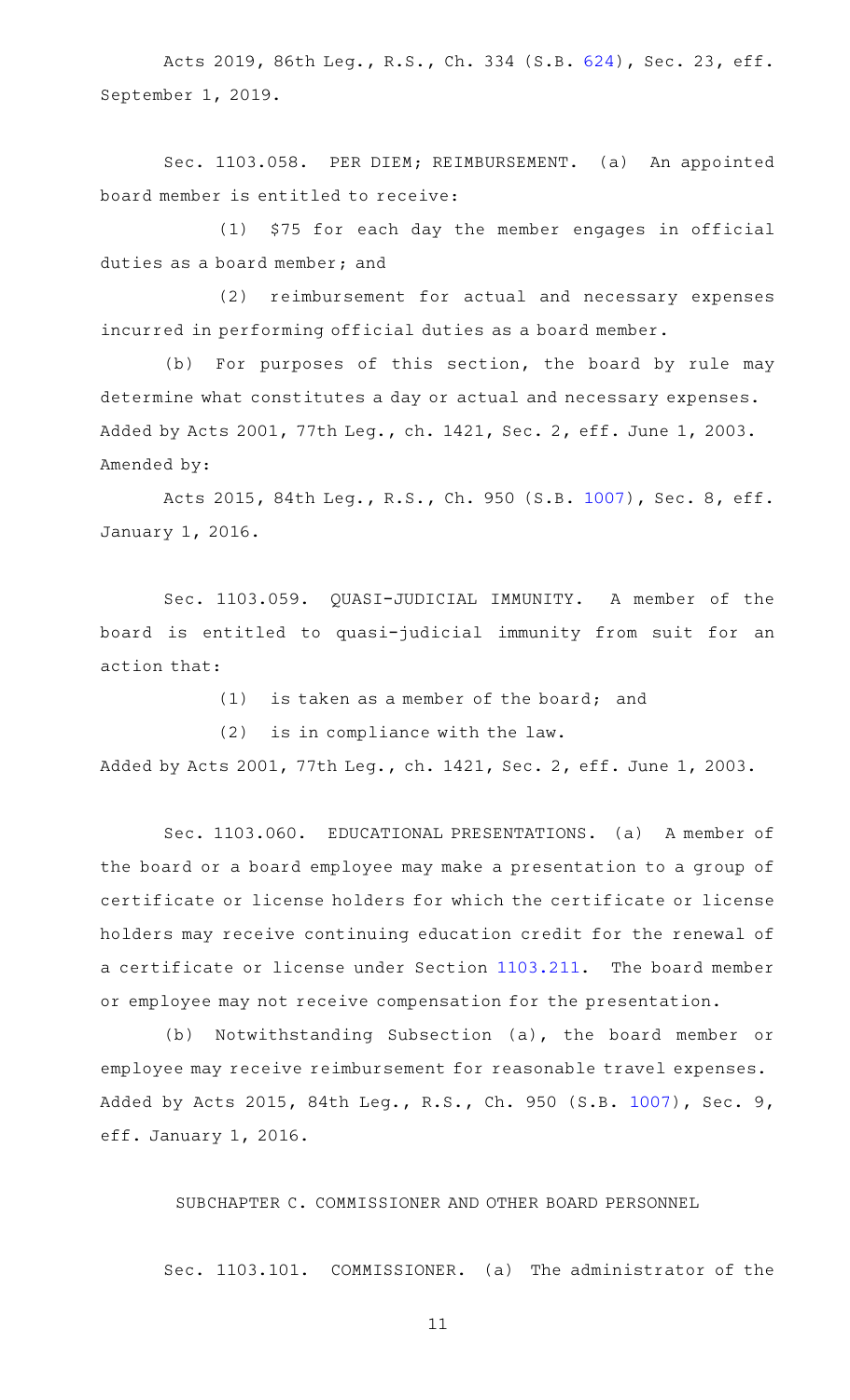Acts 2019, 86th Leg., R.S., Ch. 334 (S.B. [624\)](http://www.legis.state.tx.us/tlodocs/86R/billtext/html/SB00624F.HTM), Sec. 23, eff. September 1, 2019.

Sec. 1103.058. PER DIEM; REIMBURSEMENT. (a) An appointed board member is entitled to receive:

 $(1)$  \$75 for each day the member engages in official duties as a board member; and

(2) reimbursement for actual and necessary expenses incurred in performing official duties as a board member.

(b) For purposes of this section, the board by rule may determine what constitutes a day or actual and necessary expenses. Added by Acts 2001, 77th Leg., ch. 1421, Sec. 2, eff. June 1, 2003. Amended by:

Acts 2015, 84th Leg., R.S., Ch. 950 (S.B. [1007](http://www.legis.state.tx.us/tlodocs/84R/billtext/html/SB01007F.HTM)), Sec. 8, eff. January 1, 2016.

Sec. 1103.059. QUASI-JUDICIAL IMMUNITY. A member of the board is entitled to quasi-judicial immunity from suit for an action that:

 $(1)$  is taken as a member of the board; and

 $(2)$  is in compliance with the law.

Added by Acts 2001, 77th Leg., ch. 1421, Sec. 2, eff. June 1, 2003.

Sec. 1103.060. EDUCATIONAL PRESENTATIONS. (a) A member of the board or a board employee may make a presentation to a group of certificate or license holders for which the certificate or license holders may receive continuing education credit for the renewal of a certificate or license under Section [1103.211.](http://www.statutes.legis.state.tx.us/GetStatute.aspx?Code=OC&Value=1103.211) The board member or employee may not receive compensation for the presentation.

(b) Notwithstanding Subsection (a), the board member or employee may receive reimbursement for reasonable travel expenses. Added by Acts 2015, 84th Leg., R.S., Ch. 950 (S.B. [1007](http://www.legis.state.tx.us/tlodocs/84R/billtext/html/SB01007F.HTM)), Sec. 9, eff. January 1, 2016.

SUBCHAPTER C. COMMISSIONER AND OTHER BOARD PERSONNEL

Sec. 1103.101. COMMISSIONER. (a) The administrator of the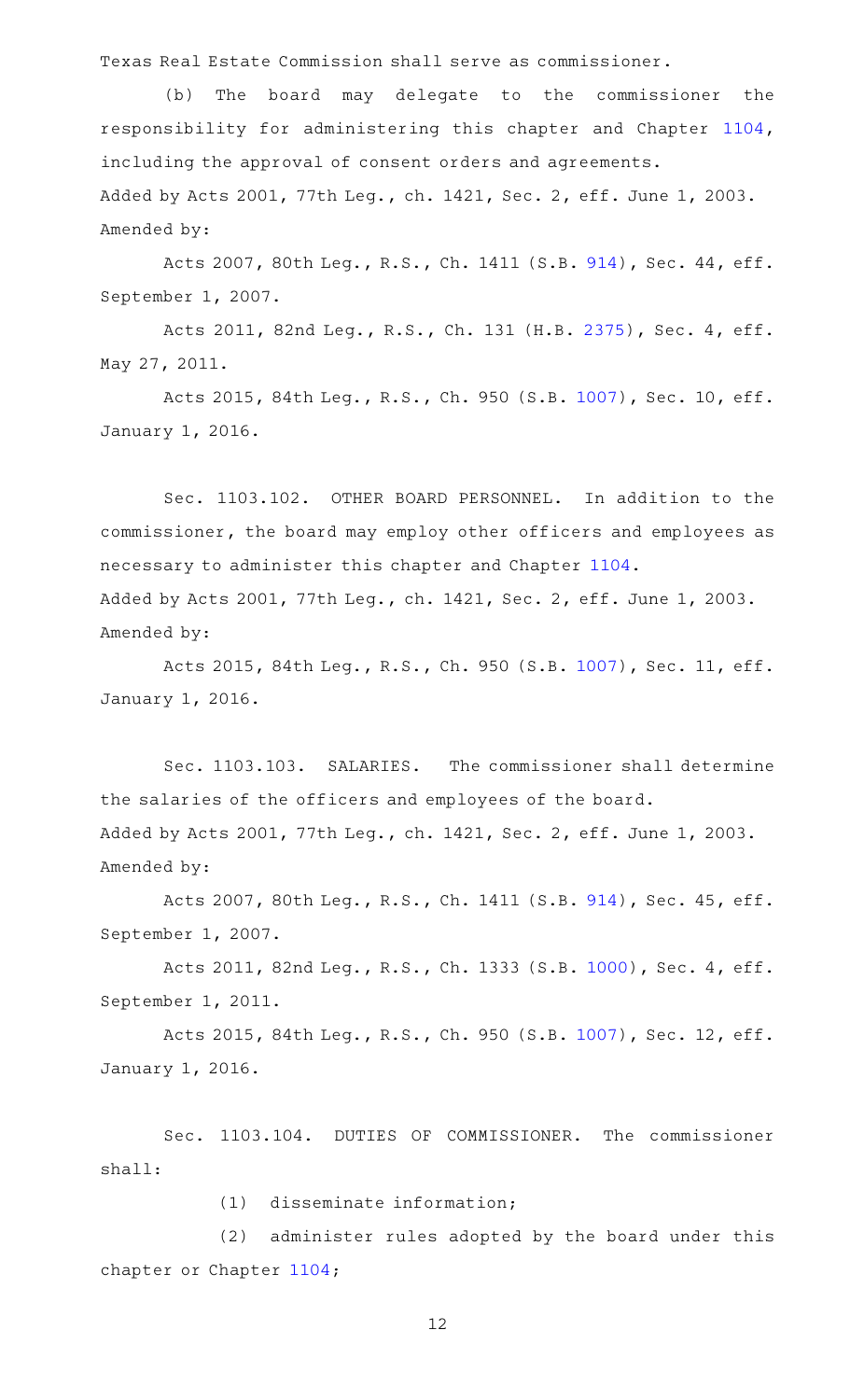Texas Real Estate Commission shall serve as commissioner.

(b) The board may delegate to the commissioner the responsibility for administering this chapter and Chapter [1104](http://www.statutes.legis.state.tx.us/GetStatute.aspx?Code=OC&Value=1104), including the approval of consent orders and agreements. Added by Acts 2001, 77th Leg., ch. 1421, Sec. 2, eff. June 1, 2003. Amended by:

Acts 2007, 80th Leg., R.S., Ch. 1411 (S.B. [914\)](http://www.legis.state.tx.us/tlodocs/80R/billtext/html/SB00914F.HTM), Sec. 44, eff. September 1, 2007.

Acts 2011, 82nd Leg., R.S., Ch. 131 (H.B. [2375](http://www.legis.state.tx.us/tlodocs/82R/billtext/html/HB02375F.HTM)), Sec. 4, eff. May 27, 2011.

Acts 2015, 84th Leg., R.S., Ch. 950 (S.B. [1007\)](http://www.legis.state.tx.us/tlodocs/84R/billtext/html/SB01007F.HTM), Sec. 10, eff. January 1, 2016.

Sec. 1103.102. OTHER BOARD PERSONNEL. In addition to the commissioner, the board may employ other officers and employees as necessary to administer this chapter and Chapter [1104](http://www.statutes.legis.state.tx.us/GetStatute.aspx?Code=OC&Value=1104). Added by Acts 2001, 77th Leg., ch. 1421, Sec. 2, eff. June 1, 2003. Amended by:

Acts 2015, 84th Leg., R.S., Ch. 950 (S.B. [1007\)](http://www.legis.state.tx.us/tlodocs/84R/billtext/html/SB01007F.HTM), Sec. 11, eff. January 1, 2016.

Sec. 1103.103. SALARIES. The commissioner shall determine the salaries of the officers and employees of the board. Added by Acts 2001, 77th Leg., ch. 1421, Sec. 2, eff. June 1, 2003. Amended by:

Acts 2007, 80th Leg., R.S., Ch. 1411 (S.B. [914\)](http://www.legis.state.tx.us/tlodocs/80R/billtext/html/SB00914F.HTM), Sec. 45, eff. September 1, 2007.

Acts 2011, 82nd Leg., R.S., Ch. 1333 (S.B. [1000](http://www.legis.state.tx.us/tlodocs/82R/billtext/html/SB01000F.HTM)), Sec. 4, eff. September 1, 2011.

Acts 2015, 84th Leg., R.S., Ch. 950 (S.B. [1007\)](http://www.legis.state.tx.us/tlodocs/84R/billtext/html/SB01007F.HTM), Sec. 12, eff. January 1, 2016.

Sec. 1103.104. DUTIES OF COMMISSIONER. The commissioner shall:

(1) disseminate information;

(2) administer rules adopted by the board under this chapter or Chapter [1104](http://www.statutes.legis.state.tx.us/GetStatute.aspx?Code=OC&Value=1104);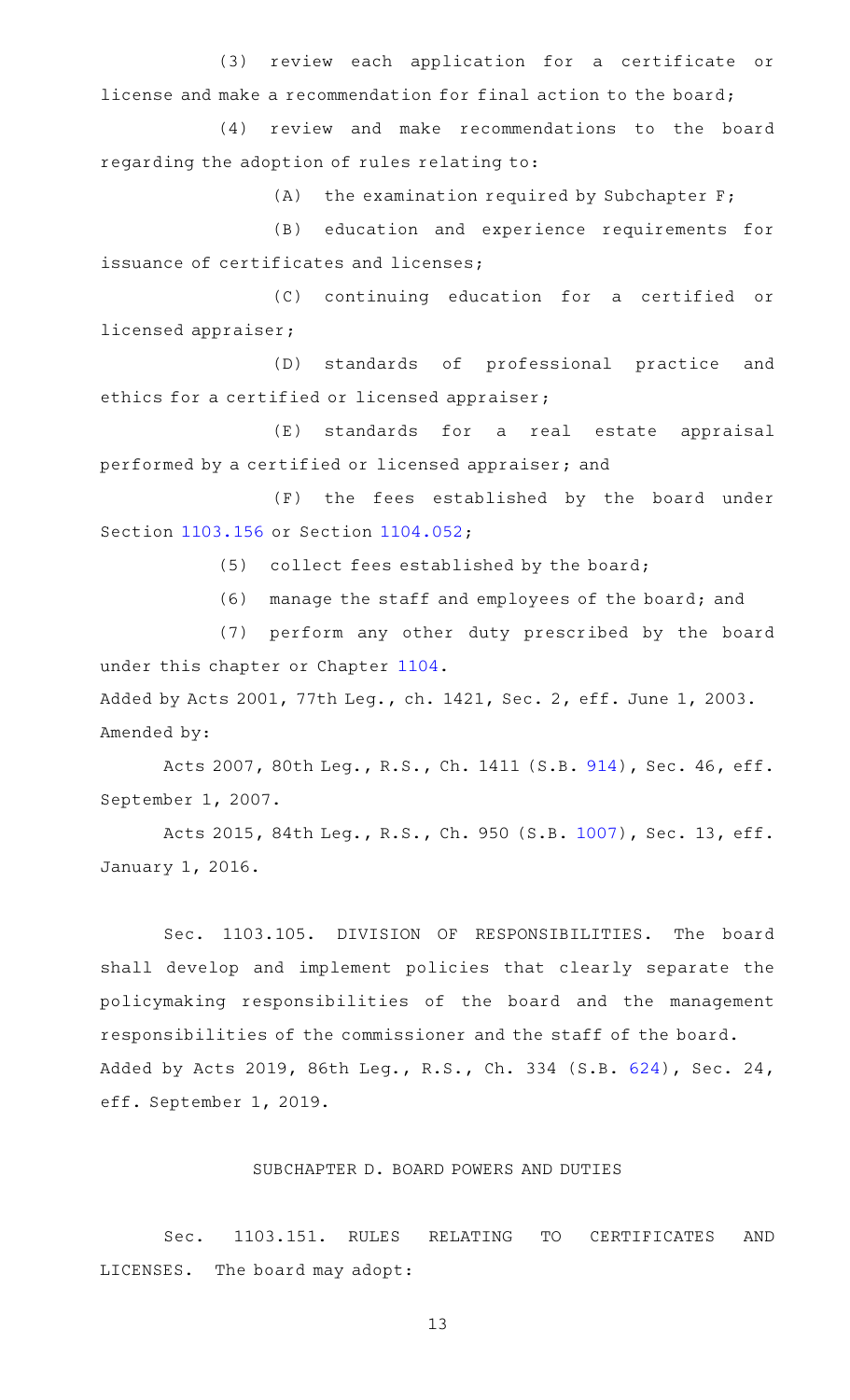(3) review each application for a certificate or license and make a recommendation for final action to the board;

(4) review and make recommendations to the board regarding the adoption of rules relating to:

 $(A)$  the examination required by Subchapter F;

(B) education and experience requirements for issuance of certificates and licenses;

(C) continuing education for a certified or licensed appraiser;

(D) standards of professional practice and ethics for a certified or licensed appraiser;

(E) standards for a real estate appraisal performed by a certified or licensed appraiser; and

(F) the fees established by the board under Section [1103.156](http://www.statutes.legis.state.tx.us/GetStatute.aspx?Code=OC&Value=1103.156) or Section [1104.052;](http://www.statutes.legis.state.tx.us/GetStatute.aspx?Code=OC&Value=1104.052)

 $(5)$  collect fees established by the board;

(6) manage the staff and employees of the board; and

(7) perform any other duty prescribed by the board under this chapter or Chapter [1104](http://www.statutes.legis.state.tx.us/GetStatute.aspx?Code=OC&Value=1104).

Added by Acts 2001, 77th Leg., ch. 1421, Sec. 2, eff. June 1, 2003. Amended by:

Acts 2007, 80th Leg., R.S., Ch. 1411 (S.B. [914\)](http://www.legis.state.tx.us/tlodocs/80R/billtext/html/SB00914F.HTM), Sec. 46, eff. September 1, 2007.

Acts 2015, 84th Leg., R.S., Ch. 950 (S.B. [1007\)](http://www.legis.state.tx.us/tlodocs/84R/billtext/html/SB01007F.HTM), Sec. 13, eff. January 1, 2016.

Sec. 1103.105. DIVISION OF RESPONSIBILITIES. The board shall develop and implement policies that clearly separate the policymaking responsibilities of the board and the management responsibilities of the commissioner and the staff of the board. Added by Acts 2019, 86th Leg., R.S., Ch. 334 (S.B. [624\)](http://www.legis.state.tx.us/tlodocs/86R/billtext/html/SB00624F.HTM), Sec. 24, eff. September 1, 2019.

#### SUBCHAPTER D. BOARD POWERS AND DUTIES

Sec. 1103.151. RULES RELATING TO CERTIFICATES AND LICENSES. The board may adopt: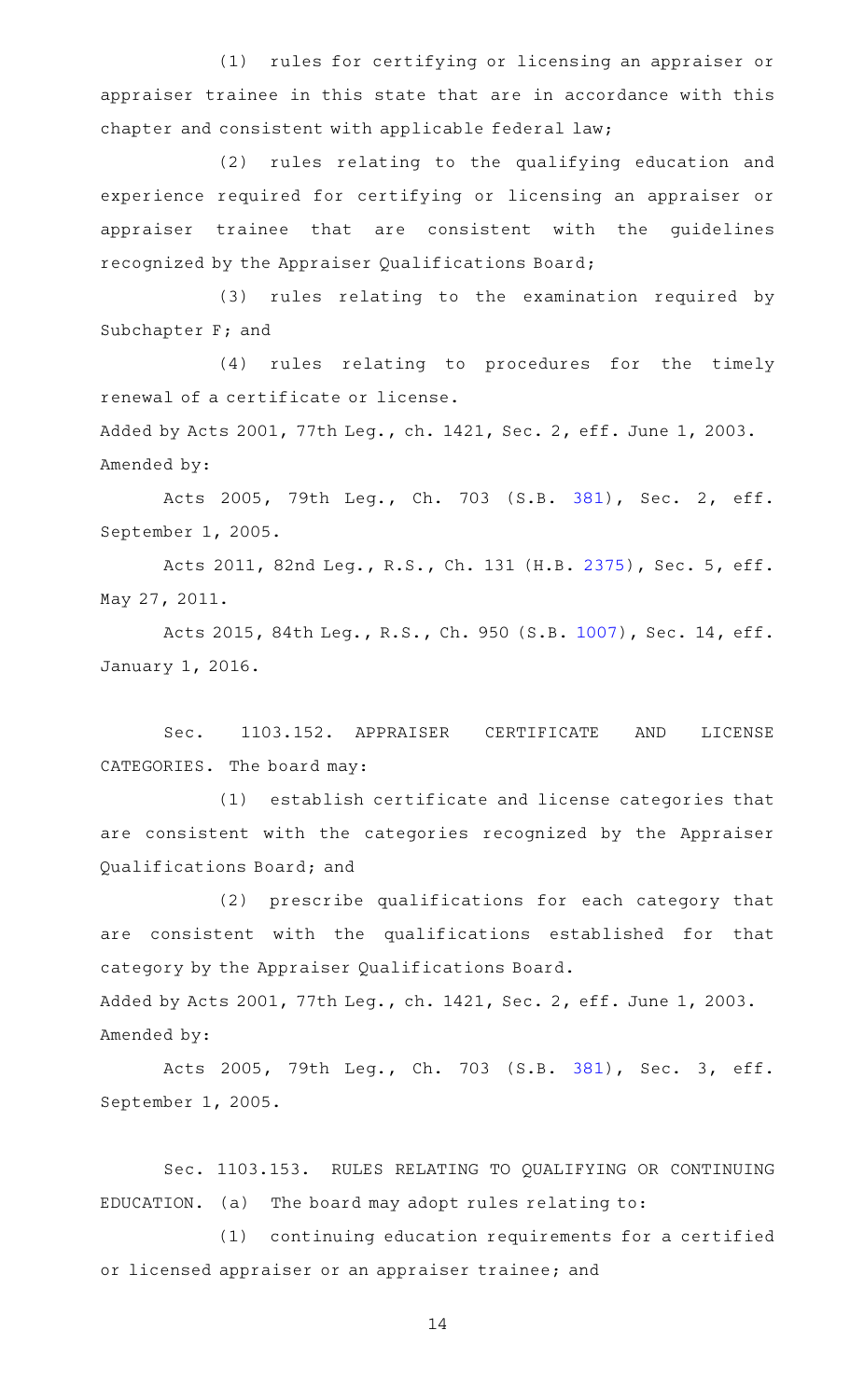(1) rules for certifying or licensing an appraiser or appraiser trainee in this state that are in accordance with this chapter and consistent with applicable federal law;

(2) rules relating to the qualifying education and experience required for certifying or licensing an appraiser or appraiser trainee that are consistent with the guidelines recognized by the Appraiser Qualifications Board;

(3) rules relating to the examination required by Subchapter F; and

(4) rules relating to procedures for the timely renewal of a certificate or license.

Added by Acts 2001, 77th Leg., ch. 1421, Sec. 2, eff. June 1, 2003. Amended by:

Acts 2005, 79th Leg., Ch. 703 (S.B. [381\)](http://www.legis.state.tx.us/tlodocs/79R/billtext/html/SB00381F.HTM), Sec. 2, eff. September 1, 2005.

Acts 2011, 82nd Leg., R.S., Ch. 131 (H.B. [2375](http://www.legis.state.tx.us/tlodocs/82R/billtext/html/HB02375F.HTM)), Sec. 5, eff. May 27, 2011.

Acts 2015, 84th Leg., R.S., Ch. 950 (S.B. [1007\)](http://www.legis.state.tx.us/tlodocs/84R/billtext/html/SB01007F.HTM), Sec. 14, eff. January 1, 2016.

Sec. 1103.152. APPRAISER CERTIFICATE AND LICENSE CATEGORIES. The board may:

(1) establish certificate and license categories that are consistent with the categories recognized by the Appraiser Qualifications Board; and

(2) prescribe qualifications for each category that are consistent with the qualifications established for that category by the Appraiser Qualifications Board.

Added by Acts 2001, 77th Leg., ch. 1421, Sec. 2, eff. June 1, 2003. Amended by:

Acts 2005, 79th Leg., Ch. 703 (S.B. [381\)](http://www.legis.state.tx.us/tlodocs/79R/billtext/html/SB00381F.HTM), Sec. 3, eff. September 1, 2005.

Sec. 1103.153. RULES RELATING TO QUALIFYING OR CONTINUING  $EDUCATION.$  (a) The board may adopt rules relating to:

(1) continuing education requirements for a certified or licensed appraiser or an appraiser trainee; and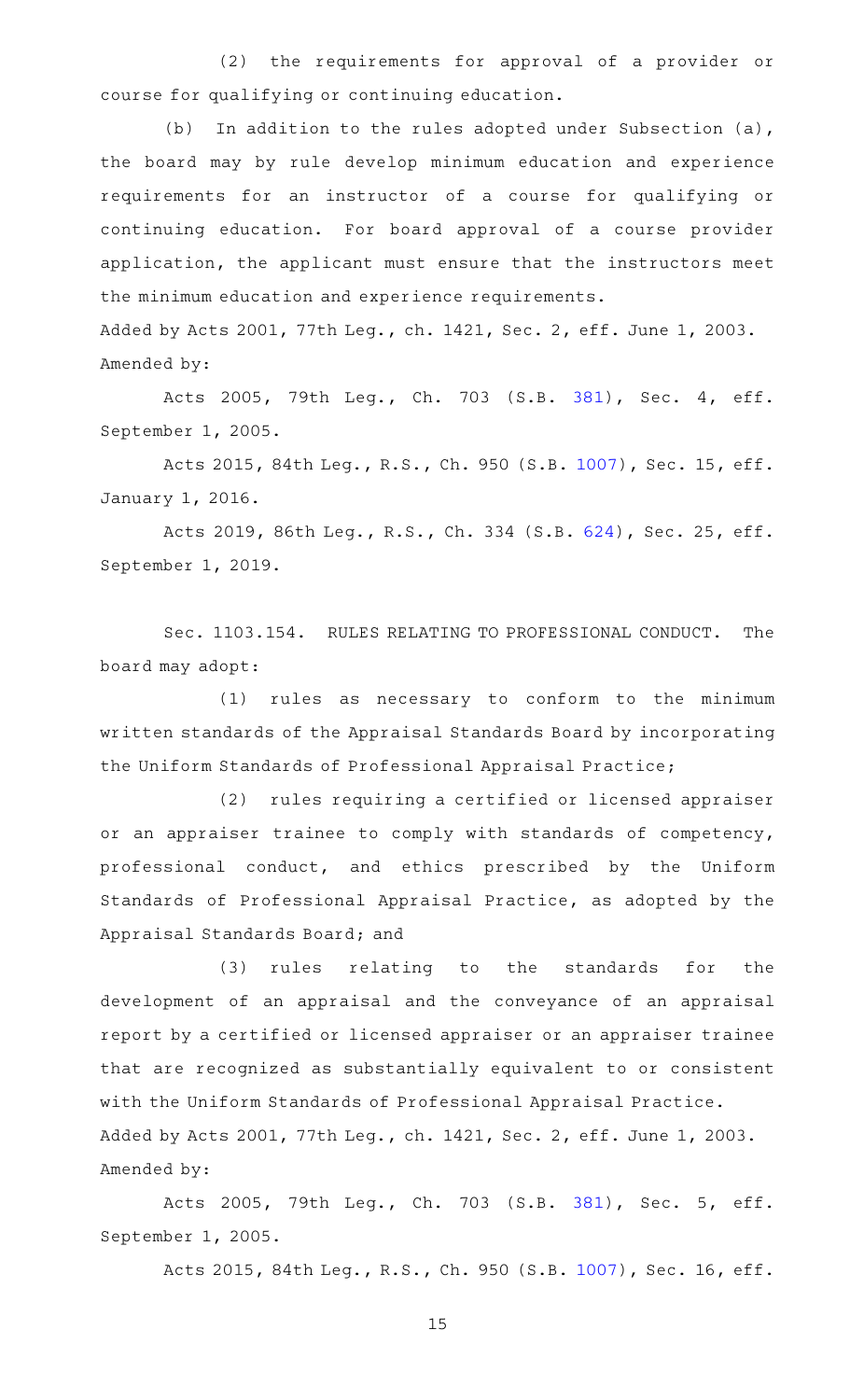(2) the requirements for approval of a provider or course for qualifying or continuing education.

(b) In addition to the rules adopted under Subsection (a), the board may by rule develop minimum education and experience requirements for an instructor of a course for qualifying or continuing education. For board approval of a course provider application, the applicant must ensure that the instructors meet the minimum education and experience requirements. Added by Acts 2001, 77th Leg., ch. 1421, Sec. 2, eff. June 1, 2003.

Amended by:

Acts 2005, 79th Leg., Ch. 703 (S.B. [381\)](http://www.legis.state.tx.us/tlodocs/79R/billtext/html/SB00381F.HTM), Sec. 4, eff. September 1, 2005.

Acts 2015, 84th Leg., R.S., Ch. 950 (S.B. [1007\)](http://www.legis.state.tx.us/tlodocs/84R/billtext/html/SB01007F.HTM), Sec. 15, eff. January 1, 2016.

Acts 2019, 86th Leg., R.S., Ch. 334 (S.B. [624\)](http://www.legis.state.tx.us/tlodocs/86R/billtext/html/SB00624F.HTM), Sec. 25, eff. September 1, 2019.

Sec. 1103.154. RULES RELATING TO PROFESSIONAL CONDUCT. The board may adopt:

(1) rules as necessary to conform to the minimum written standards of the Appraisal Standards Board by incorporating the Uniform Standards of Professional Appraisal Practice;

(2) rules requiring a certified or licensed appraiser or an appraiser trainee to comply with standards of competency, professional conduct, and ethics prescribed by the Uniform Standards of Professional Appraisal Practice, as adopted by the Appraisal Standards Board; and

(3) rules relating to the standards for the development of an appraisal and the conveyance of an appraisal report by a certified or licensed appraiser or an appraiser trainee that are recognized as substantially equivalent to or consistent with the Uniform Standards of Professional Appraisal Practice. Added by Acts 2001, 77th Leg., ch. 1421, Sec. 2, eff. June 1, 2003. Amended by:

Acts 2005, 79th Leg., Ch. 703 (S.B. [381\)](http://www.legis.state.tx.us/tlodocs/79R/billtext/html/SB00381F.HTM), Sec. 5, eff. September 1, 2005.

Acts 2015, 84th Leg., R.S., Ch. 950 (S.B. [1007\)](http://www.legis.state.tx.us/tlodocs/84R/billtext/html/SB01007F.HTM), Sec. 16, eff.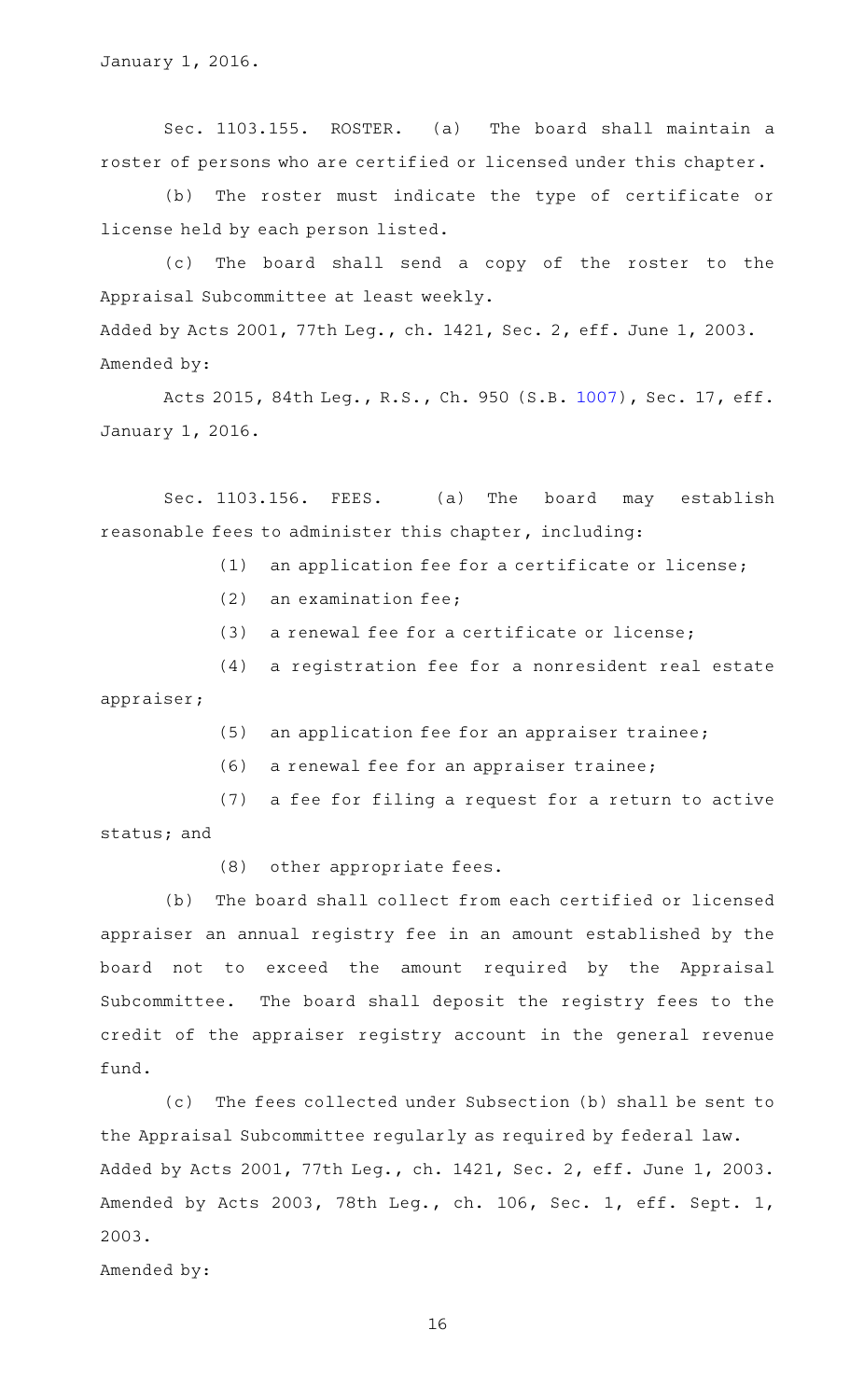Sec. 1103.155. ROSTER. (a) The board shall maintain a roster of persons who are certified or licensed under this chapter.

(b) The roster must indicate the type of certificate or license held by each person listed.

(c) The board shall send a copy of the roster to the Appraisal Subcommittee at least weekly. Added by Acts 2001, 77th Leg., ch. 1421, Sec. 2, eff. June 1, 2003. Amended by:

Acts 2015, 84th Leg., R.S., Ch. 950 (S.B. [1007\)](http://www.legis.state.tx.us/tlodocs/84R/billtext/html/SB01007F.HTM), Sec. 17, eff. January 1, 2016.

Sec. 1103.156. FEES. (a) The board may establish reasonable fees to administer this chapter, including:

(1) an application fee for a certificate or license;

- $(2)$  an examination fee;
- $(3)$  a renewal fee for a certificate or license;

(4) a registration fee for a nonresident real estate appraiser;

- (5) an application fee for an appraiser trainee;
- (6) a renewal fee for an appraiser trainee;

(7) a fee for filing a request for a return to active status; and

(8) other appropriate fees.

(b) The board shall collect from each certified or licensed appraiser an annual registry fee in an amount established by the board not to exceed the amount required by the Appraisal Subcommittee. The board shall deposit the registry fees to the credit of the appraiser registry account in the general revenue fund.

(c) The fees collected under Subsection (b) shall be sent to the Appraisal Subcommittee regularly as required by federal law. Added by Acts 2001, 77th Leg., ch. 1421, Sec. 2, eff. June 1, 2003. Amended by Acts 2003, 78th Leg., ch. 106, Sec. 1, eff. Sept. 1, 2003.

Amended by: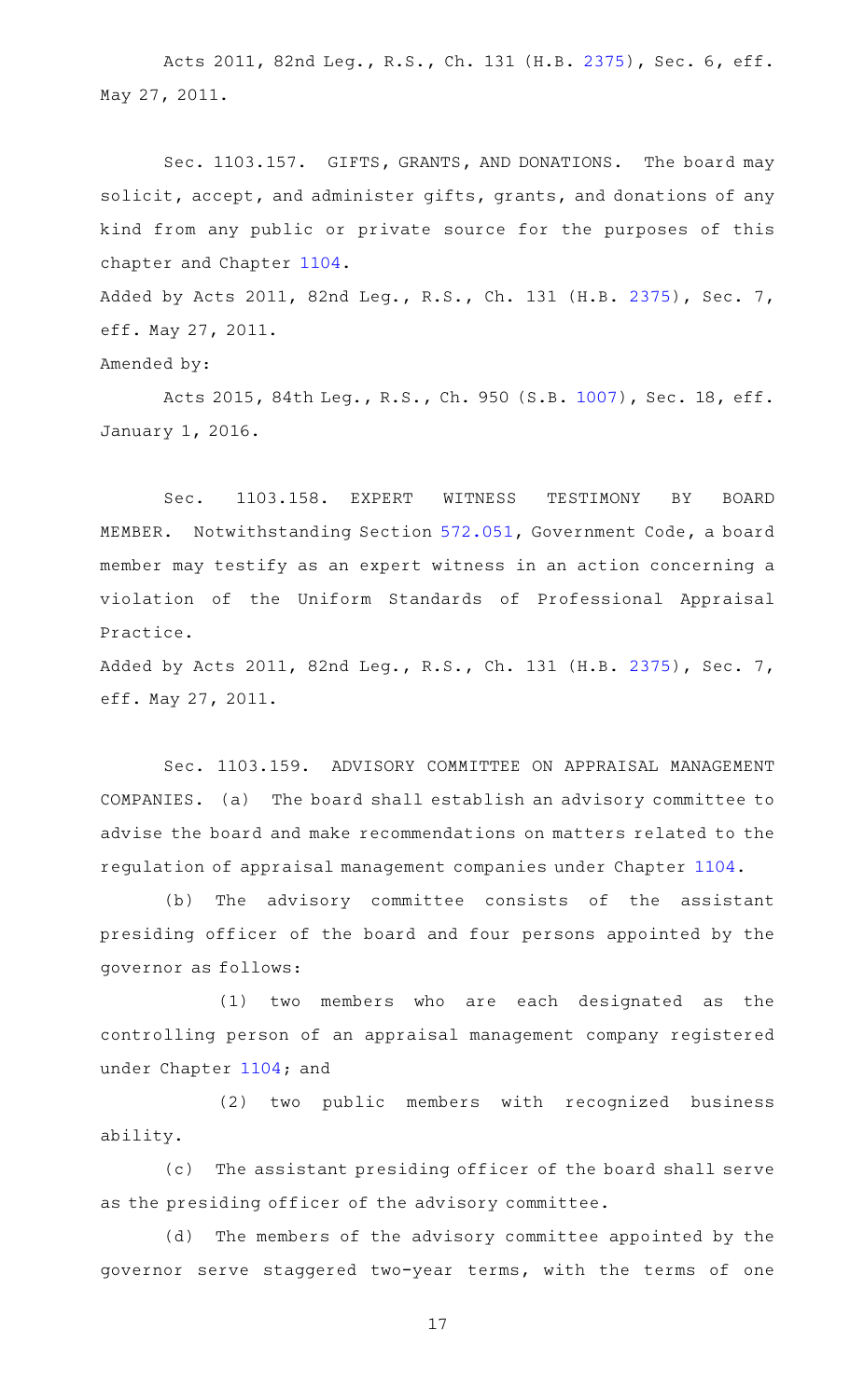Acts 2011, 82nd Leg., R.S., Ch. 131 (H.B. [2375](http://www.legis.state.tx.us/tlodocs/82R/billtext/html/HB02375F.HTM)), Sec. 6, eff. May 27, 2011.

Sec. 1103.157. GIFTS, GRANTS, AND DONATIONS. The board may solicit, accept, and administer gifts, grants, and donations of any kind from any public or private source for the purposes of this chapter and Chapter [1104.](http://www.statutes.legis.state.tx.us/GetStatute.aspx?Code=OC&Value=1104)

Added by Acts 2011, 82nd Leg., R.S., Ch. 131 (H.B. [2375](http://www.legis.state.tx.us/tlodocs/82R/billtext/html/HB02375F.HTM)), Sec. 7, eff. May 27, 2011.

Amended by:

Acts 2015, 84th Leg., R.S., Ch. 950 (S.B. [1007\)](http://www.legis.state.tx.us/tlodocs/84R/billtext/html/SB01007F.HTM), Sec. 18, eff. January 1, 2016.

Sec. 1103.158. EXPERT WITNESS TESTIMONY BY BOARD MEMBER. Notwithstanding Section [572.051,](http://www.statutes.legis.state.tx.us/GetStatute.aspx?Code=GV&Value=572.051) Government Code, a board member may testify as an expert witness in an action concerning a violation of the Uniform Standards of Professional Appraisal Practice.

Added by Acts 2011, 82nd Leg., R.S., Ch. 131 (H.B. [2375](http://www.legis.state.tx.us/tlodocs/82R/billtext/html/HB02375F.HTM)), Sec. 7, eff. May 27, 2011.

Sec. 1103.159. ADVISORY COMMITTEE ON APPRAISAL MANAGEMENT COMPANIES. (a) The board shall establish an advisory committee to advise the board and make recommendations on matters related to the regulation of appraisal management companies under Chapter [1104.](http://www.statutes.legis.state.tx.us/GetStatute.aspx?Code=OC&Value=1104)

(b) The advisory committee consists of the assistant presiding officer of the board and four persons appointed by the governor as follows:

 $(1)$  two members who are each designated as the controlling person of an appraisal management company registered under Chapter [1104;](http://www.statutes.legis.state.tx.us/GetStatute.aspx?Code=OC&Value=1104) and

(2) two public members with recognized business ability.

(c) The assistant presiding officer of the board shall serve as the presiding officer of the advisory committee.

(d) The members of the advisory committee appointed by the governor serve staggered two-year terms, with the terms of one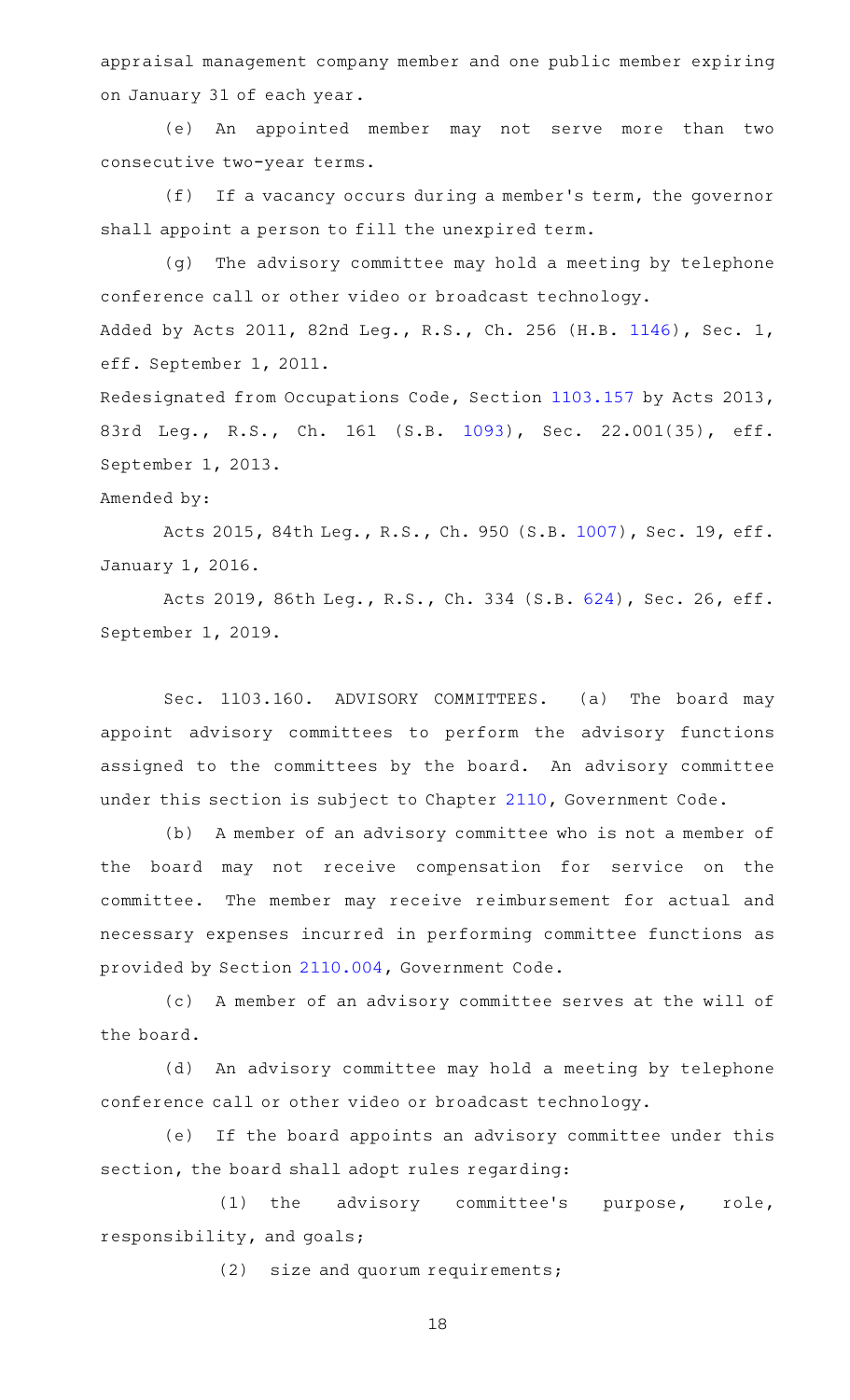appraisal management company member and one public member expiring on January 31 of each year.

(e) An appointed member may not serve more than two consecutive two-year terms.

 $(f)$  If a vacancy occurs during a member's term, the governor shall appoint a person to fill the unexpired term.

(g) The advisory committee may hold a meeting by telephone conference call or other video or broadcast technology. Added by Acts 2011, 82nd Leg., R.S., Ch. 256 (H.B. [1146](http://www.legis.state.tx.us/tlodocs/82R/billtext/html/HB01146F.HTM)), Sec. 1, eff. September 1, 2011.

Redesignated from Occupations Code, Section [1103.157](http://www.statutes.legis.state.tx.us/GetStatute.aspx?Code=OC&Value=1103.157) by Acts 2013, 83rd Leg., R.S., Ch. 161 (S.B. [1093](http://www.legis.state.tx.us/tlodocs/83R/billtext/html/SB01093F.HTM)), Sec. 22.001(35), eff. September 1, 2013.

#### Amended by:

Acts 2015, 84th Leg., R.S., Ch. 950 (S.B. [1007\)](http://www.legis.state.tx.us/tlodocs/84R/billtext/html/SB01007F.HTM), Sec. 19, eff. January 1, 2016.

Acts 2019, 86th Leg., R.S., Ch. 334 (S.B. [624\)](http://www.legis.state.tx.us/tlodocs/86R/billtext/html/SB00624F.HTM), Sec. 26, eff. September 1, 2019.

Sec. 1103.160. ADVISORY COMMITTEES. (a) The board may appoint advisory committees to perform the advisory functions assigned to the committees by the board. An advisory committee under this section is subject to Chapter [2110](http://www.statutes.legis.state.tx.us/GetStatute.aspx?Code=GV&Value=2110), Government Code.

(b) A member of an advisory committee who is not a member of the board may not receive compensation for service on the committee. The member may receive reimbursement for actual and necessary expenses incurred in performing committee functions as provided by Section [2110.004,](http://www.statutes.legis.state.tx.us/GetStatute.aspx?Code=GV&Value=2110.004) Government Code.

(c) A member of an advisory committee serves at the will of the board.

(d) An advisory committee may hold a meeting by telephone conference call or other video or broadcast technology.

(e) If the board appoints an advisory committee under this section, the board shall adopt rules regarding:

(1) the advisory committee's purpose, role, responsibility, and goals;

 $(2)$  size and quorum requirements;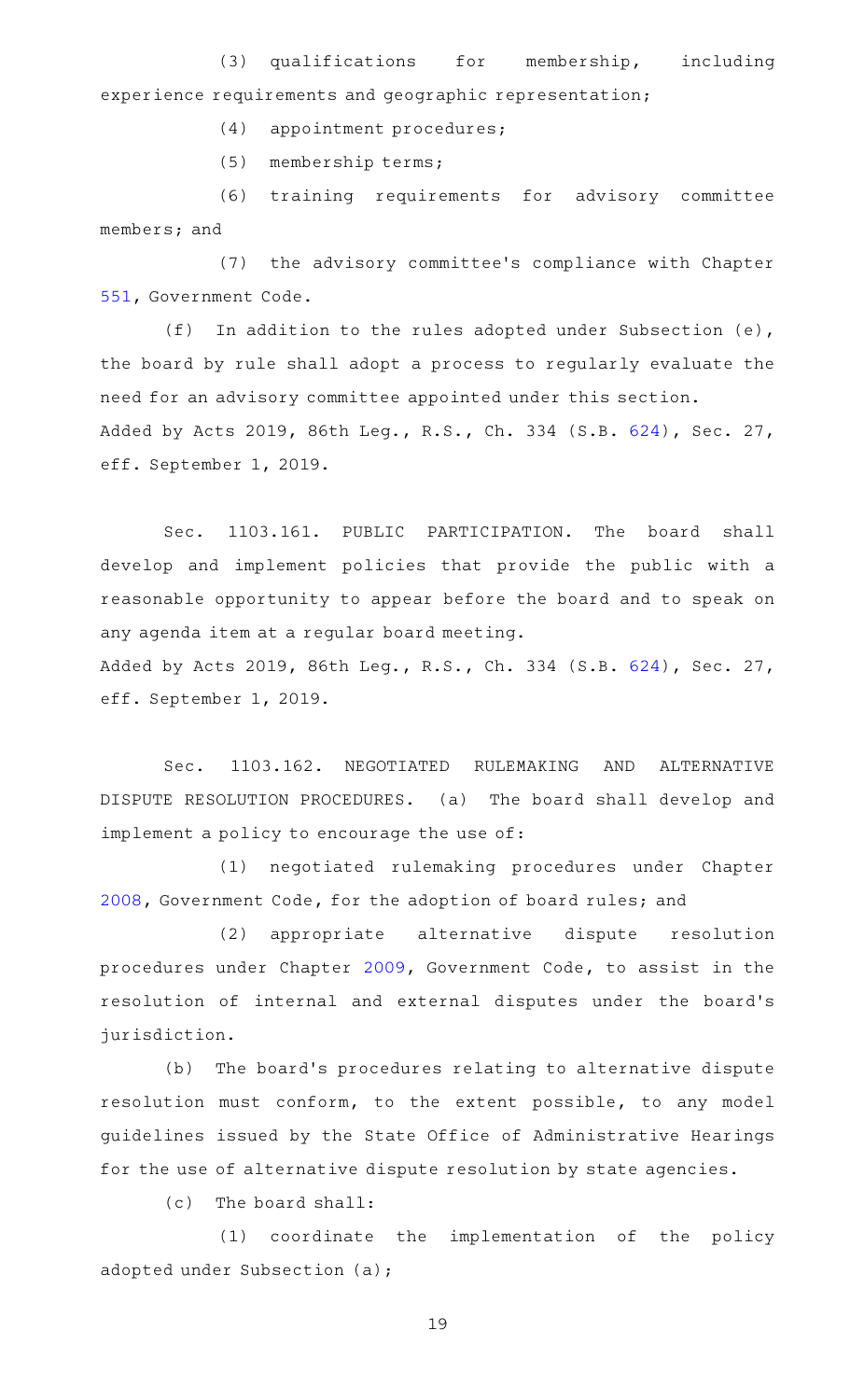(3) qualifications for membership, including experience requirements and geographic representation;

(4) appointment procedures;

(5) membership terms;

(6) training requirements for advisory committee members; and

(7) the advisory committee's compliance with Chapter [551,](http://www.statutes.legis.state.tx.us/GetStatute.aspx?Code=GV&Value=551) Government Code.

(f) In addition to the rules adopted under Subsection (e), the board by rule shall adopt a process to regularly evaluate the need for an advisory committee appointed under this section. Added by Acts 2019, 86th Leg., R.S., Ch. 334 (S.B. [624\)](http://www.legis.state.tx.us/tlodocs/86R/billtext/html/SB00624F.HTM), Sec. 27, eff. September 1, 2019.

Sec. 1103.161. PUBLIC PARTICIPATION. The board shall develop and implement policies that provide the public with a reasonable opportunity to appear before the board and to speak on any agenda item at a regular board meeting. Added by Acts 2019, 86th Leg., R.S., Ch. 334 (S.B. [624\)](http://www.legis.state.tx.us/tlodocs/86R/billtext/html/SB00624F.HTM), Sec. 27,

eff. September 1, 2019.

Sec. 1103.162. NEGOTIATED RULEMAKING AND ALTERNATIVE DISPUTE RESOLUTION PROCEDURES. (a) The board shall develop and implement a policy to encourage the use of:

(1) negotiated rulemaking procedures under Chapter [2008](http://www.statutes.legis.state.tx.us/GetStatute.aspx?Code=GV&Value=2008), Government Code, for the adoption of board rules; and

(2) appropriate alternative dispute resolution procedures under Chapter [2009,](http://www.statutes.legis.state.tx.us/GetStatute.aspx?Code=GV&Value=2009) Government Code, to assist in the resolution of internal and external disputes under the board's jurisdiction.

(b) The board's procedures relating to alternative dispute resolution must conform, to the extent possible, to any model guidelines issued by the State Office of Administrative Hearings for the use of alternative dispute resolution by state agencies.

 $(c)$  The board shall:

(1) coordinate the implementation of the policy adopted under Subsection (a);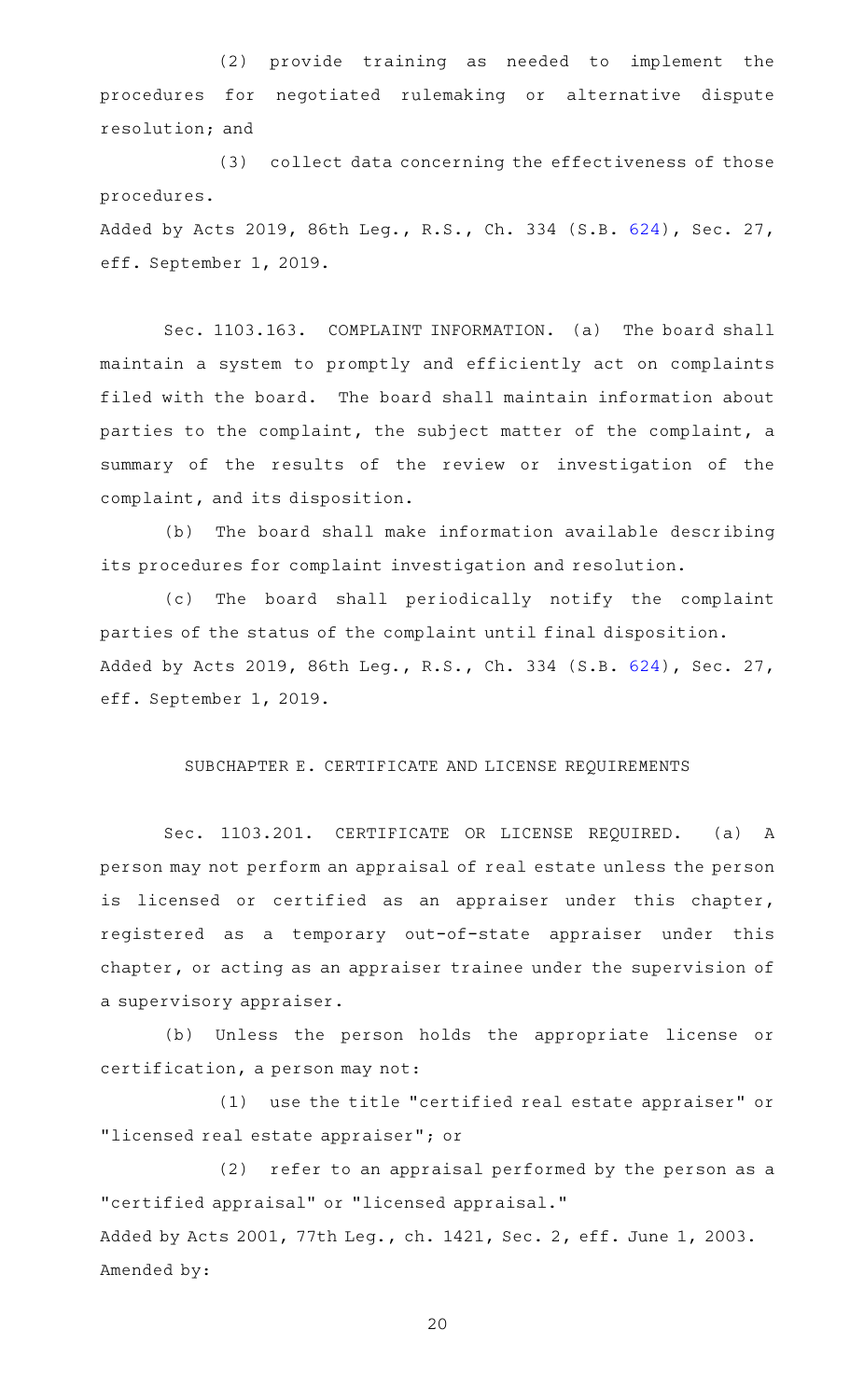(2) provide training as needed to implement the procedures for negotiated rulemaking or alternative dispute resolution; and

(3) collect data concerning the effectiveness of those procedures.

Added by Acts 2019, 86th Leg., R.S., Ch. 334 (S.B. [624\)](http://www.legis.state.tx.us/tlodocs/86R/billtext/html/SB00624F.HTM), Sec. 27, eff. September 1, 2019.

Sec. 1103.163. COMPLAINT INFORMATION. (a) The board shall maintain a system to promptly and efficiently act on complaints filed with the board. The board shall maintain information about parties to the complaint, the subject matter of the complaint, a summary of the results of the review or investigation of the complaint, and its disposition.

(b) The board shall make information available describing its procedures for complaint investigation and resolution.

(c) The board shall periodically notify the complaint parties of the status of the complaint until final disposition. Added by Acts 2019, 86th Leg., R.S., Ch. 334 (S.B. [624\)](http://www.legis.state.tx.us/tlodocs/86R/billtext/html/SB00624F.HTM), Sec. 27, eff. September 1, 2019.

#### SUBCHAPTER E. CERTIFICATE AND LICENSE REQUIREMENTS

Sec. 1103.201. CERTIFICATE OR LICENSE REQUIRED. (a) A person may not perform an appraisal of real estate unless the person is licensed or certified as an appraiser under this chapter, registered as a temporary out-of-state appraiser under this chapter, or acting as an appraiser trainee under the supervision of a supervisory appraiser.

(b) Unless the person holds the appropriate license or certification, a person may not:

(1) use the title "certified real estate appraiser" or "licensed real estate appraiser"; or

(2) refer to an appraisal performed by the person as a "certified appraisal" or "licensed appraisal." Added by Acts 2001, 77th Leg., ch. 1421, Sec. 2, eff. June 1, 2003. Amended by: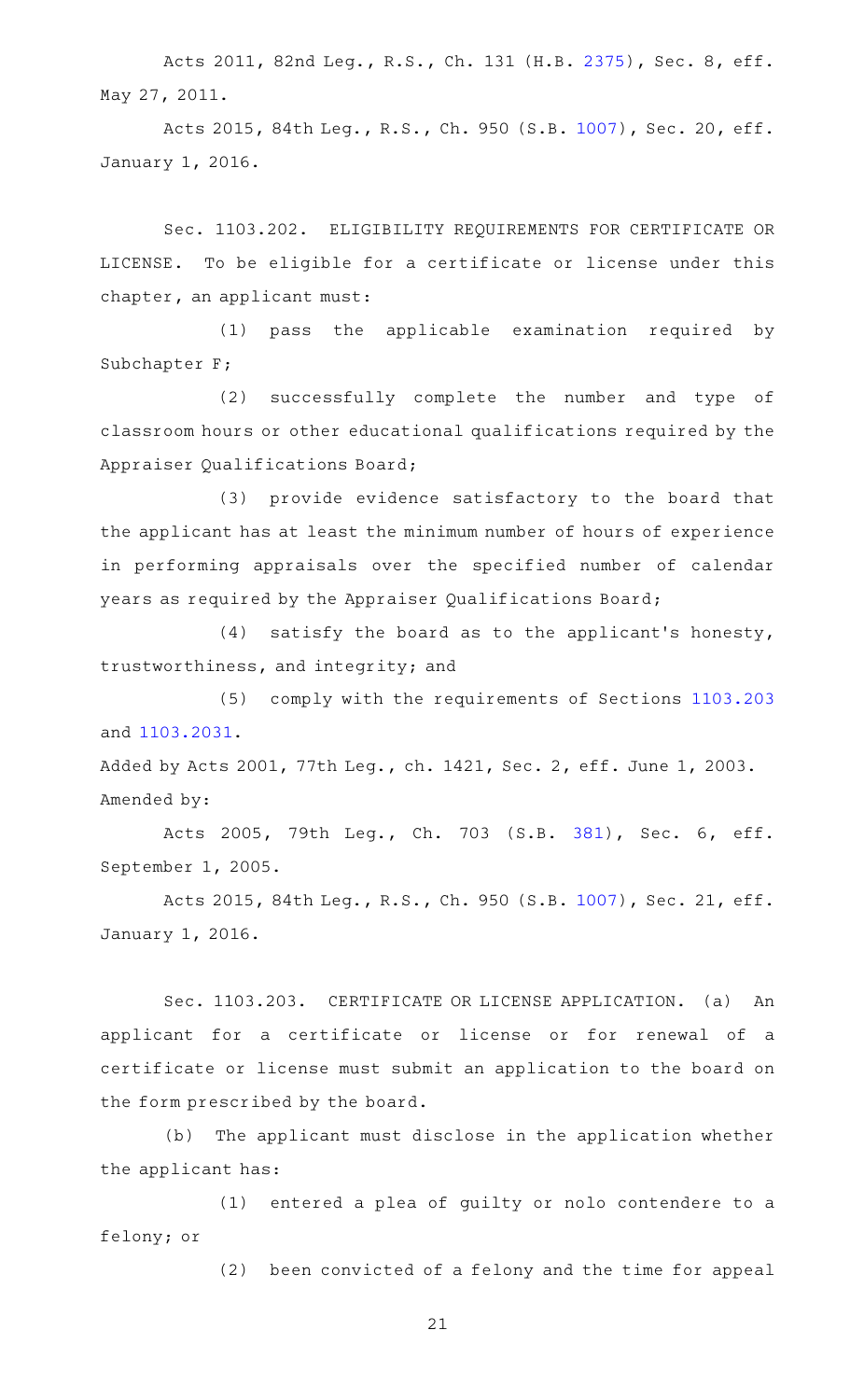Acts 2011, 82nd Leg., R.S., Ch. 131 (H.B. [2375](http://www.legis.state.tx.us/tlodocs/82R/billtext/html/HB02375F.HTM)), Sec. 8, eff. May 27, 2011.

Acts 2015, 84th Leg., R.S., Ch. 950 (S.B. [1007\)](http://www.legis.state.tx.us/tlodocs/84R/billtext/html/SB01007F.HTM), Sec. 20, eff. January 1, 2016.

Sec. 1103.202. ELIGIBILITY REQUIREMENTS FOR CERTIFICATE OR LICENSE. To be eligible for a certificate or license under this chapter, an applicant must:

(1) pass the applicable examination required by Subchapter F;

(2) successfully complete the number and type of classroom hours or other educational qualifications required by the Appraiser Qualifications Board;

(3) provide evidence satisfactory to the board that the applicant has at least the minimum number of hours of experience in performing appraisals over the specified number of calendar years as required by the Appraiser Qualifications Board;

 $(4)$  satisfy the board as to the applicant's honesty, trustworthiness, and integrity; and

(5) comply with the requirements of Sections [1103.203](http://www.statutes.legis.state.tx.us/GetStatute.aspx?Code=OC&Value=1103.203) and [1103.2031.](http://www.statutes.legis.state.tx.us/GetStatute.aspx?Code=OC&Value=1103.2031)

Added by Acts 2001, 77th Leg., ch. 1421, Sec. 2, eff. June 1, 2003. Amended by:

Acts 2005, 79th Leg., Ch. 703 (S.B. [381\)](http://www.legis.state.tx.us/tlodocs/79R/billtext/html/SB00381F.HTM), Sec. 6, eff. September 1, 2005.

Acts 2015, 84th Leg., R.S., Ch. 950 (S.B. [1007\)](http://www.legis.state.tx.us/tlodocs/84R/billtext/html/SB01007F.HTM), Sec. 21, eff. January 1, 2016.

Sec. 1103.203. CERTIFICATE OR LICENSE APPLICATION. (a) An applicant for a certificate or license or for renewal of a certificate or license must submit an application to the board on the form prescribed by the board.

(b) The applicant must disclose in the application whether the applicant has:

(1) entered a plea of guilty or nolo contendere to a felony; or

(2) been convicted of a felony and the time for appeal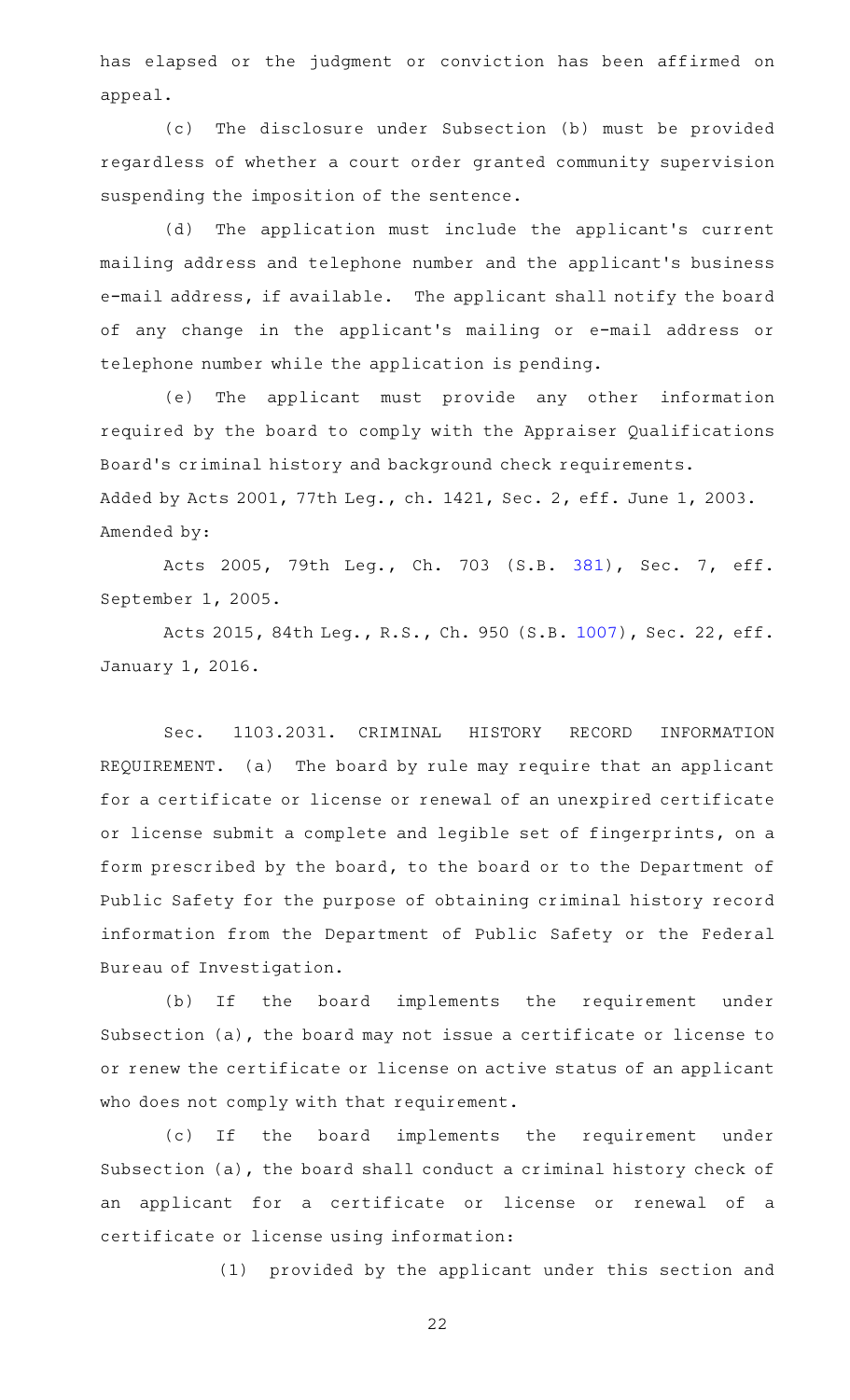has elapsed or the judgment or conviction has been affirmed on appeal.

(c) The disclosure under Subsection (b) must be provided regardless of whether a court order granted community supervision suspending the imposition of the sentence.

(d) The application must include the applicant's current mailing address and telephone number and the applicant 's business e-mail address, if available. The applicant shall notify the board of any change in the applicant 's mailing or e-mail address or telephone number while the application is pending.

(e) The applicant must provide any other information required by the board to comply with the Appraiser Qualifications Board's criminal history and background check requirements. Added by Acts 2001, 77th Leg., ch. 1421, Sec. 2, eff. June 1, 2003. Amended by:

Acts 2005, 79th Leg., Ch. 703 (S.B. [381\)](http://www.legis.state.tx.us/tlodocs/79R/billtext/html/SB00381F.HTM), Sec. 7, eff. September 1, 2005.

Acts 2015, 84th Leg., R.S., Ch. 950 (S.B. [1007\)](http://www.legis.state.tx.us/tlodocs/84R/billtext/html/SB01007F.HTM), Sec. 22, eff. January 1, 2016.

Sec. 1103.2031. CRIMINAL HISTORY RECORD INFORMATION REQUIREMENT. (a) The board by rule may require that an applicant for a certificate or license or renewal of an unexpired certificate or license submit a complete and legible set of fingerprints, on a form prescribed by the board, to the board or to the Department of Public Safety for the purpose of obtaining criminal history record information from the Department of Public Safety or the Federal Bureau of Investigation.

(b) If the board implements the requirement under Subsection (a), the board may not issue a certificate or license to or renew the certificate or license on active status of an applicant who does not comply with that requirement.

(c) If the board implements the requirement under Subsection (a), the board shall conduct a criminal history check of an applicant for a certificate or license or renewal of a certificate or license using information:

(1) provided by the applicant under this section and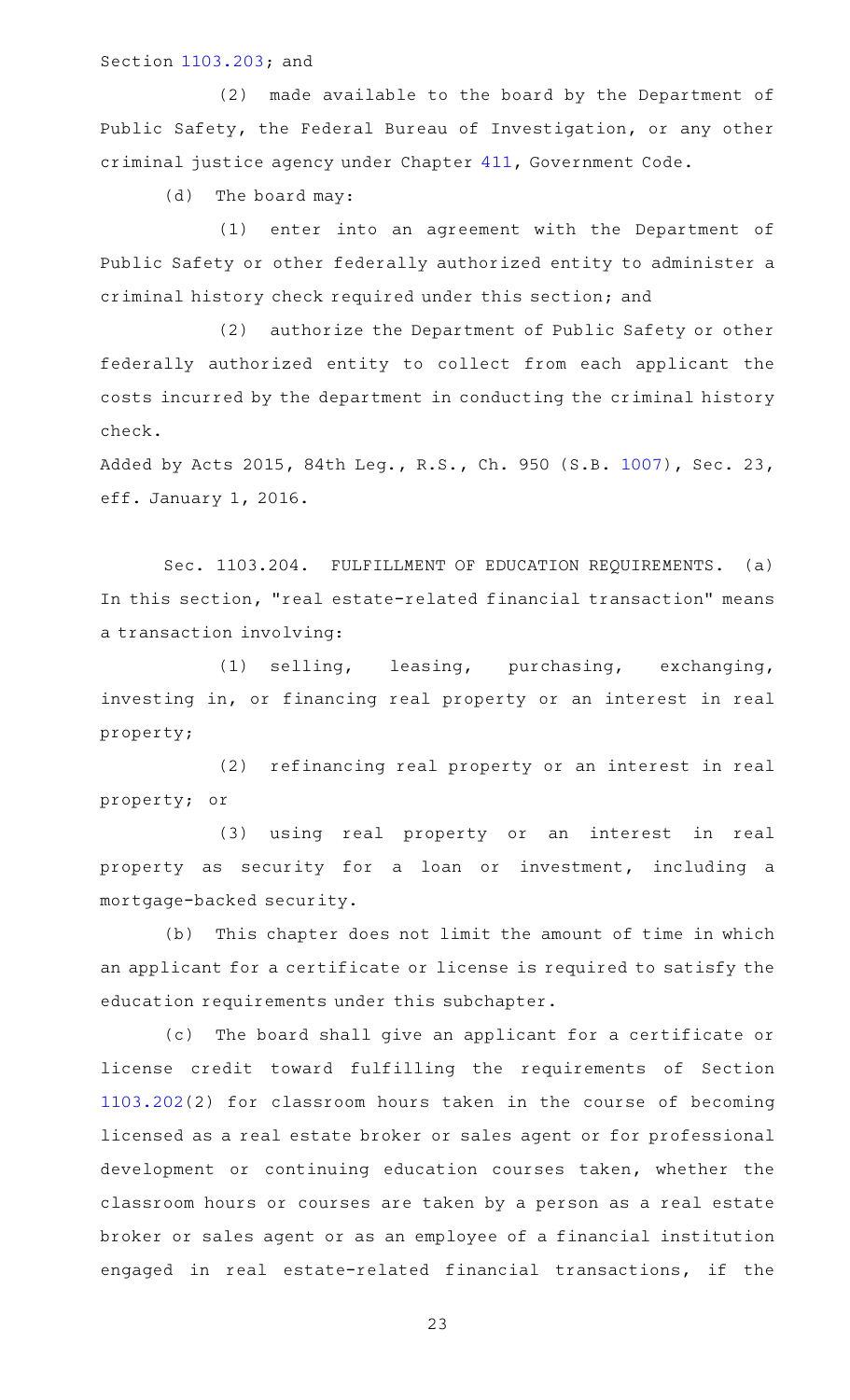#### Section [1103.203](http://www.statutes.legis.state.tx.us/GetStatute.aspx?Code=OC&Value=1103.203); and

(2) made available to the board by the Department of Public Safety, the Federal Bureau of Investigation, or any other criminal justice agency under Chapter [411,](http://www.statutes.legis.state.tx.us/GetStatute.aspx?Code=GV&Value=411) Government Code.

(d) The board may:

(1) enter into an agreement with the Department of Public Safety or other federally authorized entity to administer a criminal history check required under this section; and

(2) authorize the Department of Public Safety or other federally authorized entity to collect from each applicant the costs incurred by the department in conducting the criminal history check.

Added by Acts 2015, 84th Leg., R.S., Ch. 950 (S.B. [1007\)](http://www.legis.state.tx.us/tlodocs/84R/billtext/html/SB01007F.HTM), Sec. 23, eff. January 1, 2016.

Sec. 1103.204. FULFILLMENT OF EDUCATION REQUIREMENTS. (a) In this section, "real estate-related financial transaction" means a transaction involving:

(1) selling, leasing, purchasing, exchanging, investing in, or financing real property or an interest in real property;

(2) refinancing real property or an interest in real property; or

(3) using real property or an interest in real property as security for a loan or investment, including a mortgage-backed security.

(b) This chapter does not limit the amount of time in which an applicant for a certificate or license is required to satisfy the education requirements under this subchapter.

(c) The board shall give an applicant for a certificate or license credit toward fulfilling the requirements of Section [1103.202](http://www.statutes.legis.state.tx.us/GetStatute.aspx?Code=OC&Value=1103.202)(2) for classroom hours taken in the course of becoming licensed as a real estate broker or sales agent or for professional development or continuing education courses taken, whether the classroom hours or courses are taken by a person as a real estate broker or sales agent or as an employee of a financial institution engaged in real estate-related financial transactions, if the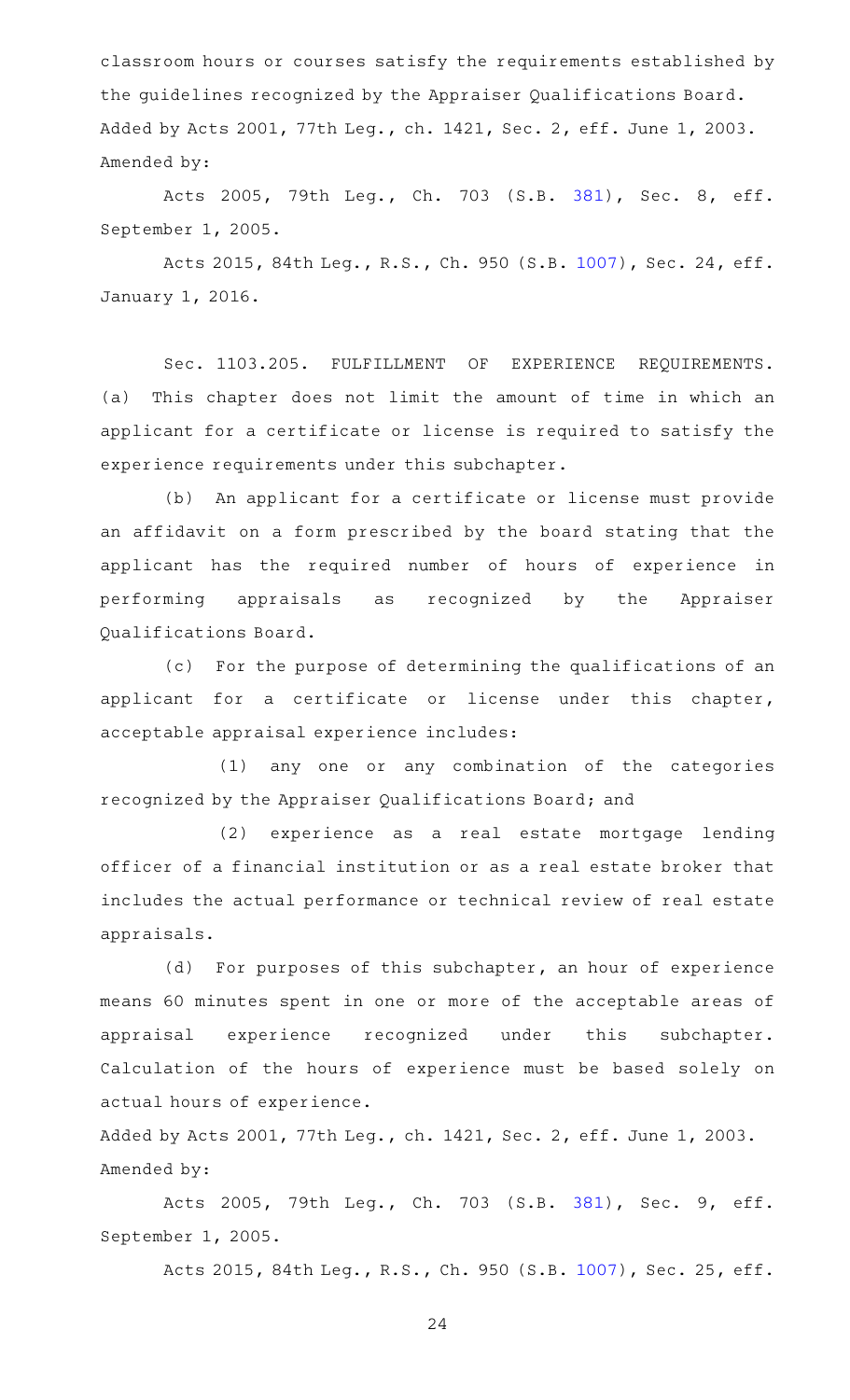classroom hours or courses satisfy the requirements established by the guidelines recognized by the Appraiser Qualifications Board. Added by Acts 2001, 77th Leg., ch. 1421, Sec. 2, eff. June 1, 2003. Amended by:

Acts 2005, 79th Leg., Ch. 703 (S.B. [381\)](http://www.legis.state.tx.us/tlodocs/79R/billtext/html/SB00381F.HTM), Sec. 8, eff. September 1, 2005.

Acts 2015, 84th Leg., R.S., Ch. 950 (S.B. [1007\)](http://www.legis.state.tx.us/tlodocs/84R/billtext/html/SB01007F.HTM), Sec. 24, eff. January 1, 2016.

Sec. 1103.205. FULFILLMENT OF EXPERIENCE REQUIREMENTS. (a) This chapter does not limit the amount of time in which an applicant for a certificate or license is required to satisfy the experience requirements under this subchapter.

(b) An applicant for a certificate or license must provide an affidavit on a form prescribed by the board stating that the applicant has the required number of hours of experience in performing appraisals as recognized by the Appraiser Qualifications Board.

(c) For the purpose of determining the qualifications of an applicant for a certificate or license under this chapter, acceptable appraisal experience includes:

(1) any one or any combination of the categories recognized by the Appraiser Qualifications Board; and

(2) experience as a real estate mortgage lending officer of a financial institution or as a real estate broker that includes the actual performance or technical review of real estate appraisals.

(d) For purposes of this subchapter, an hour of experience means 60 minutes spent in one or more of the acceptable areas of appraisal experience recognized under this subchapter. Calculation of the hours of experience must be based solely on actual hours of experience.

Added by Acts 2001, 77th Leg., ch. 1421, Sec. 2, eff. June 1, 2003. Amended by:

Acts 2005, 79th Leg., Ch. 703 (S.B. [381\)](http://www.legis.state.tx.us/tlodocs/79R/billtext/html/SB00381F.HTM), Sec. 9, eff. September 1, 2005.

Acts 2015, 84th Leg., R.S., Ch. 950 (S.B. [1007\)](http://www.legis.state.tx.us/tlodocs/84R/billtext/html/SB01007F.HTM), Sec. 25, eff.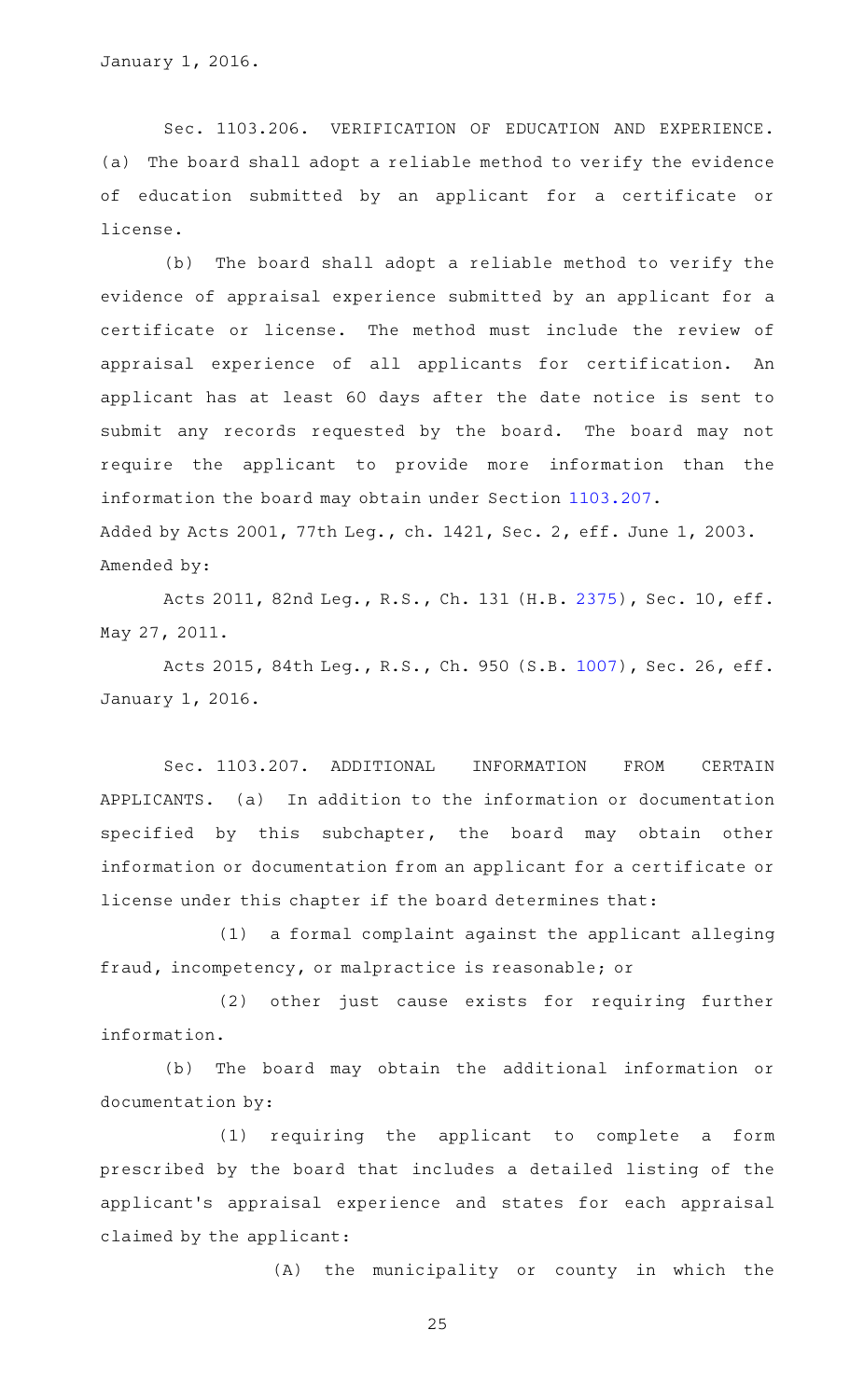January 1, 2016.

Sec. 1103.206. VERIFICATION OF EDUCATION AND EXPERIENCE. (a) The board shall adopt a reliable method to verify the evidence of education submitted by an applicant for a certificate or license.

(b) The board shall adopt a reliable method to verify the evidence of appraisal experience submitted by an applicant for a certificate or license. The method must include the review of appraisal experience of all applicants for certification. An applicant has at least 60 days after the date notice is sent to submit any records requested by the board. The board may not require the applicant to provide more information than the information the board may obtain under Section [1103.207.](http://www.statutes.legis.state.tx.us/GetStatute.aspx?Code=OC&Value=1103.207) Added by Acts 2001, 77th Leg., ch. 1421, Sec. 2, eff. June 1, 2003. Amended by:

Acts 2011, 82nd Leg., R.S., Ch. 131 (H.B. [2375\)](http://www.legis.state.tx.us/tlodocs/82R/billtext/html/HB02375F.HTM), Sec. 10, eff. May 27, 2011.

Acts 2015, 84th Leg., R.S., Ch. 950 (S.B. [1007\)](http://www.legis.state.tx.us/tlodocs/84R/billtext/html/SB01007F.HTM), Sec. 26, eff. January 1, 2016.

Sec. 1103.207. ADDITIONAL INFORMATION FROM CERTAIN APPLICANTS. (a) In addition to the information or documentation specified by this subchapter, the board may obtain other information or documentation from an applicant for a certificate or license under this chapter if the board determines that:

 $(1)$  a formal complaint against the applicant alleging fraud, incompetency, or malpractice is reasonable; or

(2) other just cause exists for requiring further information.

(b) The board may obtain the additional information or documentation by:

(1) requiring the applicant to complete a form prescribed by the board that includes a detailed listing of the applicant 's appraisal experience and states for each appraisal claimed by the applicant:

(A) the municipality or county in which the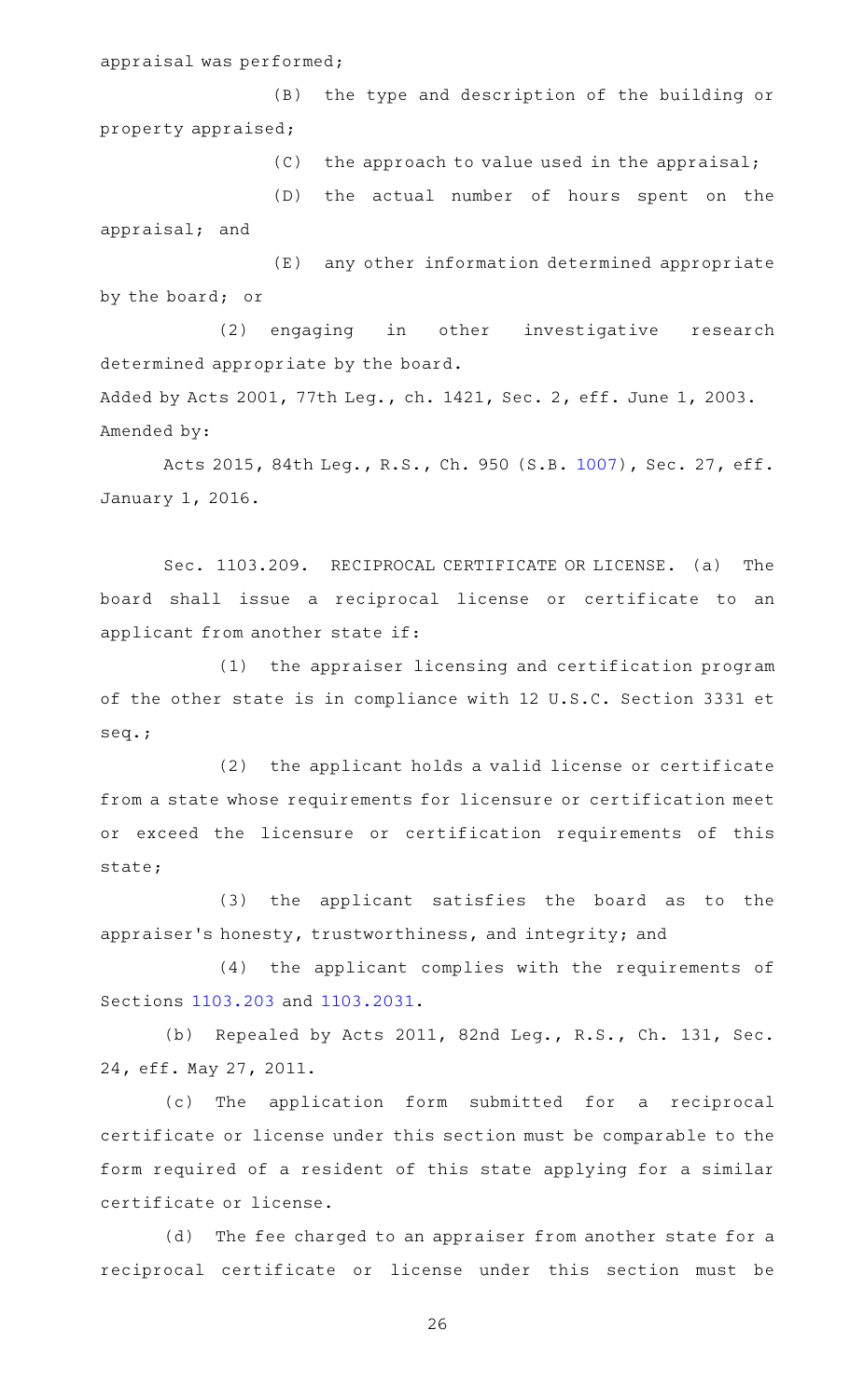appraisal was performed;

(B) the type and description of the building or property appraised;

 $(C)$  the approach to value used in the appraisal;

(D) the actual number of hours spent on the appraisal; and

(E) any other information determined appropriate by the board; or

(2) engaging in other investigative research determined appropriate by the board.

Added by Acts 2001, 77th Leg., ch. 1421, Sec. 2, eff. June 1, 2003. Amended by:

Acts 2015, 84th Leg., R.S., Ch. 950 (S.B. [1007\)](http://www.legis.state.tx.us/tlodocs/84R/billtext/html/SB01007F.HTM), Sec. 27, eff. January 1, 2016.

Sec. 1103.209. RECIPROCAL CERTIFICATE OR LICENSE. (a) The board shall issue a reciprocal license or certificate to an applicant from another state if:

(1) the appraiser licensing and certification program of the other state is in compliance with 12 U.S.C. Section 3331 et seq.;

(2) the applicant holds a valid license or certificate from a state whose requirements for licensure or certification meet or exceed the licensure or certification requirements of this state;

(3) the applicant satisfies the board as to the appraiser 's honesty, trustworthiness, and integrity; and

(4) the applicant complies with the requirements of Sections [1103.203](http://www.statutes.legis.state.tx.us/GetStatute.aspx?Code=OC&Value=1103.203) and [1103.2031](http://www.statutes.legis.state.tx.us/GetStatute.aspx?Code=OC&Value=1103.2031).

(b) Repealed by Acts 2011, 82nd Leg., R.S., Ch. 131, Sec. 24, eff. May 27, 2011.

(c) The application form submitted for a reciprocal certificate or license under this section must be comparable to the form required of a resident of this state applying for a similar certificate or license.

(d) The fee charged to an appraiser from another state for a reciprocal certificate or license under this section must be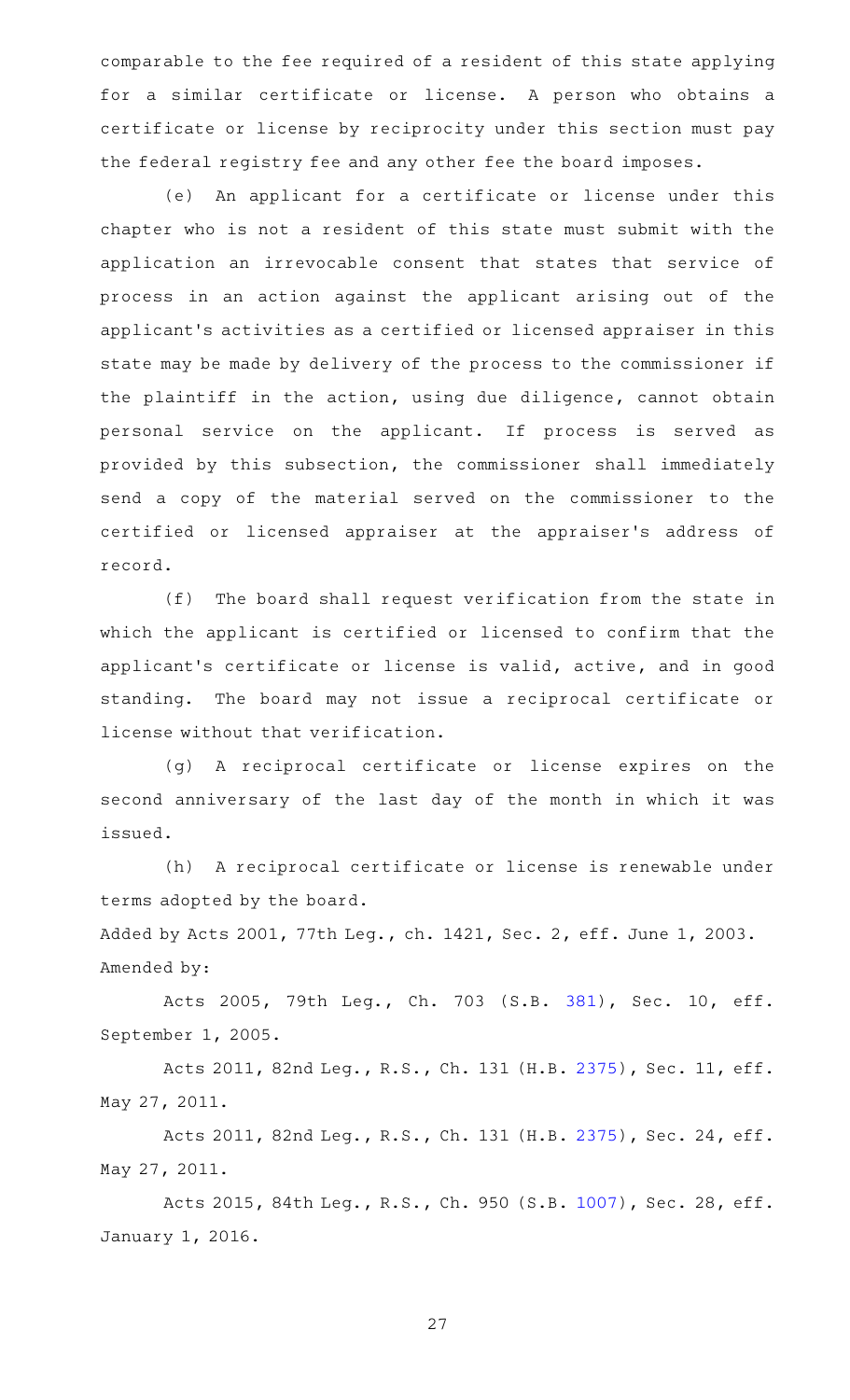comparable to the fee required of a resident of this state applying for a similar certificate or license. A person who obtains a certificate or license by reciprocity under this section must pay the federal registry fee and any other fee the board imposes.

(e) An applicant for a certificate or license under this chapter who is not a resident of this state must submit with the application an irrevocable consent that states that service of process in an action against the applicant arising out of the applicant 's activities as a certified or licensed appraiser in this state may be made by delivery of the process to the commissioner if the plaintiff in the action, using due diligence, cannot obtain personal service on the applicant. If process is served as provided by this subsection, the commissioner shall immediately send a copy of the material served on the commissioner to the certified or licensed appraiser at the appraiser 's address of record.

(f) The board shall request verification from the state in which the applicant is certified or licensed to confirm that the applicant 's certificate or license is valid, active, and in good standing. The board may not issue a reciprocal certificate or license without that verification.

(g)AAA reciprocal certificate or license expires on the second anniversary of the last day of the month in which it was issued.

(h) A reciprocal certificate or license is renewable under terms adopted by the board.

Added by Acts 2001, 77th Leg., ch. 1421, Sec. 2, eff. June 1, 2003. Amended by:

Acts 2005, 79th Leg., Ch. 703 (S.B. [381\)](http://www.legis.state.tx.us/tlodocs/79R/billtext/html/SB00381F.HTM), Sec. 10, eff. September 1, 2005.

Acts 2011, 82nd Leg., R.S., Ch. 131 (H.B. [2375\)](http://www.legis.state.tx.us/tlodocs/82R/billtext/html/HB02375F.HTM), Sec. 11, eff. May 27, 2011.

Acts 2011, 82nd Leg., R.S., Ch. 131 (H.B. [2375\)](http://www.legis.state.tx.us/tlodocs/82R/billtext/html/HB02375F.HTM), Sec. 24, eff. May 27, 2011.

Acts 2015, 84th Leg., R.S., Ch. 950 (S.B. [1007\)](http://www.legis.state.tx.us/tlodocs/84R/billtext/html/SB01007F.HTM), Sec. 28, eff. January 1, 2016.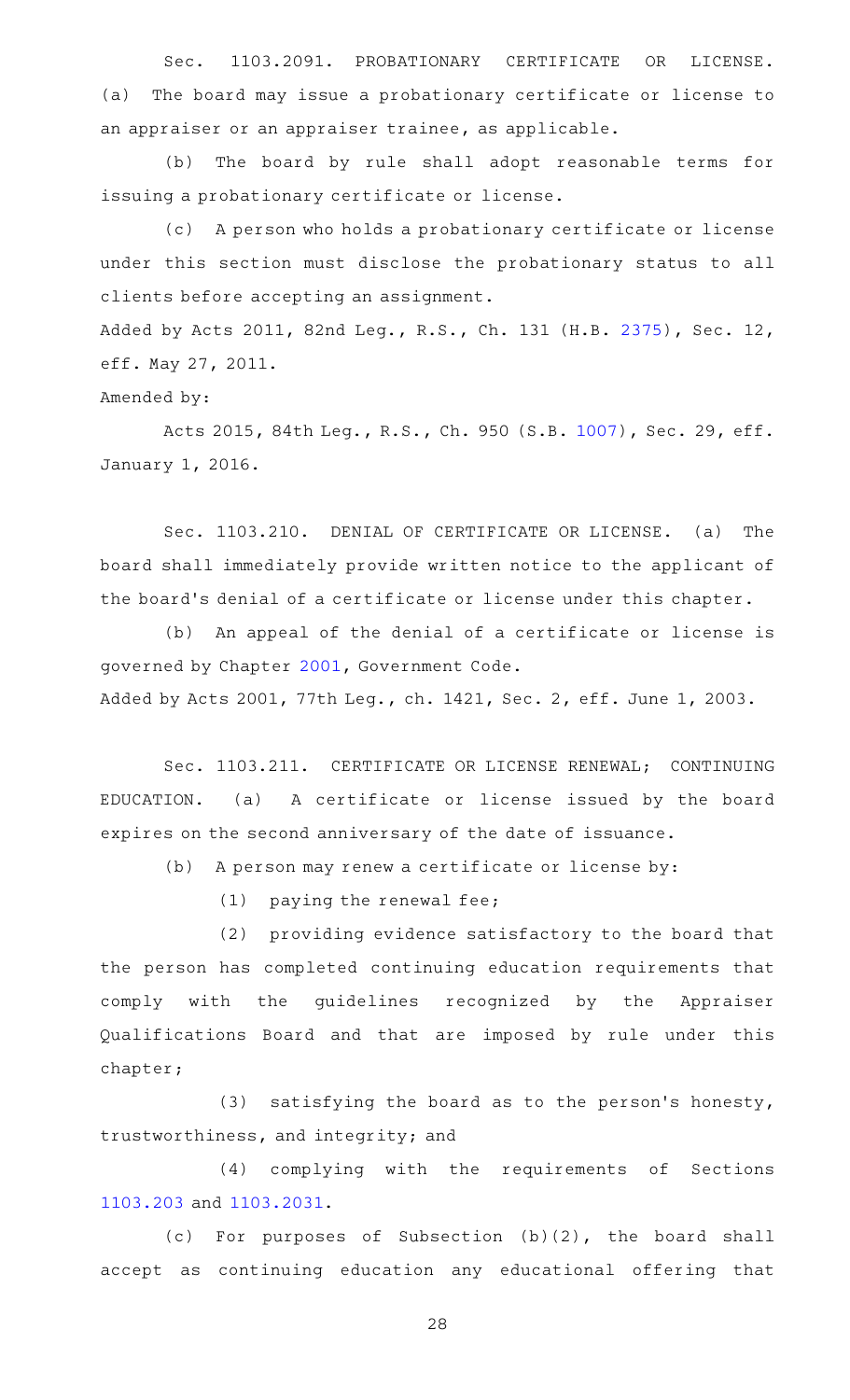Sec. 1103.2091. PROBATIONARY CERTIFICATE OR LICENSE. (a) The board may issue a probationary certificate or license to an appraiser or an appraiser trainee, as applicable.

(b) The board by rule shall adopt reasonable terms for issuing a probationary certificate or license.

(c) A person who holds a probationary certificate or license under this section must disclose the probationary status to all clients before accepting an assignment.

Added by Acts 2011, 82nd Leg., R.S., Ch. 131 (H.B. [2375\)](http://www.legis.state.tx.us/tlodocs/82R/billtext/html/HB02375F.HTM), Sec. 12, eff. May 27, 2011.

Amended by:

Acts 2015, 84th Leg., R.S., Ch. 950 (S.B. [1007\)](http://www.legis.state.tx.us/tlodocs/84R/billtext/html/SB01007F.HTM), Sec. 29, eff. January 1, 2016.

Sec. 1103.210. DENIAL OF CERTIFICATE OR LICENSE. (a) The board shall immediately provide written notice to the applicant of the board's denial of a certificate or license under this chapter.

(b) An appeal of the denial of a certificate or license is governed by Chapter [2001,](http://www.statutes.legis.state.tx.us/GetStatute.aspx?Code=GV&Value=2001) Government Code.

Added by Acts 2001, 77th Leg., ch. 1421, Sec. 2, eff. June 1, 2003.

Sec. 1103.211. CERTIFICATE OR LICENSE RENEWAL; CONTINUING EDUCATION. (a) A certificate or license issued by the board expires on the second anniversary of the date of issuance.

(b) A person may renew a certificate or license by:

 $(1)$  paying the renewal fee;

 $(2)$  providing evidence satisfactory to the board that the person has completed continuing education requirements that comply with the guidelines recognized by the Appraiser Qualifications Board and that are imposed by rule under this chapter;

 $(3)$  satisfying the board as to the person's honesty, trustworthiness, and integrity; and

(4) complying with the requirements of Sections [1103.203](http://www.statutes.legis.state.tx.us/GetStatute.aspx?Code=OC&Value=1103.203) and [1103.2031](http://www.statutes.legis.state.tx.us/GetStatute.aspx?Code=OC&Value=1103.2031).

(c) For purposes of Subsection  $(b)(2)$ , the board shall accept as continuing education any educational offering that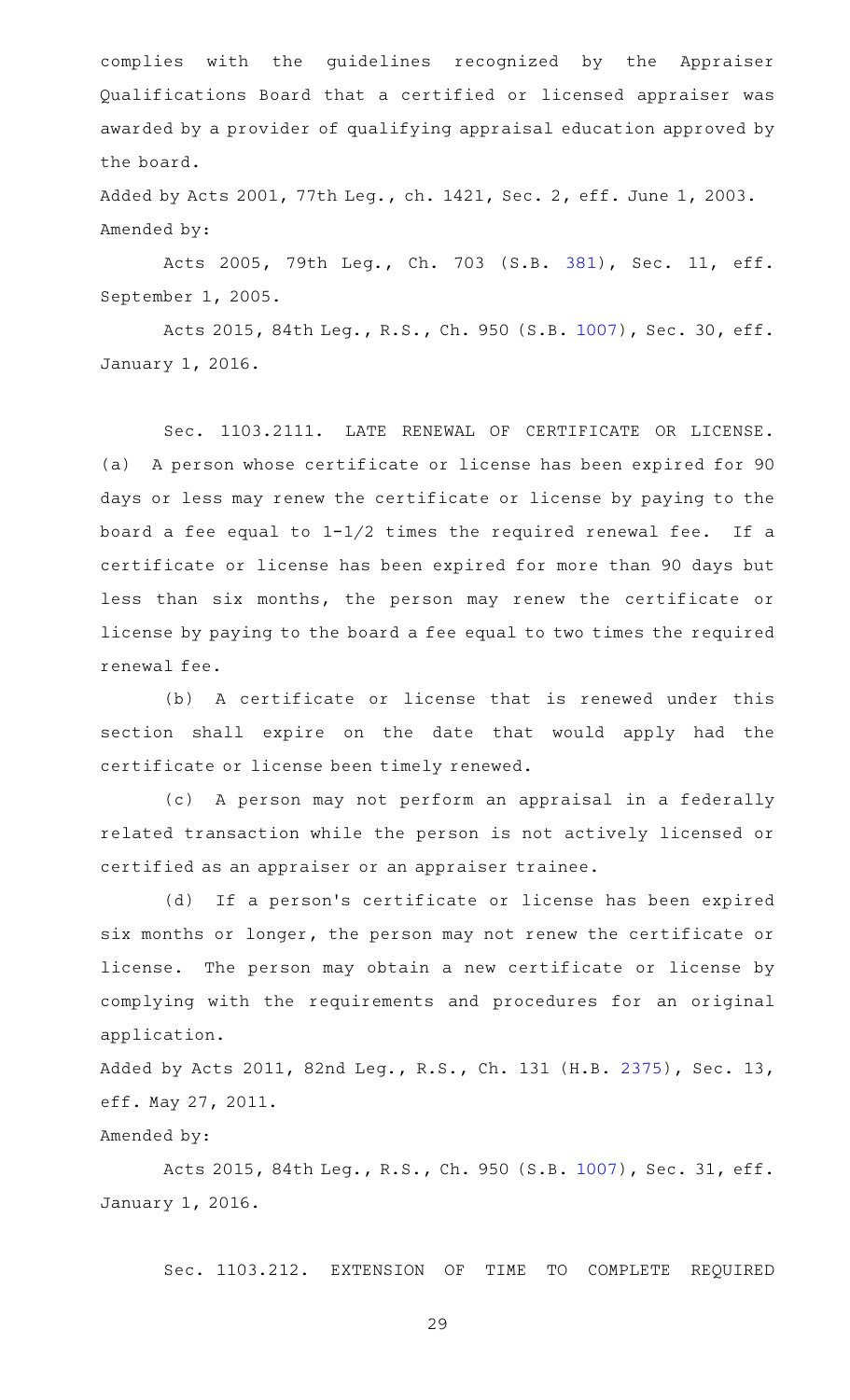complies with the guidelines recognized by the Appraiser Qualifications Board that a certified or licensed appraiser was awarded by a provider of qualifying appraisal education approved by the board.

Added by Acts 2001, 77th Leg., ch. 1421, Sec. 2, eff. June 1, 2003. Amended by:

Acts 2005, 79th Leg., Ch. 703 (S.B. [381\)](http://www.legis.state.tx.us/tlodocs/79R/billtext/html/SB00381F.HTM), Sec. 11, eff. September 1, 2005.

Acts 2015, 84th Leg., R.S., Ch. 950 (S.B. [1007\)](http://www.legis.state.tx.us/tlodocs/84R/billtext/html/SB01007F.HTM), Sec. 30, eff. January 1, 2016.

Sec. 1103.2111. LATE RENEWAL OF CERTIFICATE OR LICENSE. (a) A person whose certificate or license has been expired for 90 days or less may renew the certificate or license by paying to the board a fee equal to  $1-1/2$  times the required renewal fee. If a certificate or license has been expired for more than 90 days but less than six months, the person may renew the certificate or license by paying to the board a fee equal to two times the required renewal fee.

(b) A certificate or license that is renewed under this section shall expire on the date that would apply had the certificate or license been timely renewed.

(c) A person may not perform an appraisal in a federally related transaction while the person is not actively licensed or certified as an appraiser or an appraiser trainee.

(d) If a person's certificate or license has been expired six months or longer, the person may not renew the certificate or license. The person may obtain a new certificate or license by complying with the requirements and procedures for an original application.

Added by Acts 2011, 82nd Leg., R.S., Ch. 131 (H.B. [2375\)](http://www.legis.state.tx.us/tlodocs/82R/billtext/html/HB02375F.HTM), Sec. 13, eff. May 27, 2011.

#### Amended by:

Acts 2015, 84th Leg., R.S., Ch. 950 (S.B. [1007\)](http://www.legis.state.tx.us/tlodocs/84R/billtext/html/SB01007F.HTM), Sec. 31, eff. January 1, 2016.

Sec. 1103.212. EXTENSION OF TIME TO COMPLETE REQUIRED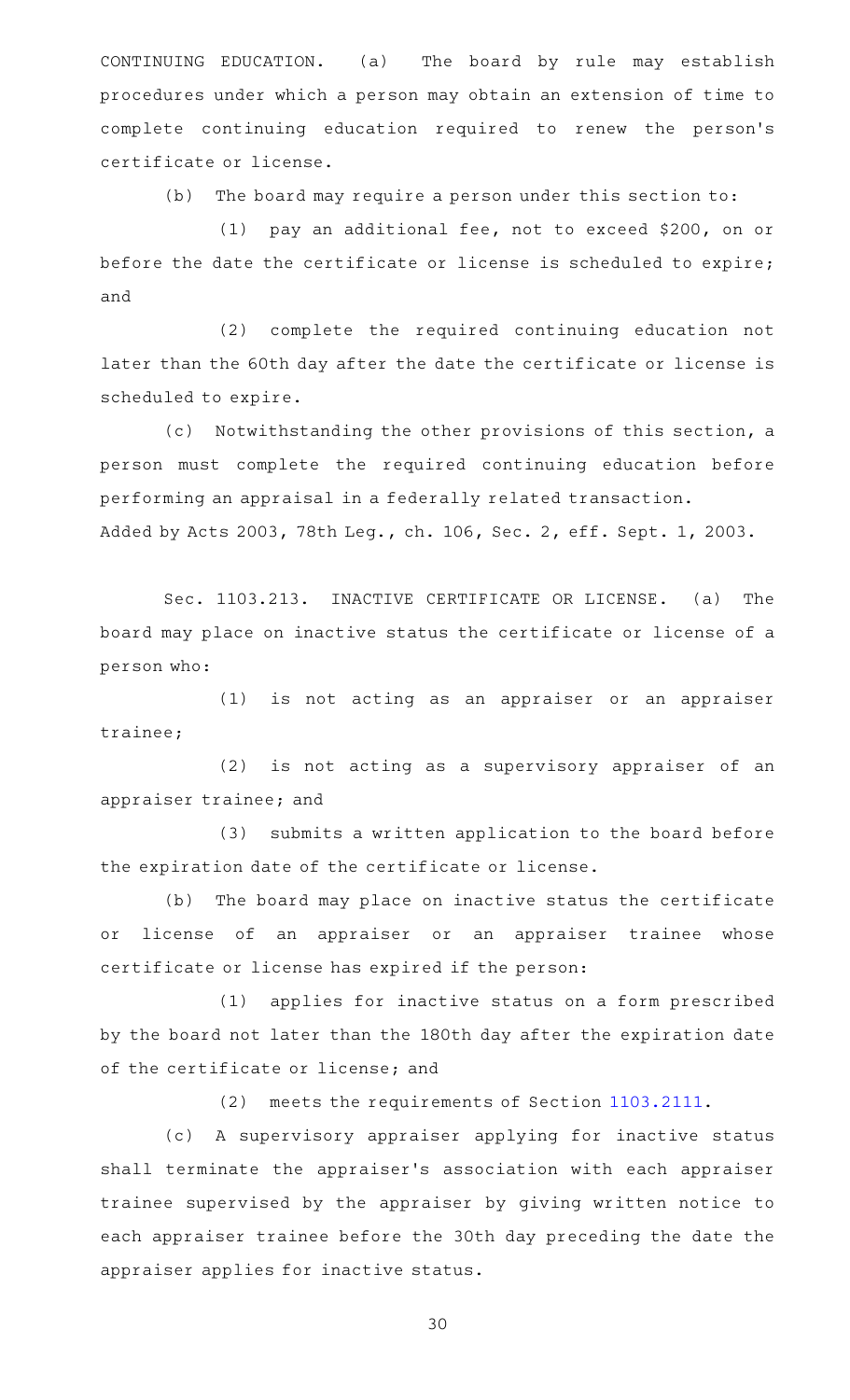CONTINUING EDUCATION. (a) The board by rule may establish procedures under which a person may obtain an extension of time to complete continuing education required to renew the person 's certificate or license.

 $(b)$  The board may require a person under this section to:

(1) pay an additional fee, not to exceed \$200, on or before the date the certificate or license is scheduled to expire; and

(2) complete the required continuing education not later than the 60th day after the date the certificate or license is scheduled to expire.

(c) Notwithstanding the other provisions of this section, a person must complete the required continuing education before performing an appraisal in a federally related transaction. Added by Acts 2003, 78th Leg., ch. 106, Sec. 2, eff. Sept. 1, 2003.

Sec. 1103.213. INACTIVE CERTIFICATE OR LICENSE. (a) The board may place on inactive status the certificate or license of a person who:

(1) is not acting as an appraiser or an appraiser trainee;

(2) is not acting as a supervisory appraiser of an appraiser trainee; and

(3) submits a written application to the board before the expiration date of the certificate or license.

(b) The board may place on inactive status the certificate or license of an appraiser or an appraiser trainee whose certificate or license has expired if the person:

(1) applies for inactive status on a form prescribed by the board not later than the 180th day after the expiration date of the certificate or license; and

(2) meets the requirements of Section [1103.2111](http://www.statutes.legis.state.tx.us/GetStatute.aspx?Code=OC&Value=1103.2111).

(c)AAA supervisory appraiser applying for inactive status shall terminate the appraiser 's association with each appraiser trainee supervised by the appraiser by giving written notice to each appraiser trainee before the 30th day preceding the date the appraiser applies for inactive status.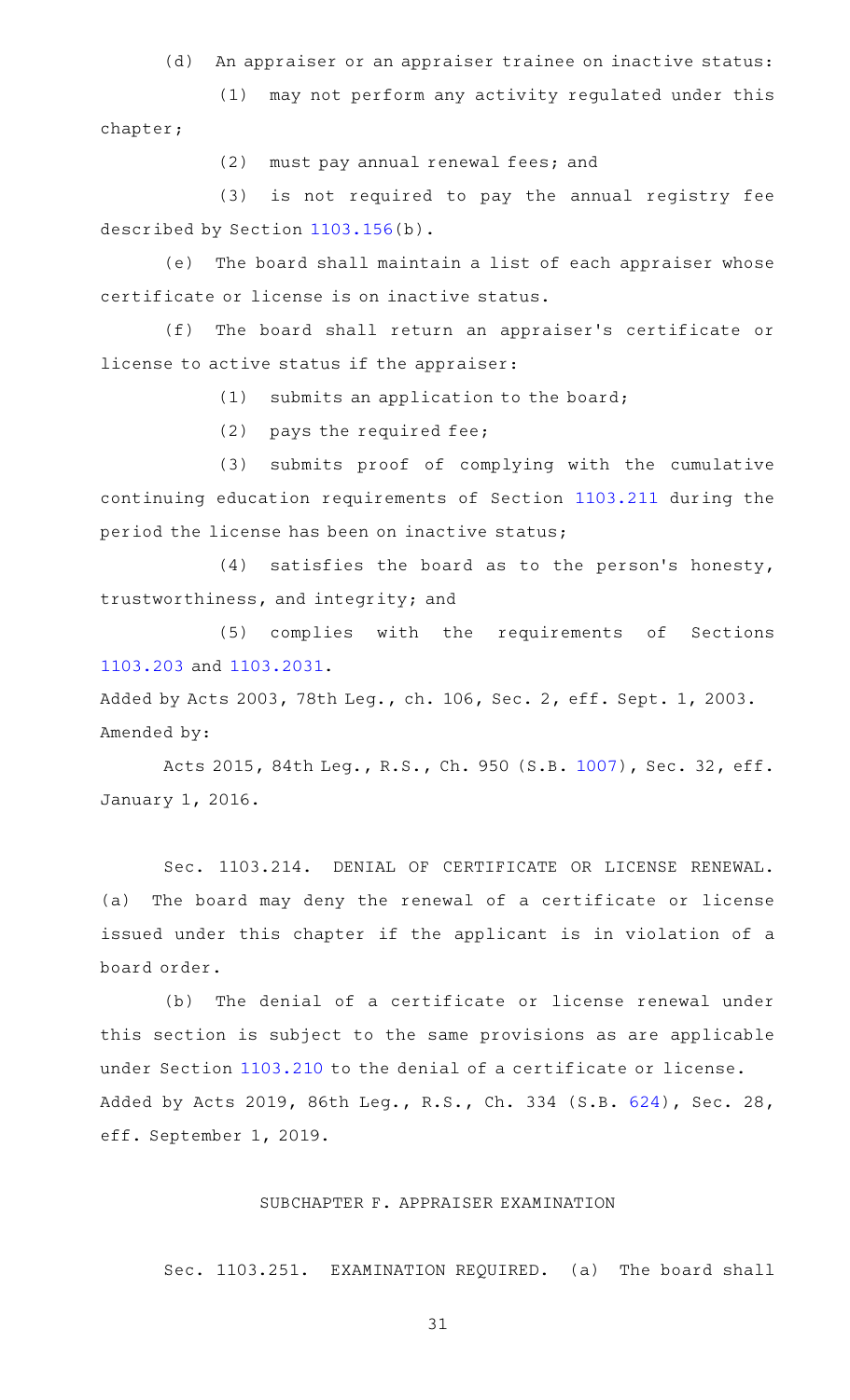(d) An appraiser or an appraiser trainee on inactive status:

(1) may not perform any activity regulated under this chapter;

(2) must pay annual renewal fees; and

(3) is not required to pay the annual registry fee described by Section [1103.156](http://www.statutes.legis.state.tx.us/GetStatute.aspx?Code=OC&Value=1103.156)(b).

(e) The board shall maintain a list of each appraiser whose certificate or license is on inactive status.

(f) The board shall return an appraiser's certificate or license to active status if the appraiser:

 $(1)$  submits an application to the board;

(2) pays the required fee;

(3) submits proof of complying with the cumulative continuing education requirements of Section [1103.211](http://www.statutes.legis.state.tx.us/GetStatute.aspx?Code=OC&Value=1103.211) during the period the license has been on inactive status;

 $(4)$  satisfies the board as to the person's honesty, trustworthiness, and integrity; and

(5) complies with the requirements of Sections [1103.203](http://www.statutes.legis.state.tx.us/GetStatute.aspx?Code=OC&Value=1103.203) and [1103.2031](http://www.statutes.legis.state.tx.us/GetStatute.aspx?Code=OC&Value=1103.2031).

Added by Acts 2003, 78th Leg., ch. 106, Sec. 2, eff. Sept. 1, 2003. Amended by:

Acts 2015, 84th Leg., R.S., Ch. 950 (S.B. [1007\)](http://www.legis.state.tx.us/tlodocs/84R/billtext/html/SB01007F.HTM), Sec. 32, eff. January 1, 2016.

Sec. 1103.214. DENIAL OF CERTIFICATE OR LICENSE RENEWAL. (a) The board may deny the renewal of a certificate or license issued under this chapter if the applicant is in violation of a board order.

(b) The denial of a certificate or license renewal under this section is subject to the same provisions as are applicable under Section [1103.210](http://www.statutes.legis.state.tx.us/GetStatute.aspx?Code=OC&Value=1103.210) to the denial of a certificate or license. Added by Acts 2019, 86th Leg., R.S., Ch. 334 (S.B. [624\)](http://www.legis.state.tx.us/tlodocs/86R/billtext/html/SB00624F.HTM), Sec. 28, eff. September 1, 2019.

#### SUBCHAPTER F. APPRAISER EXAMINATION

Sec. 1103.251. EXAMINATION REQUIRED. (a) The board shall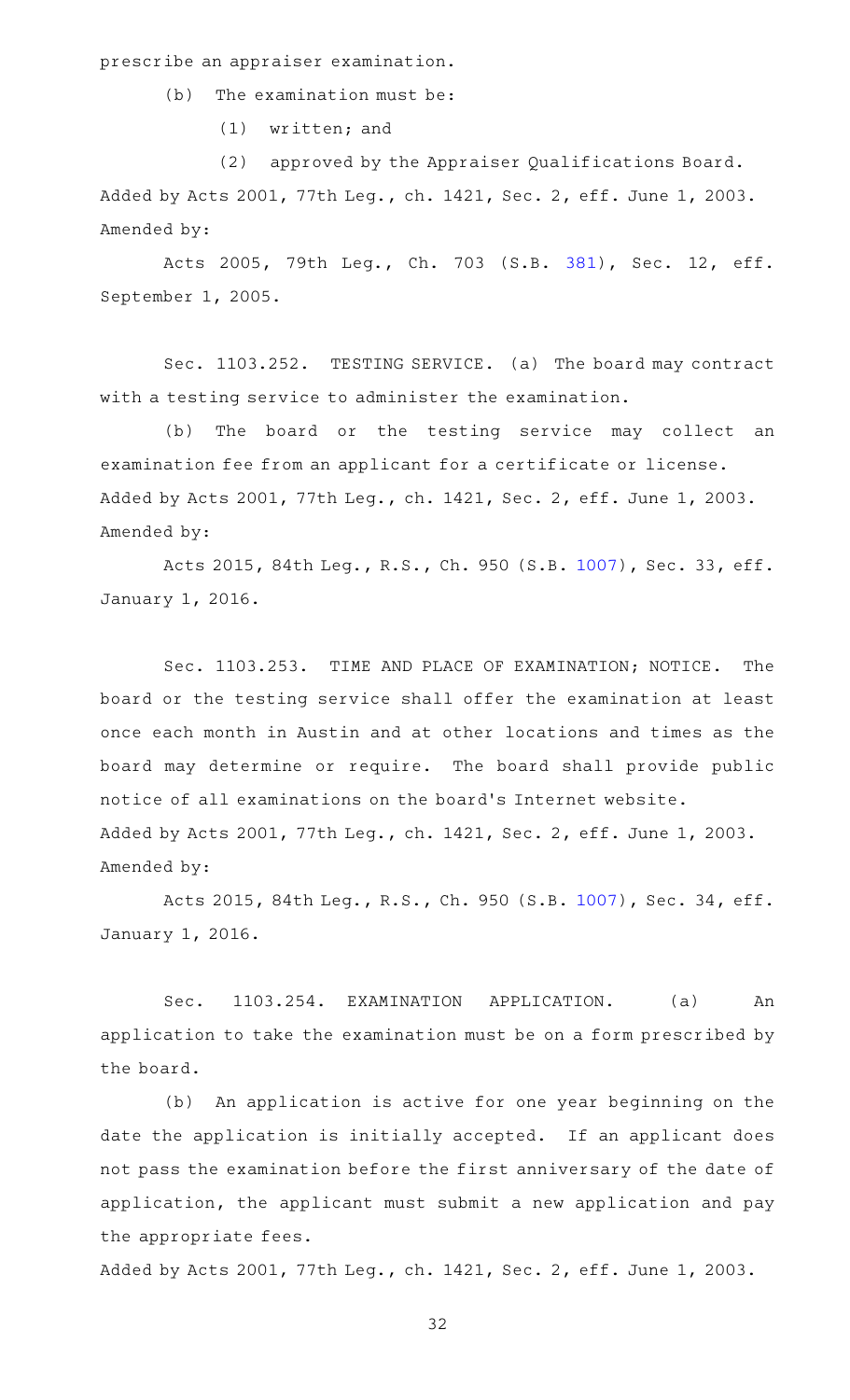prescribe an appraiser examination.

 $(b)$  The examination must be:

 $(1)$  written; and

(2) approved by the Appraiser Qualifications Board. Added by Acts 2001, 77th Leg., ch. 1421, Sec. 2, eff. June 1, 2003. Amended by:

Acts 2005, 79th Leg., Ch. 703 (S.B. [381\)](http://www.legis.state.tx.us/tlodocs/79R/billtext/html/SB00381F.HTM), Sec. 12, eff. September 1, 2005.

Sec. 1103.252. TESTING SERVICE. (a) The board may contract with a testing service to administer the examination.

(b) The board or the testing service may collect an examination fee from an applicant for a certificate or license. Added by Acts 2001, 77th Leg., ch. 1421, Sec. 2, eff. June 1, 2003. Amended by:

Acts 2015, 84th Leg., R.S., Ch. 950 (S.B. [1007\)](http://www.legis.state.tx.us/tlodocs/84R/billtext/html/SB01007F.HTM), Sec. 33, eff. January 1, 2016.

Sec. 1103.253. TIME AND PLACE OF EXAMINATION; NOTICE. The board or the testing service shall offer the examination at least once each month in Austin and at other locations and times as the board may determine or require. The board shall provide public notice of all examinations on the board 's Internet website. Added by Acts 2001, 77th Leg., ch. 1421, Sec. 2, eff. June 1, 2003. Amended by:

Acts 2015, 84th Leg., R.S., Ch. 950 (S.B. [1007\)](http://www.legis.state.tx.us/tlodocs/84R/billtext/html/SB01007F.HTM), Sec. 34, eff. January 1, 2016.

Sec. 1103.254. EXAMINATION APPLICATION. (a) An application to take the examination must be on a form prescribed by the board.

(b) An application is active for one year beginning on the date the application is initially accepted. If an applicant does not pass the examination before the first anniversary of the date of application, the applicant must submit a new application and pay the appropriate fees.

Added by Acts 2001, 77th Leg., ch. 1421, Sec. 2, eff. June 1, 2003.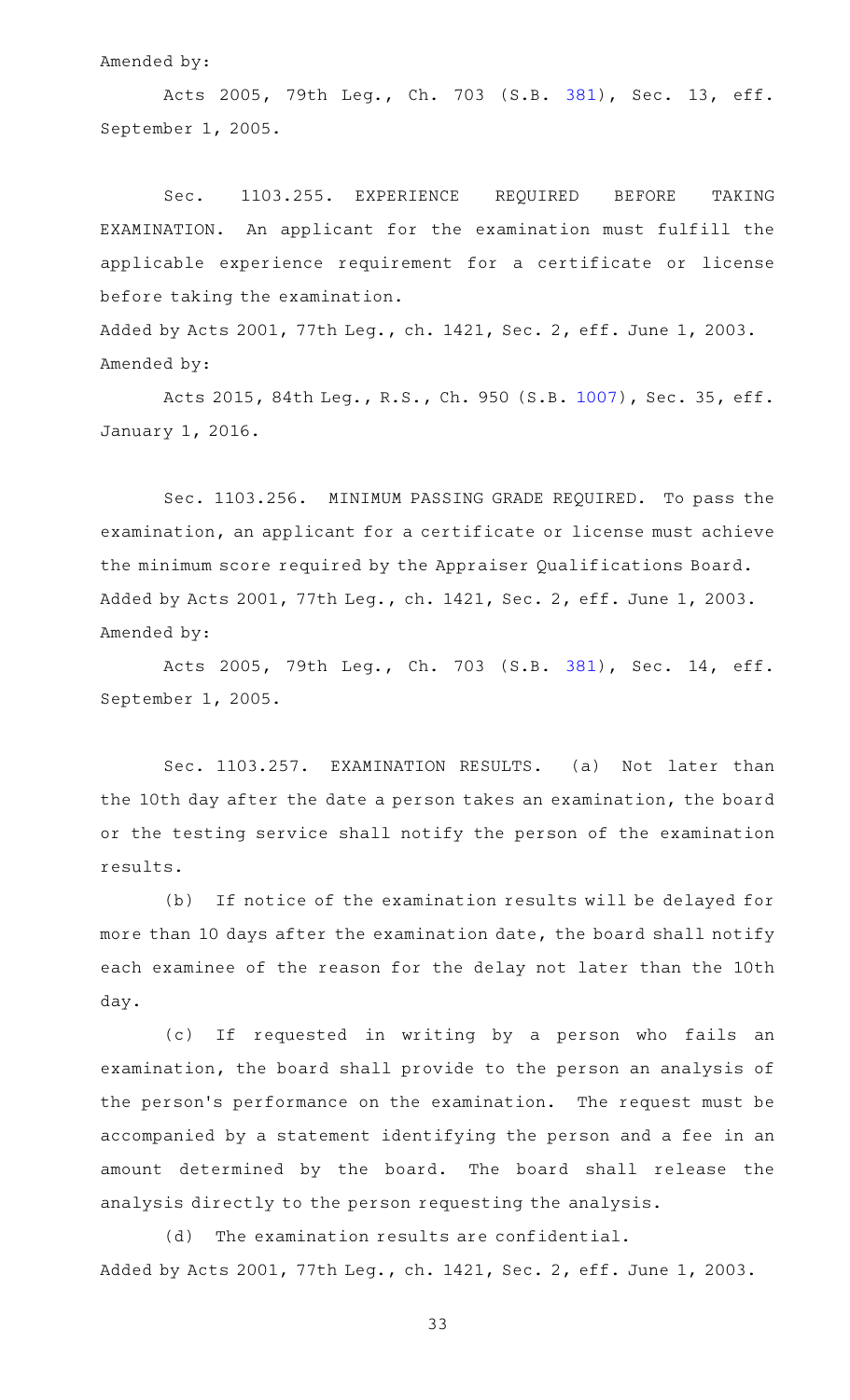Amended by:

Acts 2005, 79th Leg., Ch. 703 (S.B. [381\)](http://www.legis.state.tx.us/tlodocs/79R/billtext/html/SB00381F.HTM), Sec. 13, eff. September 1, 2005.

Sec. 1103.255. EXPERIENCE REQUIRED BEFORE TAKING EXAMINATION. An applicant for the examination must fulfill the applicable experience requirement for a certificate or license before taking the examination.

Added by Acts 2001, 77th Leg., ch. 1421, Sec. 2, eff. June 1, 2003. Amended by:

Acts 2015, 84th Leg., R.S., Ch. 950 (S.B. [1007\)](http://www.legis.state.tx.us/tlodocs/84R/billtext/html/SB01007F.HTM), Sec. 35, eff. January 1, 2016.

Sec. 1103.256. MINIMUM PASSING GRADE REQUIRED. To pass the examination, an applicant for a certificate or license must achieve the minimum score required by the Appraiser Qualifications Board. Added by Acts 2001, 77th Leg., ch. 1421, Sec. 2, eff. June 1, 2003. Amended by:

Acts 2005, 79th Leg., Ch. 703 (S.B. [381\)](http://www.legis.state.tx.us/tlodocs/79R/billtext/html/SB00381F.HTM), Sec. 14, eff. September 1, 2005.

Sec. 1103.257. EXAMINATION RESULTS. (a) Not later than the 10th day after the date a person takes an examination, the board or the testing service shall notify the person of the examination results.

(b) If notice of the examination results will be delayed for more than 10 days after the examination date, the board shall notify each examinee of the reason for the delay not later than the 10th day.

(c) If requested in writing by a person who fails an examination, the board shall provide to the person an analysis of the person's performance on the examination. The request must be accompanied by a statement identifying the person and a fee in an amount determined by the board. The board shall release the analysis directly to the person requesting the analysis.

 $(d)$  The examination results are confidential. Added by Acts 2001, 77th Leg., ch. 1421, Sec. 2, eff. June 1, 2003.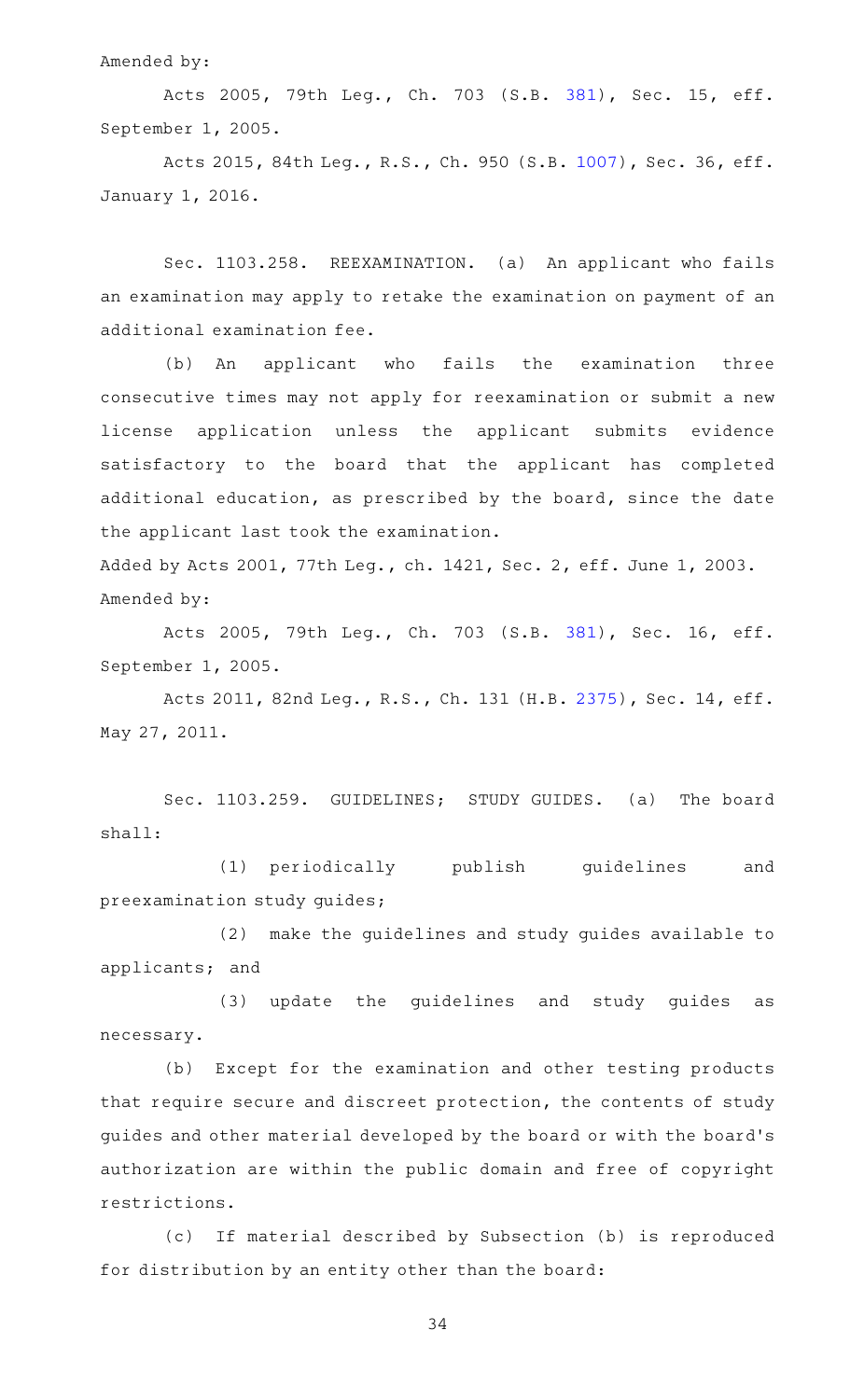#### Amended by:

Acts 2005, 79th Leg., Ch. 703 (S.B. [381\)](http://www.legis.state.tx.us/tlodocs/79R/billtext/html/SB00381F.HTM), Sec. 15, eff. September 1, 2005.

Acts 2015, 84th Leg., R.S., Ch. 950 (S.B. [1007\)](http://www.legis.state.tx.us/tlodocs/84R/billtext/html/SB01007F.HTM), Sec. 36, eff. January 1, 2016.

Sec. 1103.258. REEXAMINATION. (a) An applicant who fails an examination may apply to retake the examination on payment of an additional examination fee.

(b) An applicant who fails the examination three consecutive times may not apply for reexamination or submit a new license application unless the applicant submits evidence satisfactory to the board that the applicant has completed additional education, as prescribed by the board, since the date the applicant last took the examination.

Added by Acts 2001, 77th Leg., ch. 1421, Sec. 2, eff. June 1, 2003. Amended by:

Acts 2005, 79th Leg., Ch. 703 (S.B. [381\)](http://www.legis.state.tx.us/tlodocs/79R/billtext/html/SB00381F.HTM), Sec. 16, eff. September 1, 2005.

Acts 2011, 82nd Leg., R.S., Ch. 131 (H.B. [2375\)](http://www.legis.state.tx.us/tlodocs/82R/billtext/html/HB02375F.HTM), Sec. 14, eff. May 27, 2011.

Sec. 1103.259. GUIDELINES; STUDY GUIDES. (a) The board shall:

(1) periodically publish guidelines and preexamination study guides;

(2) make the guidelines and study guides available to applicants; and

(3) update the quidelines and study quides as necessary.

(b) Except for the examination and other testing products that require secure and discreet protection, the contents of study guides and other material developed by the board or with the board 's authorization are within the public domain and free of copyright restrictions.

(c) If material described by Subsection (b) is reproduced for distribution by an entity other than the board: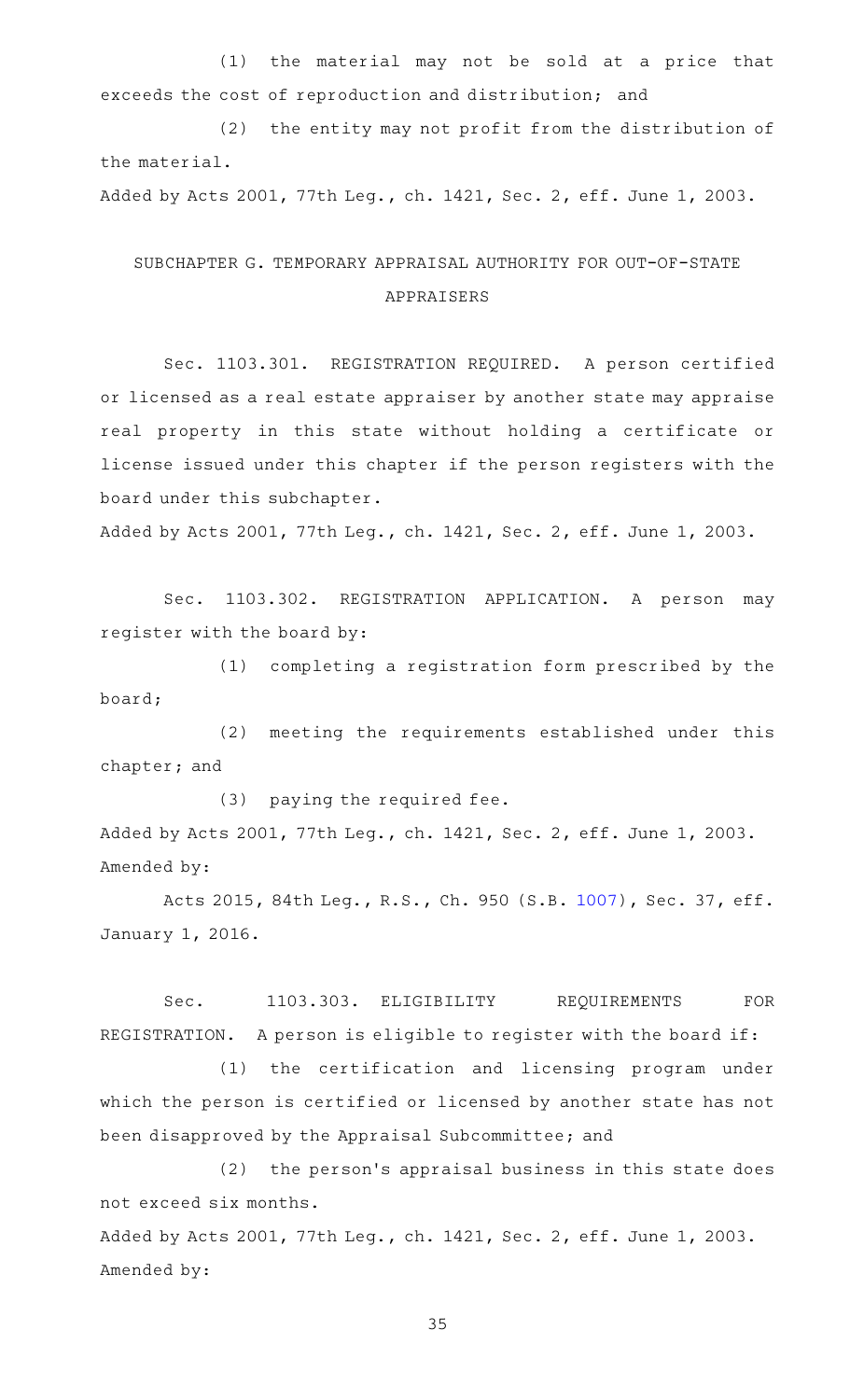(1) the material may not be sold at a price that exceeds the cost of reproduction and distribution; and

(2) the entity may not profit from the distribution of the material.

Added by Acts 2001, 77th Leg., ch. 1421, Sec. 2, eff. June 1, 2003.

### SUBCHAPTER G. TEMPORARY APPRAISAL AUTHORITY FOR OUT-OF-STATE APPRAISERS

Sec. 1103.301. REGISTRATION REQUIRED. A person certified or licensed as a real estate appraiser by another state may appraise real property in this state without holding a certificate or license issued under this chapter if the person registers with the board under this subchapter.

Added by Acts 2001, 77th Leg., ch. 1421, Sec. 2, eff. June 1, 2003.

Sec. 1103.302. REGISTRATION APPLICATION. A person may register with the board by:

(1) completing a registration form prescribed by the board;

(2) meeting the requirements established under this chapter; and

(3) paying the required fee. Added by Acts 2001, 77th Leg., ch. 1421, Sec. 2, eff. June 1, 2003. Amended by:

Acts 2015, 84th Leg., R.S., Ch. 950 (S.B. [1007\)](http://www.legis.state.tx.us/tlodocs/84R/billtext/html/SB01007F.HTM), Sec. 37, eff. January 1, 2016.

Sec. 1103.303. ELIGIBILITY REQUIREMENTS FOR REGISTRATION. A person is eligible to register with the board if:

(1) the certification and licensing program under which the person is certified or licensed by another state has not been disapproved by the Appraisal Subcommittee; and

(2) the person's appraisal business in this state does not exceed six months.

Added by Acts 2001, 77th Leg., ch. 1421, Sec. 2, eff. June 1, 2003. Amended by: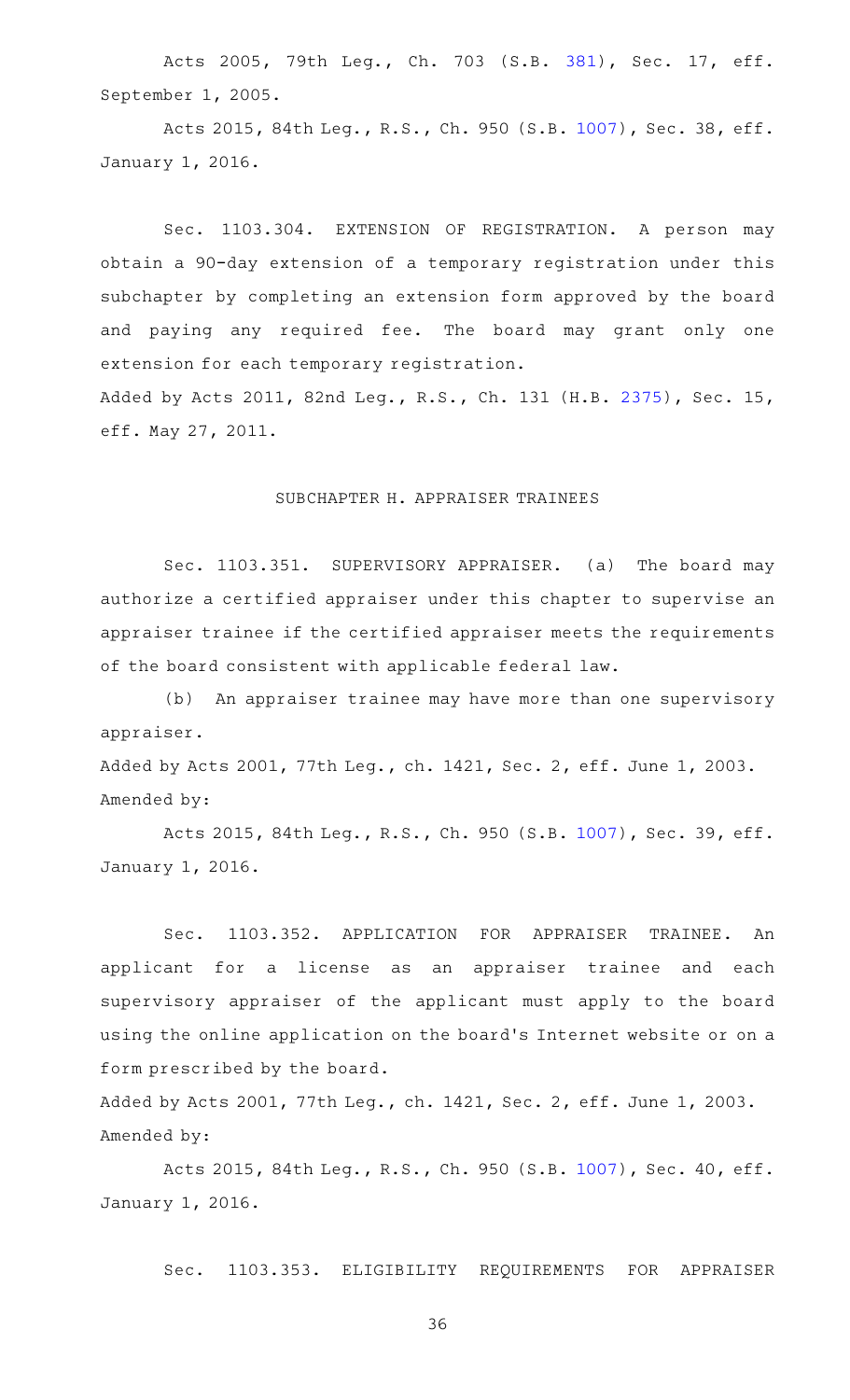Acts 2005, 79th Leg., Ch. 703 (S.B. [381\)](http://www.legis.state.tx.us/tlodocs/79R/billtext/html/SB00381F.HTM), Sec. 17, eff. September 1, 2005.

Acts 2015, 84th Leg., R.S., Ch. 950 (S.B. [1007\)](http://www.legis.state.tx.us/tlodocs/84R/billtext/html/SB01007F.HTM), Sec. 38, eff. January 1, 2016.

Sec. 1103.304. EXTENSION OF REGISTRATION. A person may obtain a 90-day extension of a temporary registration under this subchapter by completing an extension form approved by the board and paying any required fee. The board may grant only one extension for each temporary registration. Added by Acts 2011, 82nd Leg., R.S., Ch. 131 (H.B. [2375\)](http://www.legis.state.tx.us/tlodocs/82R/billtext/html/HB02375F.HTM), Sec. 15,

eff. May 27, 2011.

#### SUBCHAPTER H. APPRAISER TRAINEES

Sec. 1103.351. SUPERVISORY APPRAISER. (a) The board may authorize a certified appraiser under this chapter to supervise an appraiser trainee if the certified appraiser meets the requirements of the board consistent with applicable federal law.

(b) An appraiser trainee may have more than one supervisory appraiser.

Added by Acts 2001, 77th Leg., ch. 1421, Sec. 2, eff. June 1, 2003. Amended by:

Acts 2015, 84th Leg., R.S., Ch. 950 (S.B. [1007\)](http://www.legis.state.tx.us/tlodocs/84R/billtext/html/SB01007F.HTM), Sec. 39, eff. January 1, 2016.

Sec. 1103.352. APPLICATION FOR APPRAISER TRAINEE. An applicant for a license as an appraiser trainee and each supervisory appraiser of the applicant must apply to the board using the online application on the board's Internet website or on a form prescribed by the board.

Added by Acts 2001, 77th Leg., ch. 1421, Sec. 2, eff. June 1, 2003. Amended by:

Acts 2015, 84th Leg., R.S., Ch. 950 (S.B. [1007\)](http://www.legis.state.tx.us/tlodocs/84R/billtext/html/SB01007F.HTM), Sec. 40, eff. January 1, 2016.

Sec. 1103.353. ELIGIBILITY REQUIREMENTS FOR APPRAISER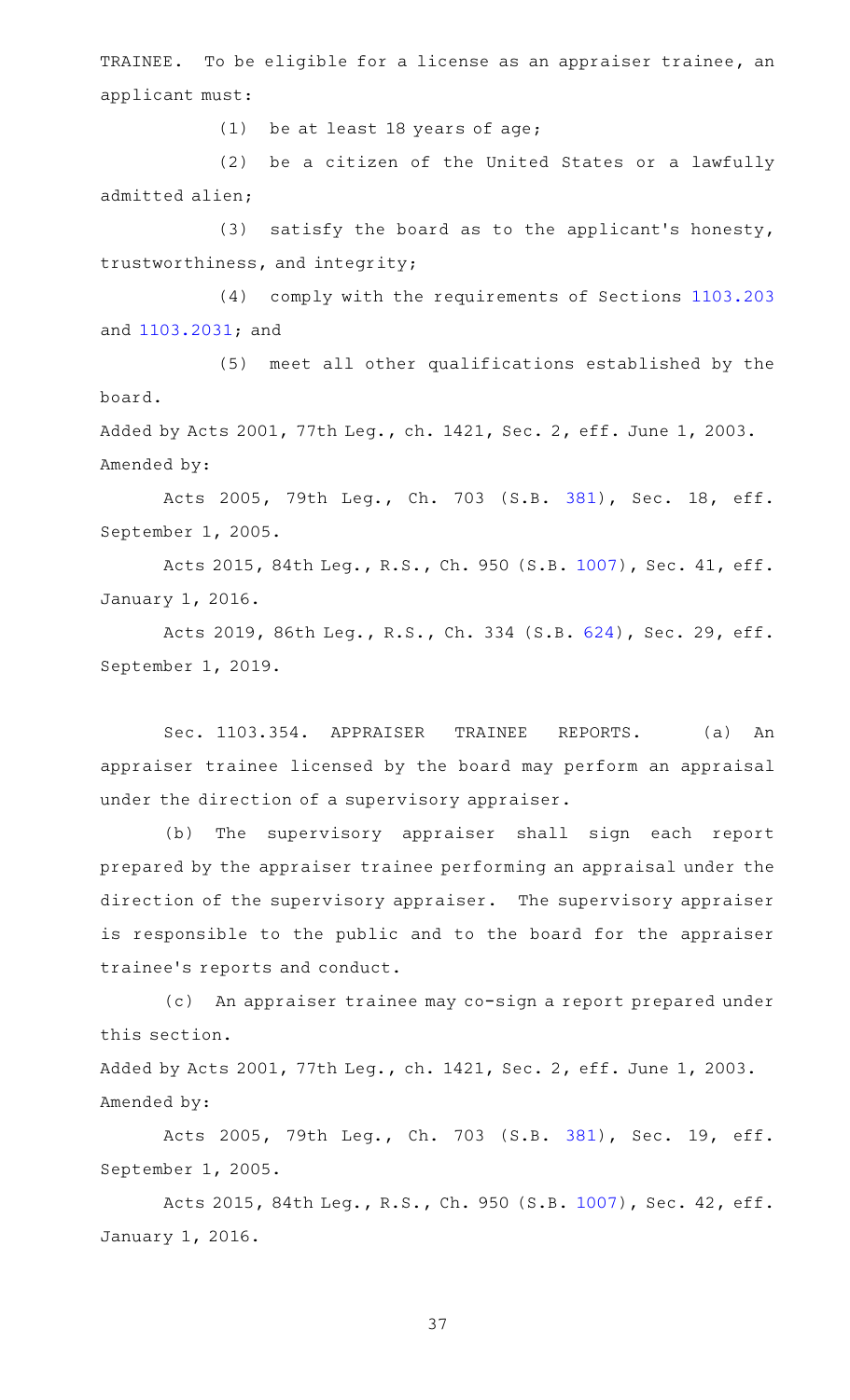TRAINEE. To be eligible for a license as an appraiser trainee, an applicant must:

(1) be at least 18 years of age;

(2) be a citizen of the United States or a lawfully admitted alien;

(3) satisfy the board as to the applicant's honesty, trustworthiness, and integrity;

(4) comply with the requirements of Sections [1103.203](http://www.statutes.legis.state.tx.us/GetStatute.aspx?Code=OC&Value=1103.203) and [1103.2031;](http://www.statutes.legis.state.tx.us/GetStatute.aspx?Code=OC&Value=1103.2031) and

(5) meet all other qualifications established by the board.

Added by Acts 2001, 77th Leg., ch. 1421, Sec. 2, eff. June 1, 2003. Amended by:

Acts 2005, 79th Leg., Ch. 703 (S.B. [381\)](http://www.legis.state.tx.us/tlodocs/79R/billtext/html/SB00381F.HTM), Sec. 18, eff. September 1, 2005.

Acts 2015, 84th Leg., R.S., Ch. 950 (S.B. [1007\)](http://www.legis.state.tx.us/tlodocs/84R/billtext/html/SB01007F.HTM), Sec. 41, eff. January 1, 2016.

Acts 2019, 86th Leg., R.S., Ch. 334 (S.B. [624\)](http://www.legis.state.tx.us/tlodocs/86R/billtext/html/SB00624F.HTM), Sec. 29, eff. September 1, 2019.

Sec. 1103.354. APPRAISER TRAINEE REPORTS. (a) An appraiser trainee licensed by the board may perform an appraisal under the direction of a supervisory appraiser.

(b) The supervisory appraiser shall sign each report prepared by the appraiser trainee performing an appraisal under the direction of the supervisory appraiser. The supervisory appraiser is responsible to the public and to the board for the appraiser trainee 's reports and conduct.

(c) An appraiser trainee may co-sign a report prepared under this section.

Added by Acts 2001, 77th Leg., ch. 1421, Sec. 2, eff. June 1, 2003. Amended by:

Acts 2005, 79th Leg., Ch. 703 (S.B. [381\)](http://www.legis.state.tx.us/tlodocs/79R/billtext/html/SB00381F.HTM), Sec. 19, eff. September 1, 2005.

Acts 2015, 84th Leg., R.S., Ch. 950 (S.B. [1007\)](http://www.legis.state.tx.us/tlodocs/84R/billtext/html/SB01007F.HTM), Sec. 42, eff. January 1, 2016.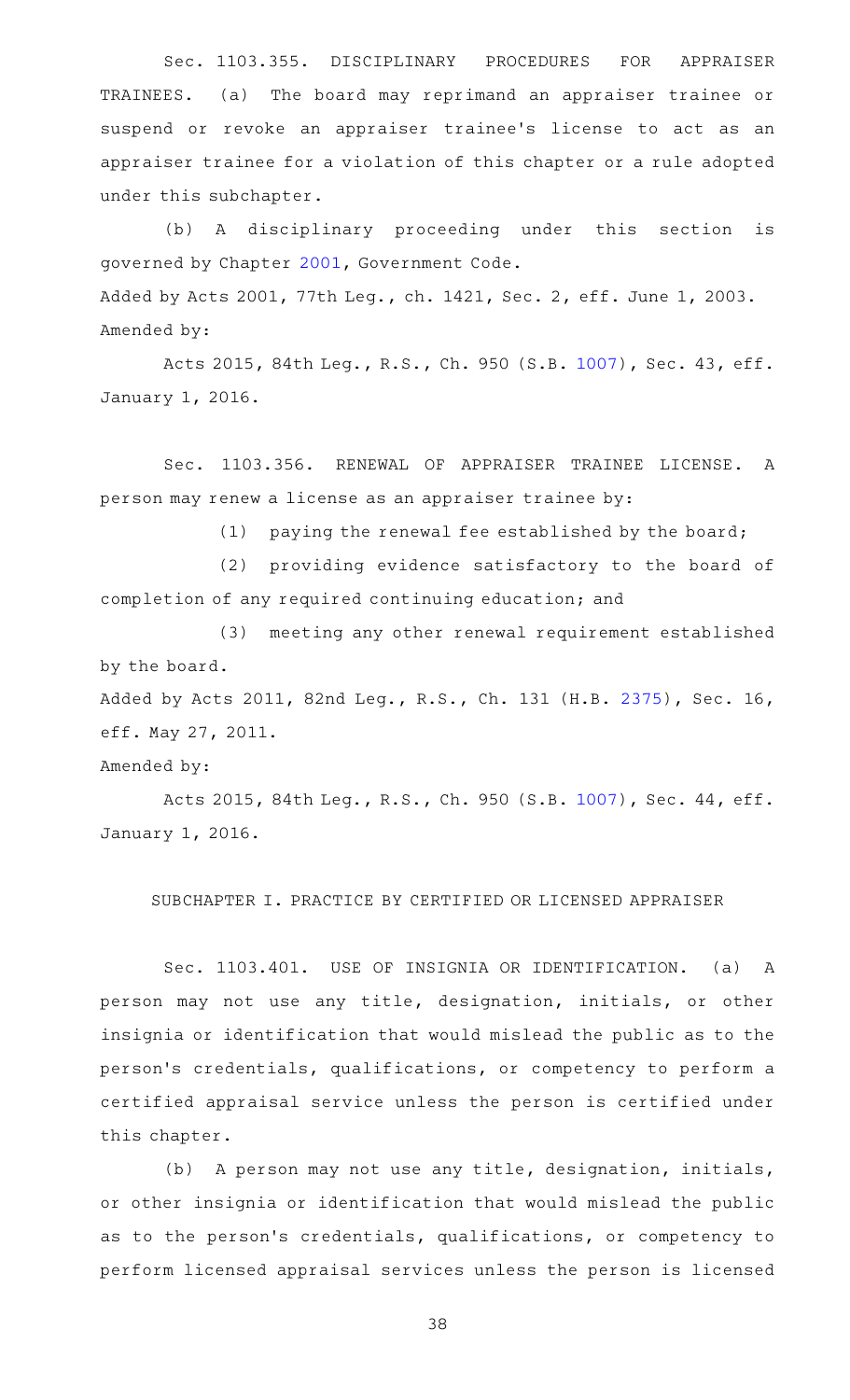Sec. 1103.355. DISCIPLINARY PROCEDURES FOR APPRAISER TRAINEES. (a) The board may reprimand an appraiser trainee or suspend or revoke an appraiser trainee's license to act as an appraiser trainee for a violation of this chapter or a rule adopted under this subchapter.

(b) A disciplinary proceeding under this section is governed by Chapter [2001,](http://www.statutes.legis.state.tx.us/GetStatute.aspx?Code=GV&Value=2001) Government Code. Added by Acts 2001, 77th Leg., ch. 1421, Sec. 2, eff. June 1, 2003. Amended by:

Acts 2015, 84th Leg., R.S., Ch. 950 (S.B. [1007\)](http://www.legis.state.tx.us/tlodocs/84R/billtext/html/SB01007F.HTM), Sec. 43, eff. January 1, 2016.

Sec. 1103.356. RENEWAL OF APPRAISER TRAINEE LICENSE. A person may renew a license as an appraiser trainee by:

 $(1)$  paying the renewal fee established by the board;

(2) providing evidence satisfactory to the board of completion of any required continuing education; and

(3) meeting any other renewal requirement established by the board.

Added by Acts 2011, 82nd Leg., R.S., Ch. 131 (H.B. [2375\)](http://www.legis.state.tx.us/tlodocs/82R/billtext/html/HB02375F.HTM), Sec. 16, eff. May 27, 2011.

Amended by:

Acts 2015, 84th Leg., R.S., Ch. 950 (S.B. [1007\)](http://www.legis.state.tx.us/tlodocs/84R/billtext/html/SB01007F.HTM), Sec. 44, eff. January 1, 2016.

SUBCHAPTER I. PRACTICE BY CERTIFIED OR LICENSED APPRAISER

Sec. 1103.401. USE OF INSIGNIA OR IDENTIFICATION. (a) A person may not use any title, designation, initials, or other insignia or identification that would mislead the public as to the person 's credentials, qualifications, or competency to perform a certified appraisal service unless the person is certified under this chapter.

(b) A person may not use any title, designation, initials, or other insignia or identification that would mislead the public as to the person's credentials, qualifications, or competency to perform licensed appraisal services unless the person is licensed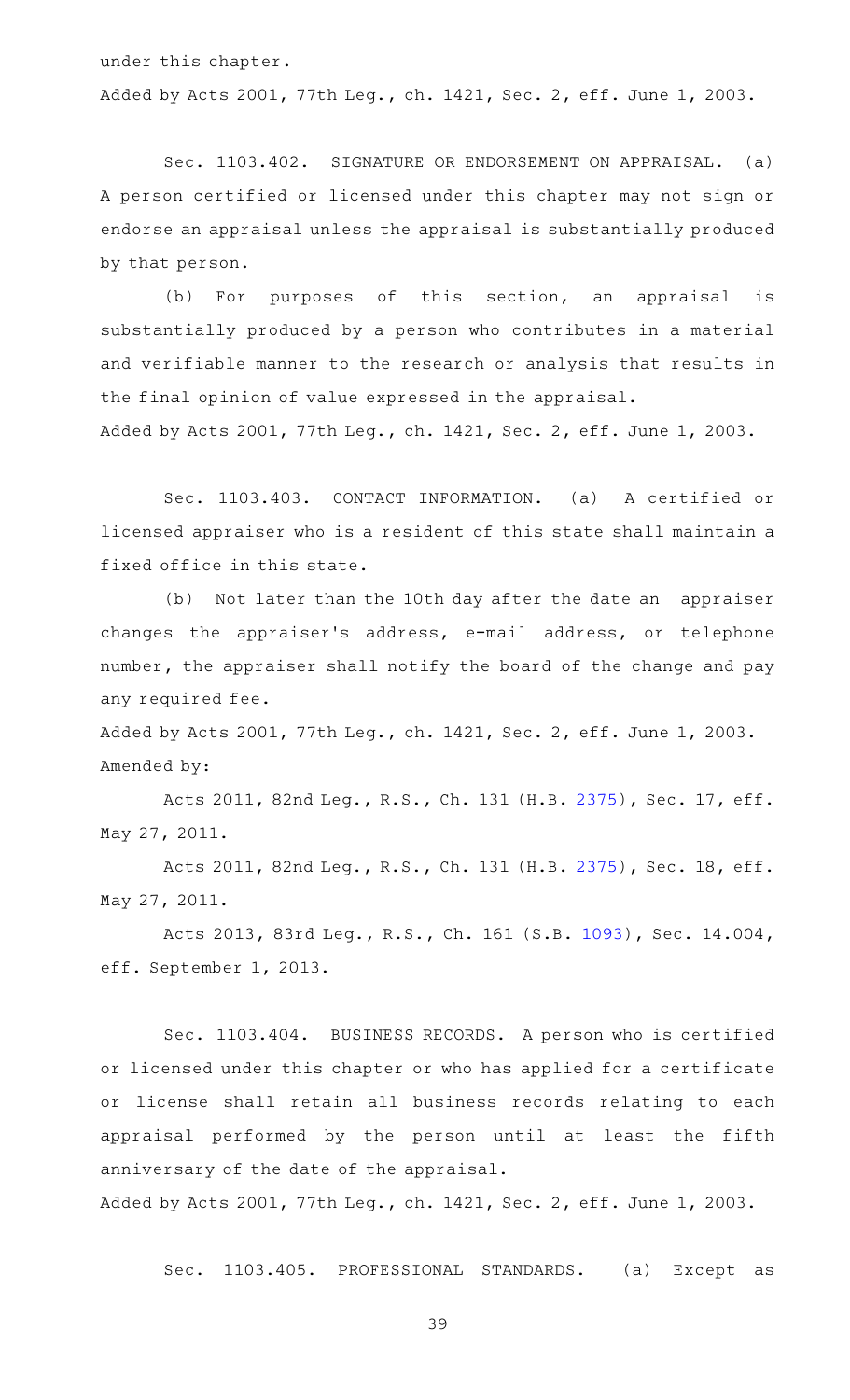under this chapter. Added by Acts 2001, 77th Leg., ch. 1421, Sec. 2, eff. June 1, 2003.

Sec. 1103.402. SIGNATURE OR ENDORSEMENT ON APPRAISAL. (a) A person certified or licensed under this chapter may not sign or endorse an appraisal unless the appraisal is substantially produced by that person.

(b) For purposes of this section, an appraisal is substantially produced by a person who contributes in a material and verifiable manner to the research or analysis that results in the final opinion of value expressed in the appraisal.

Added by Acts 2001, 77th Leg., ch. 1421, Sec. 2, eff. June 1, 2003.

Sec. 1103.403. CONTACT INFORMATION. (a) A certified or licensed appraiser who is a resident of this state shall maintain a fixed office in this state.

(b) Not later than the 10th day after the date an appraiser changes the appraiser 's address, e-mail address, or telephone number, the appraiser shall notify the board of the change and pay any required fee.

Added by Acts 2001, 77th Leg., ch. 1421, Sec. 2, eff. June 1, 2003. Amended by:

Acts 2011, 82nd Leg., R.S., Ch. 131 (H.B. [2375\)](http://www.legis.state.tx.us/tlodocs/82R/billtext/html/HB02375F.HTM), Sec. 17, eff. May 27, 2011.

Acts 2011, 82nd Leg., R.S., Ch. 131 (H.B. [2375\)](http://www.legis.state.tx.us/tlodocs/82R/billtext/html/HB02375F.HTM), Sec. 18, eff. May 27, 2011.

Acts 2013, 83rd Leg., R.S., Ch. 161 (S.B. [1093\)](http://www.legis.state.tx.us/tlodocs/83R/billtext/html/SB01093F.HTM), Sec. 14.004, eff. September 1, 2013.

Sec. 1103.404. BUSINESS RECORDS. A person who is certified or licensed under this chapter or who has applied for a certificate or license shall retain all business records relating to each appraisal performed by the person until at least the fifth anniversary of the date of the appraisal.

Added by Acts 2001, 77th Leg., ch. 1421, Sec. 2, eff. June 1, 2003.

Sec. 1103.405. PROFESSIONAL STANDARDS. (a) Except as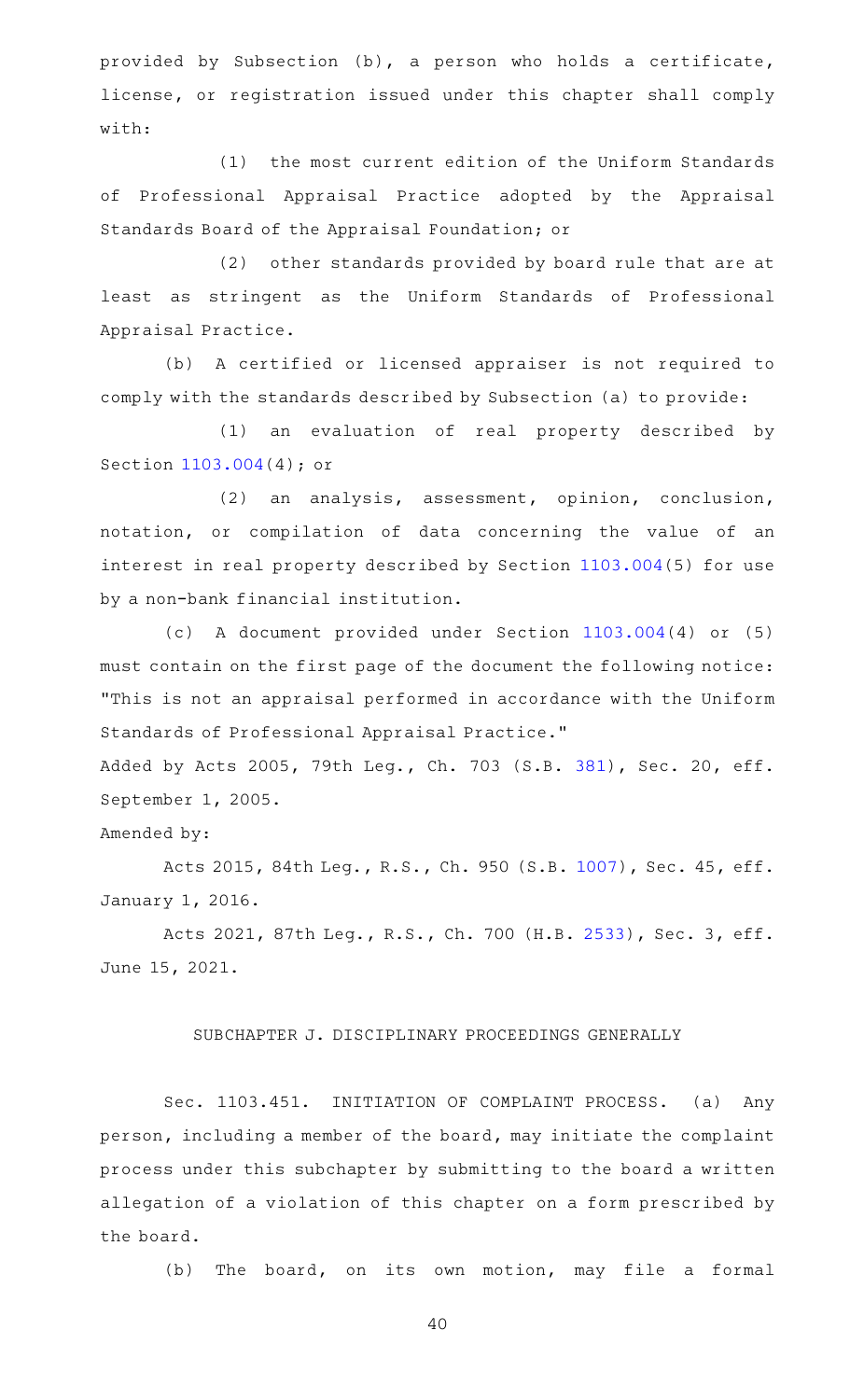provided by Subsection (b), a person who holds a certificate, license, or registration issued under this chapter shall comply with:

(1) the most current edition of the Uniform Standards of Professional Appraisal Practice adopted by the Appraisal Standards Board of the Appraisal Foundation; or

(2) other standards provided by board rule that are at least as stringent as the Uniform Standards of Professional Appraisal Practice.

(b) A certified or licensed appraiser is not required to comply with the standards described by Subsection (a) to provide:

(1) an evaluation of real property described by Section [1103.004](http://www.statutes.legis.state.tx.us/GetStatute.aspx?Code=OC&Value=1103.004)(4); or

(2) an analysis, assessment, opinion, conclusion, notation, or compilation of data concerning the value of an interest in real property described by Section [1103.004\(](http://www.statutes.legis.state.tx.us/GetStatute.aspx?Code=OC&Value=1103.004)5) for use by a non-bank financial institution.

(c)AAA document provided under Section [1103.004\(](http://www.statutes.legis.state.tx.us/GetStatute.aspx?Code=OC&Value=1103.004)4) or (5) must contain on the first page of the document the following notice: "This is not an appraisal performed in accordance with the Uniform Standards of Professional Appraisal Practice."

Added by Acts 2005, 79th Leg., Ch. 703 (S.B. [381](http://www.legis.state.tx.us/tlodocs/79R/billtext/html/SB00381F.HTM)), Sec. 20, eff. September 1, 2005.

#### Amended by:

Acts 2015, 84th Leg., R.S., Ch. 950 (S.B. [1007\)](http://www.legis.state.tx.us/tlodocs/84R/billtext/html/SB01007F.HTM), Sec. 45, eff. January 1, 2016.

Acts 2021, 87th Leg., R.S., Ch. 700 (H.B. [2533](http://www.legis.state.tx.us/tlodocs/87R/billtext/html/HB02533F.HTM)), Sec. 3, eff. June 15, 2021.

#### SUBCHAPTER J. DISCIPLINARY PROCEEDINGS GENERALLY

Sec. 1103.451. INITIATION OF COMPLAINT PROCESS. (a) Any person, including a member of the board, may initiate the complaint process under this subchapter by submitting to the board a written allegation of a violation of this chapter on a form prescribed by the board.

(b) The board, on its own motion, may file a formal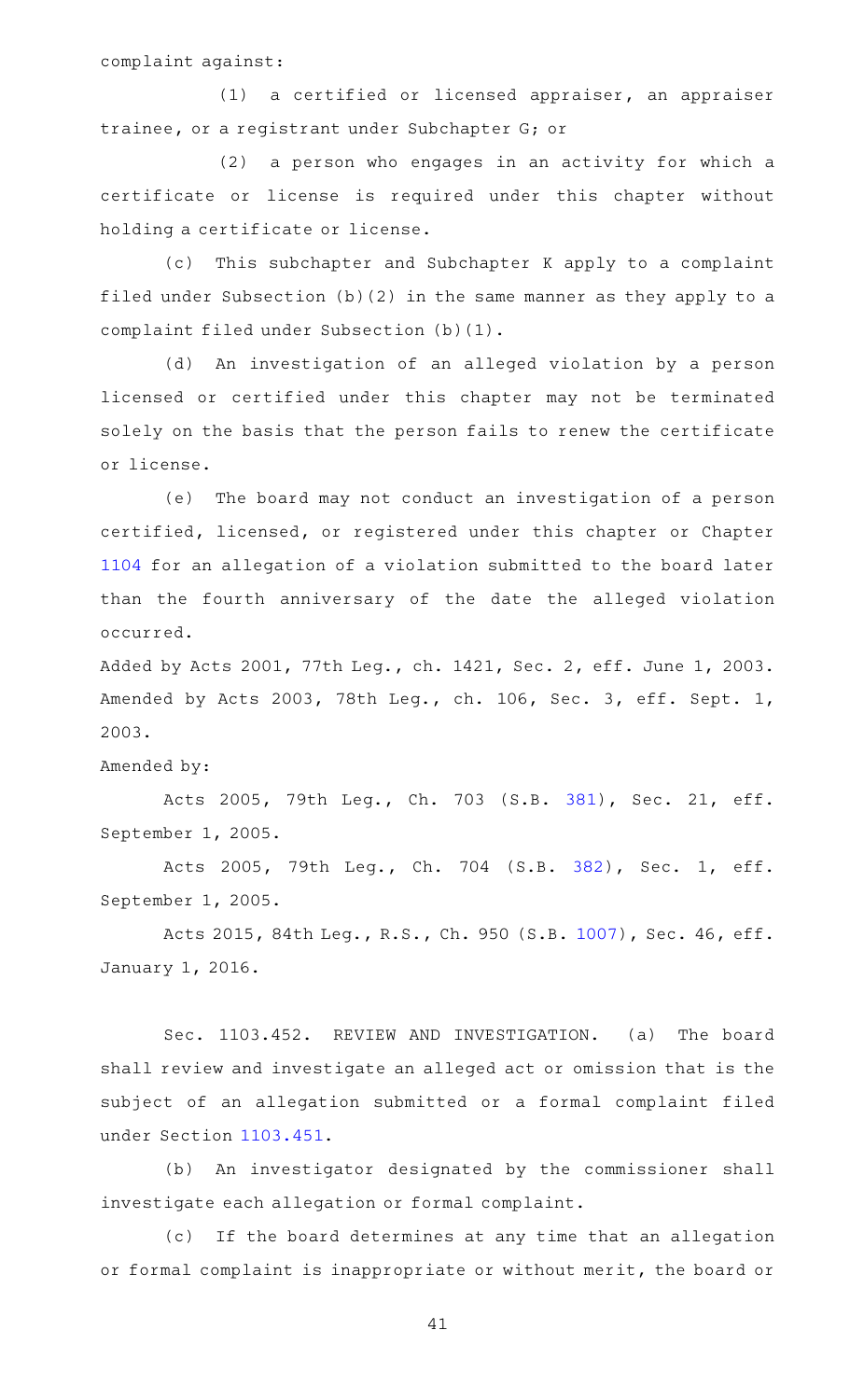complaint against:

 $(1)$  a certified or licensed appraiser, an appraiser trainee, or a registrant under Subchapter G; or

(2) a person who engages in an activity for which a certificate or license is required under this chapter without holding a certificate or license.

(c) This subchapter and Subchapter K apply to a complaint filed under Subsection (b)(2) in the same manner as they apply to a complaint filed under Subsection (b)(1).

(d) An investigation of an alleged violation by a person licensed or certified under this chapter may not be terminated solely on the basis that the person fails to renew the certificate or license.

(e) The board may not conduct an investigation of a person certified, licensed, or registered under this chapter or Chapter [1104](http://www.statutes.legis.state.tx.us/GetStatute.aspx?Code=OC&Value=1104) for an allegation of a violation submitted to the board later than the fourth anniversary of the date the alleged violation occurred.

Added by Acts 2001, 77th Leg., ch. 1421, Sec. 2, eff. June 1, 2003. Amended by Acts 2003, 78th Leg., ch. 106, Sec. 3, eff. Sept. 1, 2003.

Amended by:

Acts 2005, 79th Leg., Ch. 703 (S.B. [381\)](http://www.legis.state.tx.us/tlodocs/79R/billtext/html/SB00381F.HTM), Sec. 21, eff. September 1, 2005.

Acts 2005, 79th Leg., Ch. 704 (S.B. [382\)](http://www.legis.state.tx.us/tlodocs/79R/billtext/html/SB00382F.HTM), Sec. 1, eff. September 1, 2005.

Acts 2015, 84th Leg., R.S., Ch. 950 (S.B. [1007\)](http://www.legis.state.tx.us/tlodocs/84R/billtext/html/SB01007F.HTM), Sec. 46, eff. January 1, 2016.

Sec. 1103.452. REVIEW AND INVESTIGATION. (a) The board shall review and investigate an alleged act or omission that is the subject of an allegation submitted or a formal complaint filed under Section [1103.451](http://www.statutes.legis.state.tx.us/GetStatute.aspx?Code=OC&Value=1103.451).

(b) An investigator designated by the commissioner shall investigate each allegation or formal complaint.

(c) If the board determines at any time that an allegation or formal complaint is inappropriate or without merit, the board or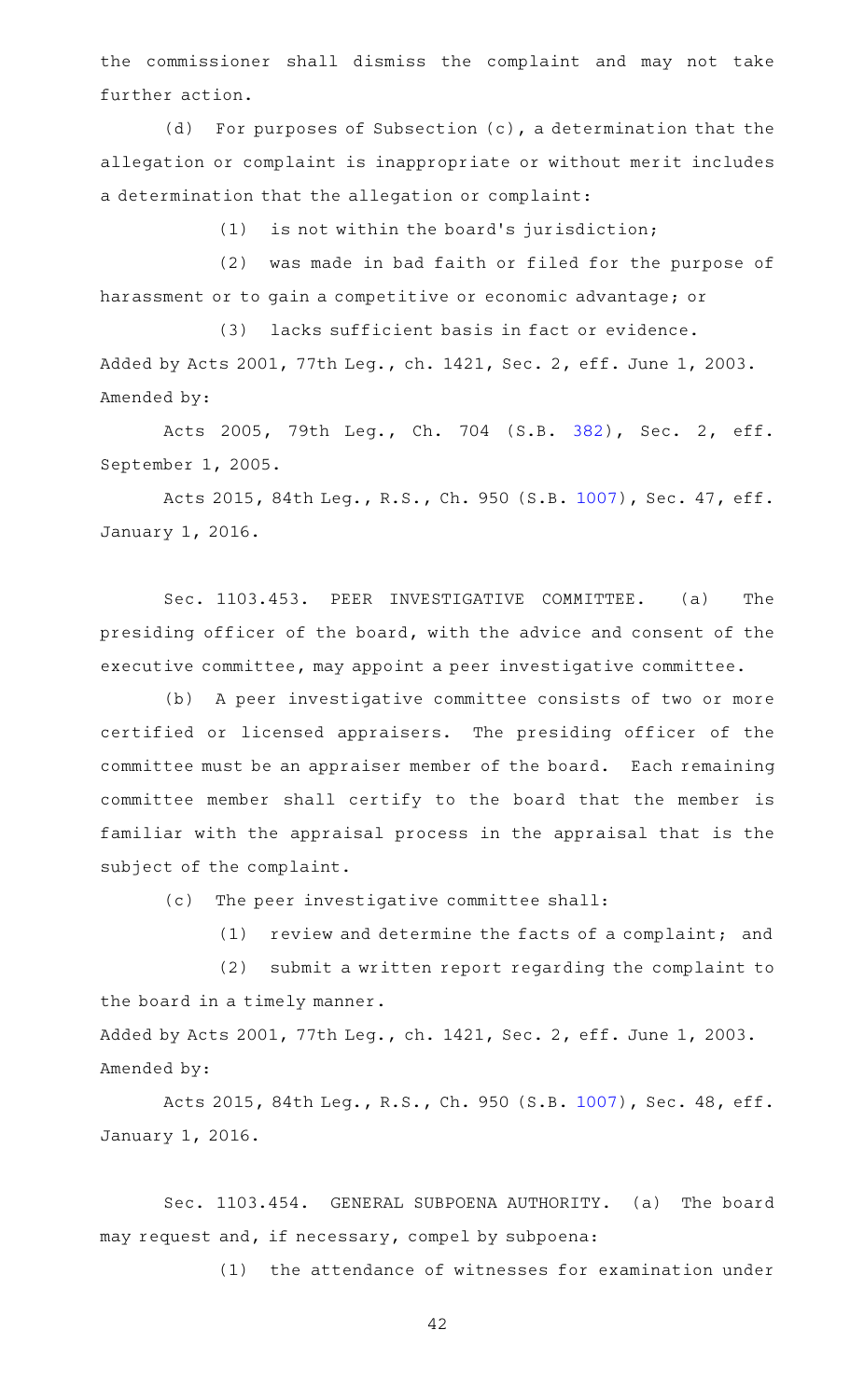the commissioner shall dismiss the complaint and may not take further action.

 $(d)$  For purposes of Subsection  $(c)$ , a determination that the allegation or complaint is inappropriate or without merit includes a determination that the allegation or complaint:

 $(1)$  is not within the board's jurisdiction;

(2) was made in bad faith or filed for the purpose of harassment or to gain a competitive or economic advantage; or

(3) lacks sufficient basis in fact or evidence. Added by Acts 2001, 77th Leg., ch. 1421, Sec. 2, eff. June 1, 2003. Amended by:

Acts 2005, 79th Leg., Ch. 704 (S.B. [382\)](http://www.legis.state.tx.us/tlodocs/79R/billtext/html/SB00382F.HTM), Sec. 2, eff. September 1, 2005.

Acts 2015, 84th Leg., R.S., Ch. 950 (S.B. [1007\)](http://www.legis.state.tx.us/tlodocs/84R/billtext/html/SB01007F.HTM), Sec. 47, eff. January 1, 2016.

Sec. 1103.453. PEER INVESTIGATIVE COMMITTEE. (a) The presiding officer of the board, with the advice and consent of the executive committee, may appoint a peer investigative committee.

(b) A peer investigative committee consists of two or more certified or licensed appraisers. The presiding officer of the committee must be an appraiser member of the board. Each remaining committee member shall certify to the board that the member is familiar with the appraisal process in the appraisal that is the subject of the complaint.

(c) The peer investigative committee shall:

(1) review and determine the facts of a complaint; and

(2) submit a written report regarding the complaint to the board in a timely manner.

Added by Acts 2001, 77th Leg., ch. 1421, Sec. 2, eff. June 1, 2003. Amended by:

Acts 2015, 84th Leg., R.S., Ch. 950 (S.B. [1007\)](http://www.legis.state.tx.us/tlodocs/84R/billtext/html/SB01007F.HTM), Sec. 48, eff. January 1, 2016.

Sec. 1103.454. GENERAL SUBPOENA AUTHORITY. (a) The board may request and, if necessary, compel by subpoena:

(1) the attendance of witnesses for examination under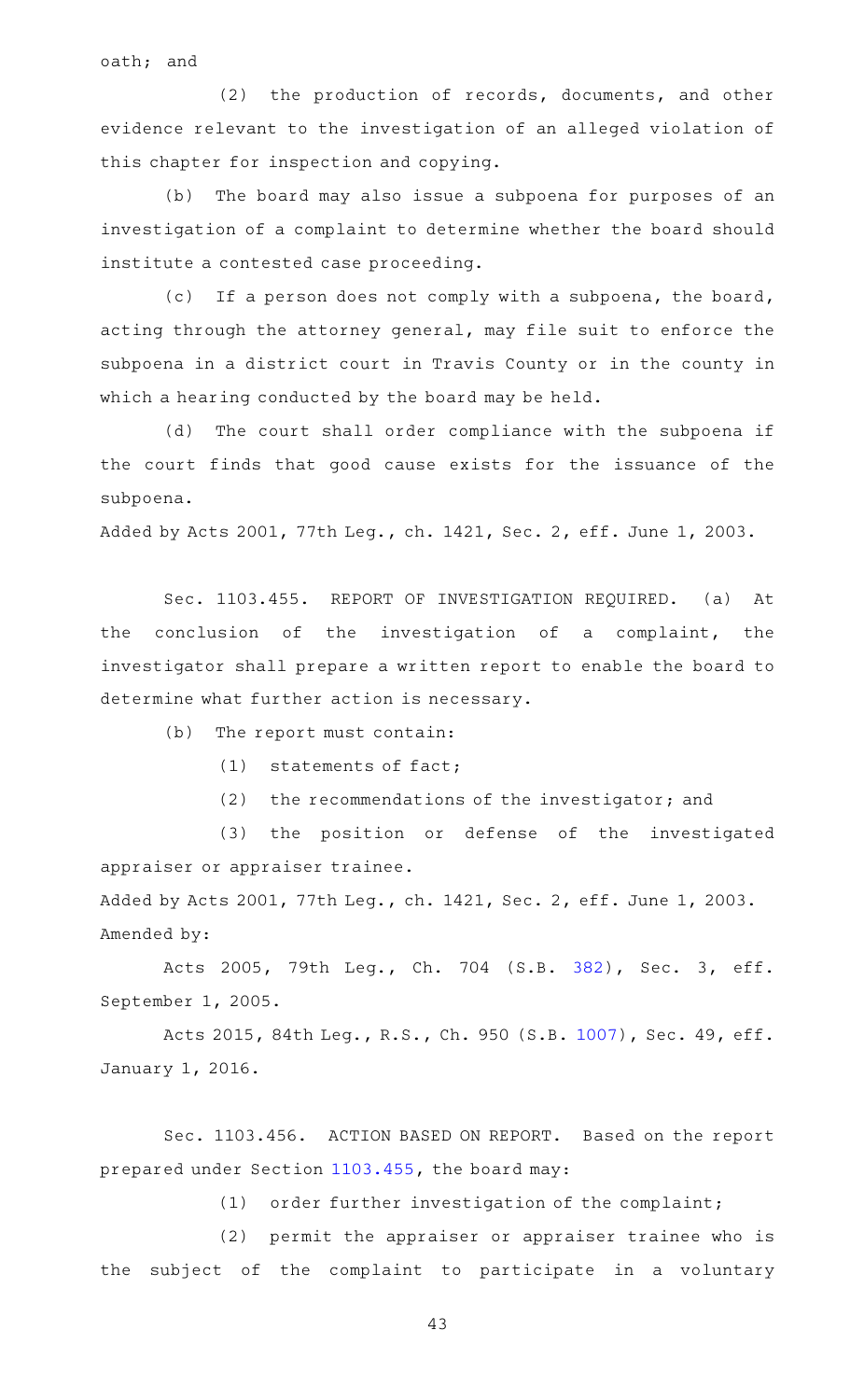oath; and

(2) the production of records, documents, and other evidence relevant to the investigation of an alleged violation of this chapter for inspection and copying.

(b) The board may also issue a subpoena for purposes of an investigation of a complaint to determine whether the board should institute a contested case proceeding.

(c) If a person does not comply with a subpoena, the board, acting through the attorney general, may file suit to enforce the subpoena in a district court in Travis County or in the county in which a hearing conducted by the board may be held.

(d) The court shall order compliance with the subpoena if the court finds that good cause exists for the issuance of the subpoena.

Added by Acts 2001, 77th Leg., ch. 1421, Sec. 2, eff. June 1, 2003.

Sec. 1103.455. REPORT OF INVESTIGATION REQUIRED. (a) At the conclusion of the investigation of a complaint, the investigator shall prepare a written report to enable the board to determine what further action is necessary.

(b) The report must contain:

 $(1)$  statements of fact;

 $(2)$  the recommendations of the investigator; and

(3) the position or defense of the investigated appraiser or appraiser trainee.

Added by Acts 2001, 77th Leg., ch. 1421, Sec. 2, eff. June 1, 2003. Amended by:

Acts 2005, 79th Leg., Ch. 704 (S.B. [382\)](http://www.legis.state.tx.us/tlodocs/79R/billtext/html/SB00382F.HTM), Sec. 3, eff. September 1, 2005.

Acts 2015, 84th Leg., R.S., Ch. 950 (S.B. [1007\)](http://www.legis.state.tx.us/tlodocs/84R/billtext/html/SB01007F.HTM), Sec. 49, eff. January 1, 2016.

Sec. 1103.456. ACTION BASED ON REPORT. Based on the report prepared under Section [1103.455](http://www.statutes.legis.state.tx.us/GetStatute.aspx?Code=OC&Value=1103.455), the board may:

 $(1)$  order further investigation of the complaint;

(2) permit the appraiser or appraiser trainee who is the subject of the complaint to participate in a voluntary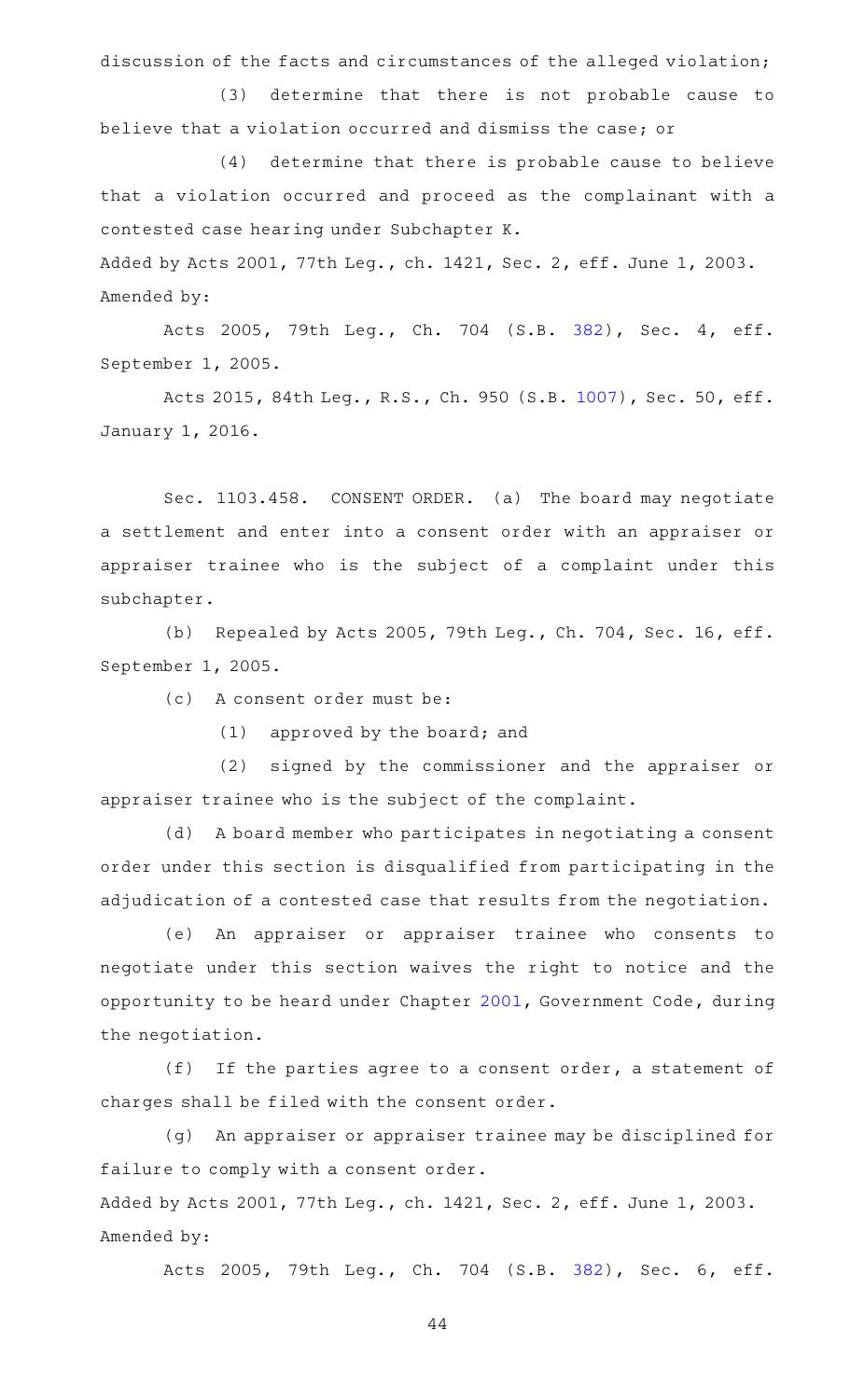discussion of the facts and circumstances of the alleged violation;

(3) determine that there is not probable cause to believe that a violation occurred and dismiss the case; or

(4) determine that there is probable cause to believe that a violation occurred and proceed as the complainant with a contested case hearing under Subchapter K.

Added by Acts 2001, 77th Leg., ch. 1421, Sec. 2, eff. June 1, 2003. Amended by:

Acts 2005, 79th Leg., Ch. 704 (S.B. [382\)](http://www.legis.state.tx.us/tlodocs/79R/billtext/html/SB00382F.HTM), Sec. 4, eff. September 1, 2005.

Acts 2015, 84th Leg., R.S., Ch. 950 (S.B. [1007\)](http://www.legis.state.tx.us/tlodocs/84R/billtext/html/SB01007F.HTM), Sec. 50, eff. January 1, 2016.

Sec. 1103.458. CONSENT ORDER. (a) The board may negotiate a settlement and enter into a consent order with an appraiser or appraiser trainee who is the subject of a complaint under this subchapter.

(b) Repealed by Acts 2005, 79th Leg., Ch. 704, Sec. 16, eff. September 1, 2005.

(c) A consent order must be:

 $(1)$  approved by the board; and

(2) signed by the commissioner and the appraiser or appraiser trainee who is the subject of the complaint.

(d) A board member who participates in negotiating a consent order under this section is disqualified from participating in the adjudication of a contested case that results from the negotiation.

(e) An appraiser or appraiser trainee who consents to negotiate under this section waives the right to notice and the opportunity to be heard under Chapter [2001,](http://www.statutes.legis.state.tx.us/GetStatute.aspx?Code=GV&Value=2001) Government Code, during the negotiation.

(f) If the parties agree to a consent order, a statement of charges shall be filed with the consent order.

(g) An appraiser or appraiser trainee may be disciplined for failure to comply with a consent order.

Added by Acts 2001, 77th Leg., ch. 1421, Sec. 2, eff. June 1, 2003. Amended by:

Acts 2005, 79th Leg., Ch. 704 (S.B. [382\)](http://www.legis.state.tx.us/tlodocs/79R/billtext/html/SB00382F.HTM), Sec. 6, eff.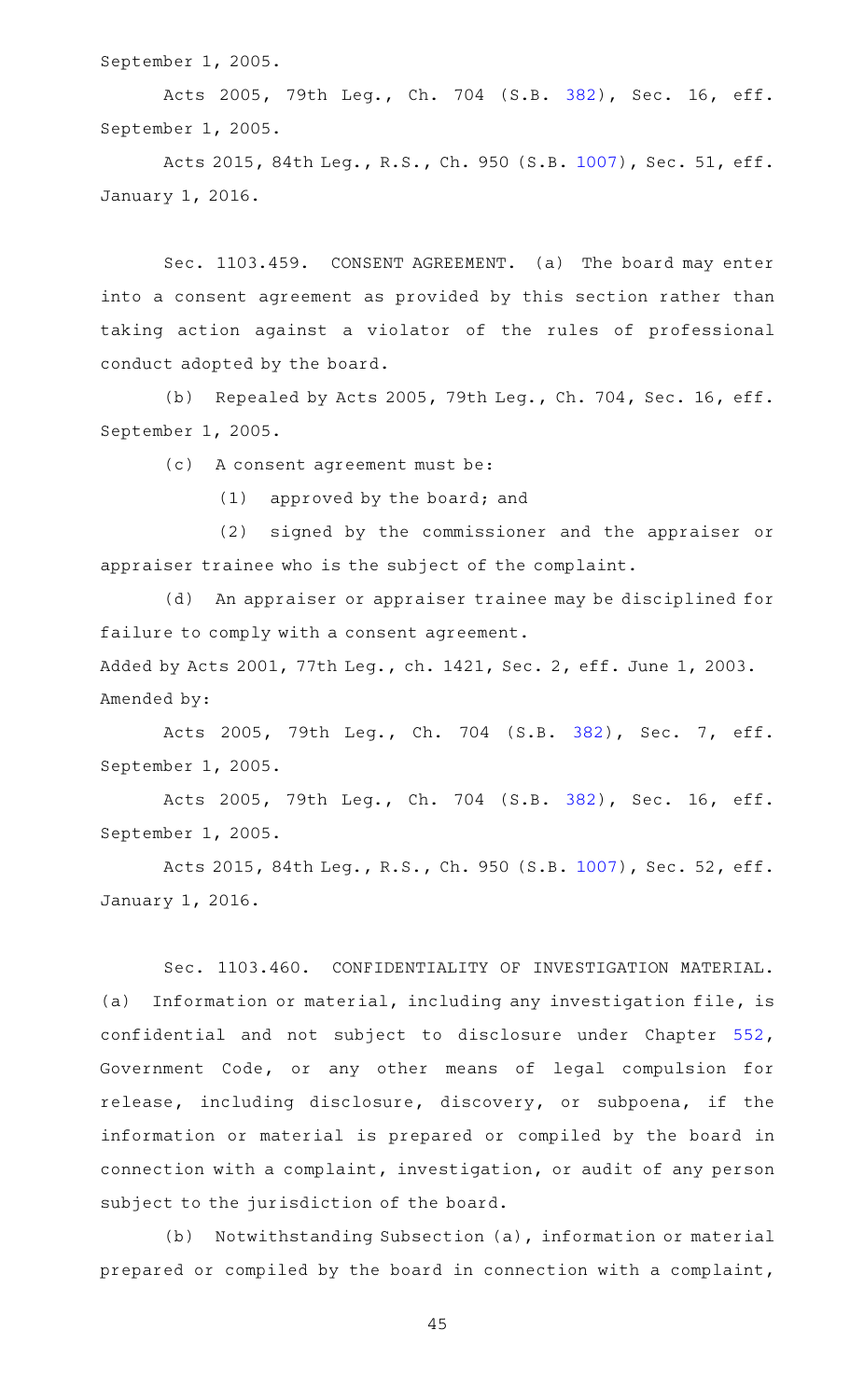September 1, 2005.

Acts 2005, 79th Leg., Ch. 704 (S.B. [382\)](http://www.legis.state.tx.us/tlodocs/79R/billtext/html/SB00382F.HTM), Sec. 16, eff. September 1, 2005.

Acts 2015, 84th Leg., R.S., Ch. 950 (S.B. [1007\)](http://www.legis.state.tx.us/tlodocs/84R/billtext/html/SB01007F.HTM), Sec. 51, eff. January 1, 2016.

Sec. 1103.459. CONSENT AGREEMENT. (a) The board may enter into a consent agreement as provided by this section rather than taking action against a violator of the rules of professional conduct adopted by the board.

(b) Repealed by Acts 2005, 79th Leg., Ch. 704, Sec. 16, eff. September 1, 2005.

(c) A consent agreement must be:

(1) approved by the board; and

(2) signed by the commissioner and the appraiser or appraiser trainee who is the subject of the complaint.

(d) An appraiser or appraiser trainee may be disciplined for failure to comply with a consent agreement.

Added by Acts 2001, 77th Leg., ch. 1421, Sec. 2, eff. June 1, 2003. Amended by:

Acts 2005, 79th Leg., Ch. 704 (S.B. [382\)](http://www.legis.state.tx.us/tlodocs/79R/billtext/html/SB00382F.HTM), Sec. 7, eff. September 1, 2005.

Acts 2005, 79th Leg., Ch. 704 (S.B. [382\)](http://www.legis.state.tx.us/tlodocs/79R/billtext/html/SB00382F.HTM), Sec. 16, eff. September 1, 2005.

Acts 2015, 84th Leg., R.S., Ch. 950 (S.B. [1007\)](http://www.legis.state.tx.us/tlodocs/84R/billtext/html/SB01007F.HTM), Sec. 52, eff. January 1, 2016.

Sec. 1103.460. CONFIDENTIALITY OF INVESTIGATION MATERIAL. (a) Information or material, including any investigation file, is confidential and not subject to disclosure under Chapter [552](http://www.statutes.legis.state.tx.us/GetStatute.aspx?Code=GV&Value=552), Government Code, or any other means of legal compulsion for release, including disclosure, discovery, or subpoena, if the information or material is prepared or compiled by the board in connection with a complaint, investigation, or audit of any person subject to the jurisdiction of the board.

(b) Notwithstanding Subsection (a), information or material prepared or compiled by the board in connection with a complaint,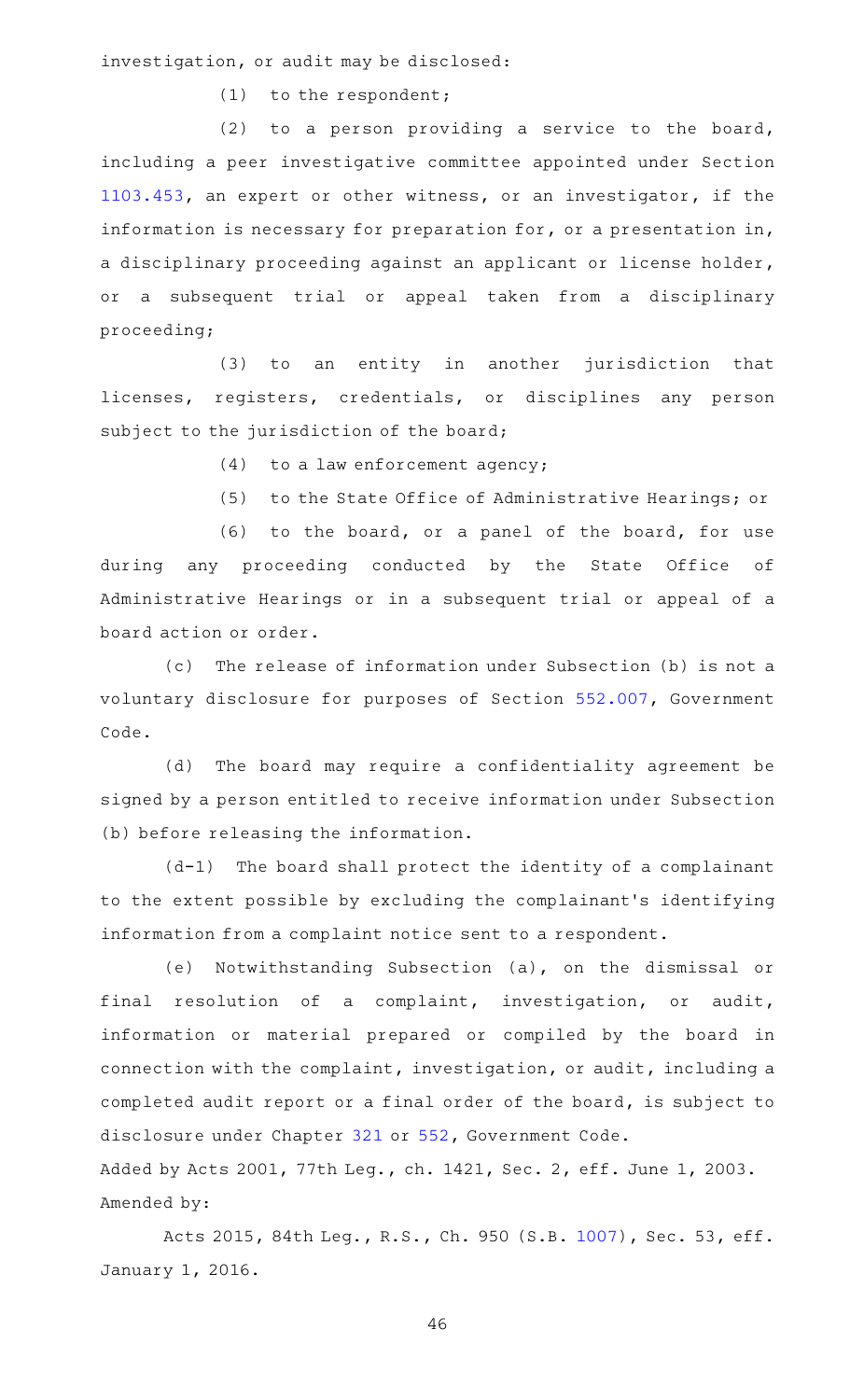investigation, or audit may be disclosed:

 $(1)$  to the respondent;

 $(2)$  to a person providing a service to the board, including a peer investigative committee appointed under Section [1103.453](http://www.statutes.legis.state.tx.us/GetStatute.aspx?Code=OC&Value=1103.453), an expert or other witness, or an investigator, if the information is necessary for preparation for, or a presentation in, a disciplinary proceeding against an applicant or license holder, or a subsequent trial or appeal taken from a disciplinary proceeding;

(3) to an entity in another jurisdiction that licenses, registers, credentials, or disciplines any person subject to the jurisdiction of the board;

 $(4)$  to a law enforcement agency;

(5) to the State Office of Administrative Hearings; or

(6) to the board, or a panel of the board, for use during any proceeding conducted by the State Office of Administrative Hearings or in a subsequent trial or appeal of a board action or order.

(c) The release of information under Subsection (b) is not a voluntary disclosure for purposes of Section [552.007,](http://www.statutes.legis.state.tx.us/GetStatute.aspx?Code=GV&Value=552.007) Government Code.

(d) The board may require a confidentiality agreement be signed by a person entitled to receive information under Subsection (b) before releasing the information.

 $(d-1)$  The board shall protect the identity of a complainant to the extent possible by excluding the complainant 's identifying information from a complaint notice sent to a respondent.

(e) Notwithstanding Subsection (a), on the dismissal or final resolution of a complaint, investigation, or audit, information or material prepared or compiled by the board in connection with the complaint, investigation, or audit, including a completed audit report or a final order of the board, is subject to disclosure under Chapter [321](http://www.statutes.legis.state.tx.us/GetStatute.aspx?Code=GV&Value=321) or [552,](http://www.statutes.legis.state.tx.us/GetStatute.aspx?Code=GV&Value=552) Government Code.

Added by Acts 2001, 77th Leg., ch. 1421, Sec. 2, eff. June 1, 2003. Amended by:

Acts 2015, 84th Leg., R.S., Ch. 950 (S.B. [1007\)](http://www.legis.state.tx.us/tlodocs/84R/billtext/html/SB01007F.HTM), Sec. 53, eff. January 1, 2016.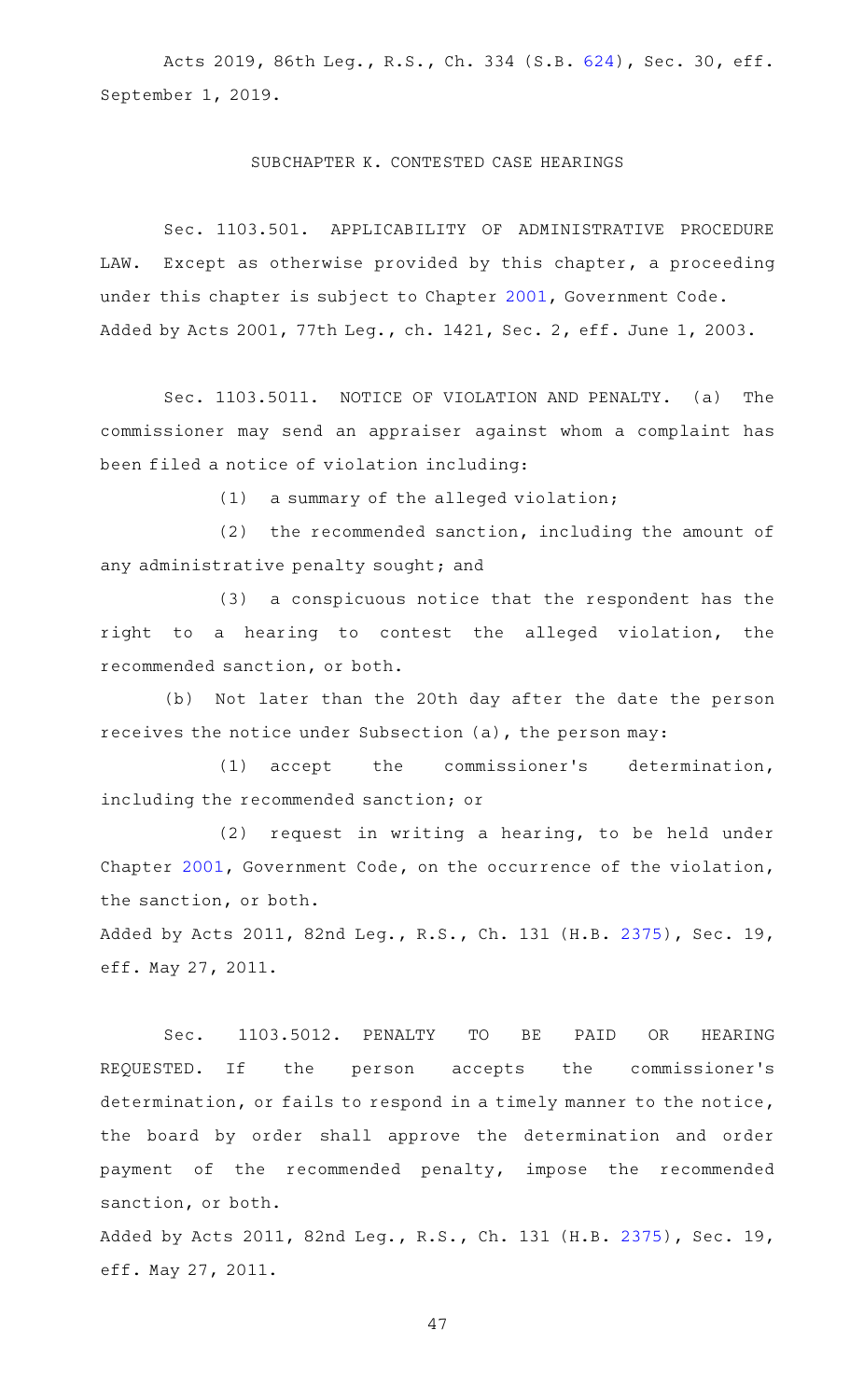Acts 2019, 86th Leg., R.S., Ch. 334 (S.B. [624\)](http://www.legis.state.tx.us/tlodocs/86R/billtext/html/SB00624F.HTM), Sec. 30, eff. September 1, 2019.

#### SUBCHAPTER K. CONTESTED CASE HEARINGS

Sec. 1103.501. APPLICABILITY OF ADMINISTRATIVE PROCEDURE LAW. Except as otherwise provided by this chapter, a proceeding under this chapter is subject to Chapter [2001](http://www.statutes.legis.state.tx.us/GetStatute.aspx?Code=GV&Value=2001), Government Code. Added by Acts 2001, 77th Leg., ch. 1421, Sec. 2, eff. June 1, 2003.

Sec. 1103.5011. NOTICE OF VIOLATION AND PENALTY. (a) The commissioner may send an appraiser against whom a complaint has been filed a notice of violation including:

 $(1)$  a summary of the alleged violation;

 $(2)$  the recommended sanction, including the amount of any administrative penalty sought; and

(3) a conspicuous notice that the respondent has the right to a hearing to contest the alleged violation, the recommended sanction, or both.

(b) Not later than the 20th day after the date the person receives the notice under Subsection (a), the person may:

(1) accept the commissioner's determination, including the recommended sanction; or

 $(2)$  request in writing a hearing, to be held under Chapter [2001](http://www.statutes.legis.state.tx.us/GetStatute.aspx?Code=GV&Value=2001), Government Code, on the occurrence of the violation, the sanction, or both.

Added by Acts 2011, 82nd Leg., R.S., Ch. 131 (H.B. [2375\)](http://www.legis.state.tx.us/tlodocs/82R/billtext/html/HB02375F.HTM), Sec. 19, eff. May 27, 2011.

Sec. 1103.5012. PENALTY TO BE PAID OR HEARING REQUESTED. If the person accepts the commissioner's determination, or fails to respond in a timely manner to the notice, the board by order shall approve the determination and order payment of the recommended penalty, impose the recommended sanction, or both.

Added by Acts 2011, 82nd Leg., R.S., Ch. 131 (H.B. [2375\)](http://www.legis.state.tx.us/tlodocs/82R/billtext/html/HB02375F.HTM), Sec. 19, eff. May 27, 2011.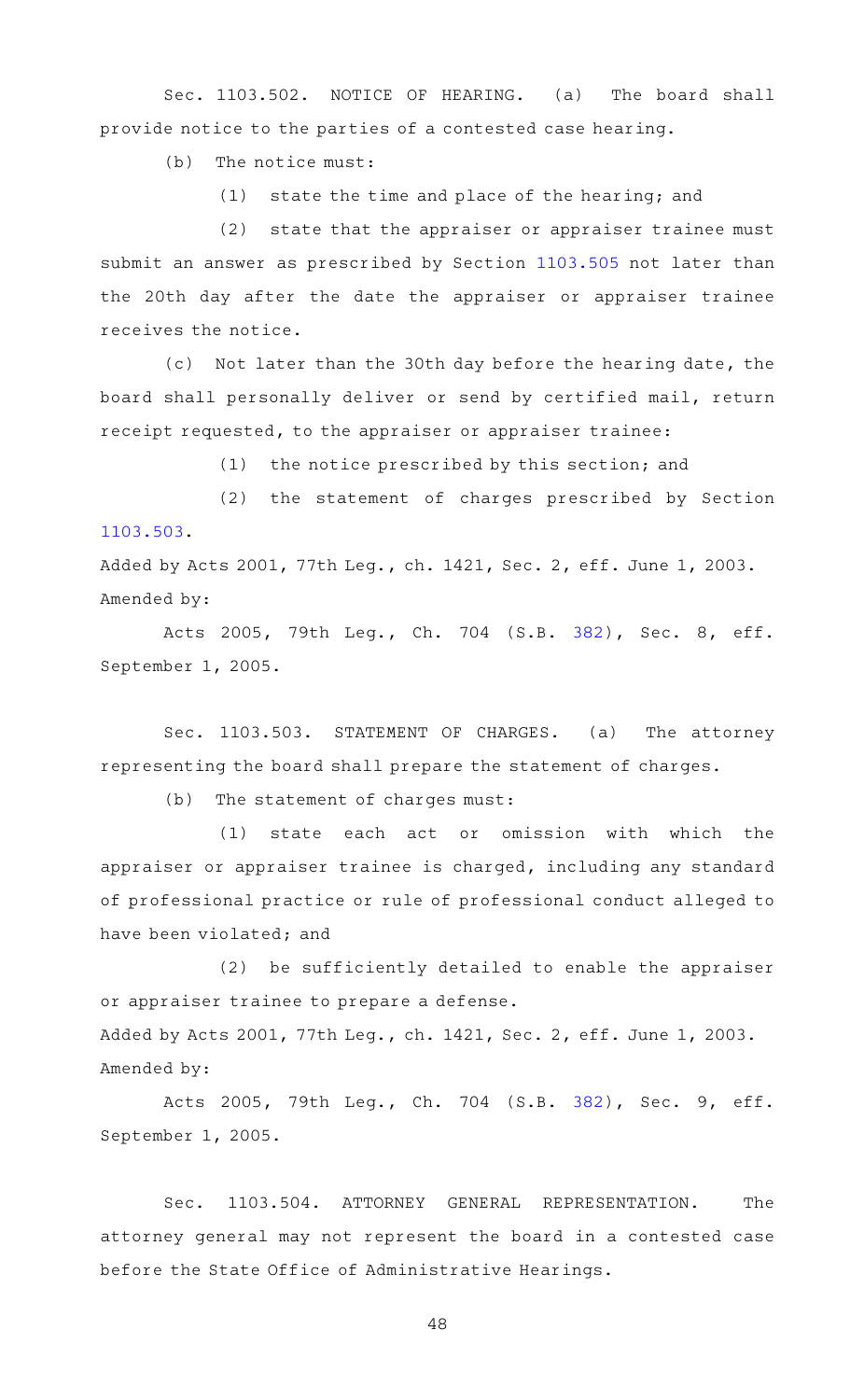Sec. 1103.502. NOTICE OF HEARING. (a) The board shall provide notice to the parties of a contested case hearing.

 $(b)$  The notice must:

 $(1)$  state the time and place of the hearing; and

(2) state that the appraiser or appraiser trainee must submit an answer as prescribed by Section [1103.505](http://www.statutes.legis.state.tx.us/GetStatute.aspx?Code=OC&Value=1103.505) not later than the 20th day after the date the appraiser or appraiser trainee receives the notice.

(c) Not later than the 30th day before the hearing date, the board shall personally deliver or send by certified mail, return receipt requested, to the appraiser or appraiser trainee:

 $(1)$  the notice prescribed by this section; and

(2) the statement of charges prescribed by Section [1103.503](http://www.statutes.legis.state.tx.us/GetStatute.aspx?Code=OC&Value=1103.503).

Added by Acts 2001, 77th Leg., ch. 1421, Sec. 2, eff. June 1, 2003. Amended by:

Acts 2005, 79th Leg., Ch. 704 (S.B. [382\)](http://www.legis.state.tx.us/tlodocs/79R/billtext/html/SB00382F.HTM), Sec. 8, eff. September 1, 2005.

Sec. 1103.503. STATEMENT OF CHARGES. (a) The attorney representing the board shall prepare the statement of charges.

 $(b)$  The statement of charges must:

 $(1)$  state each act or omission with which the appraiser or appraiser trainee is charged, including any standard of professional practice or rule of professional conduct alleged to have been violated; and

(2) be sufficiently detailed to enable the appraiser or appraiser trainee to prepare a defense. Added by Acts 2001, 77th Leg., ch. 1421, Sec. 2, eff. June 1, 2003. Amended by:

Acts 2005, 79th Leg., Ch. 704 (S.B. [382\)](http://www.legis.state.tx.us/tlodocs/79R/billtext/html/SB00382F.HTM), Sec. 9, eff. September 1, 2005.

Sec. 1103.504. ATTORNEY GENERAL REPRESENTATION. The attorney general may not represent the board in a contested case before the State Office of Administrative Hearings.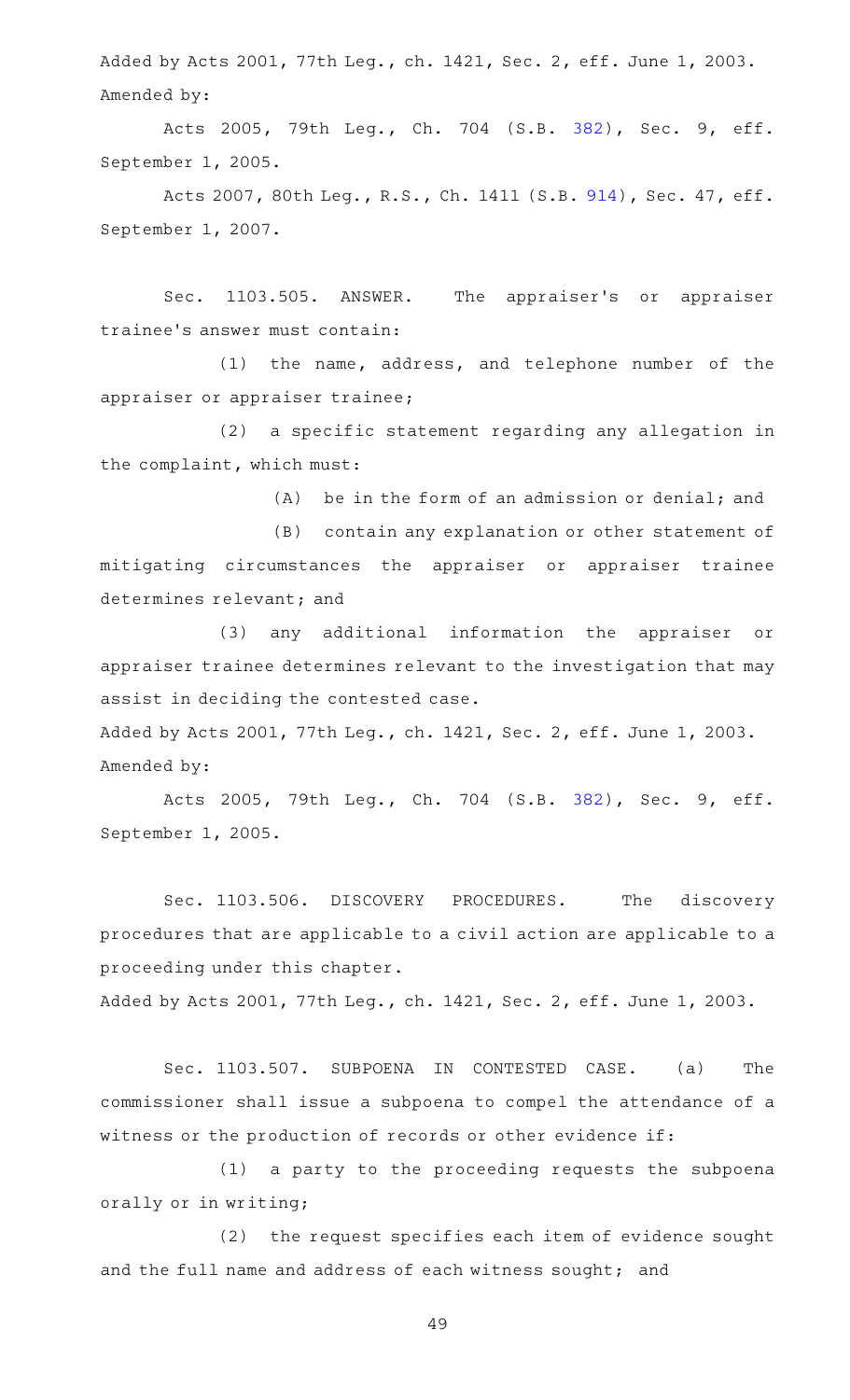Added by Acts 2001, 77th Leg., ch. 1421, Sec. 2, eff. June 1, 2003. Amended by:

Acts 2005, 79th Leg., Ch. 704 (S.B. [382\)](http://www.legis.state.tx.us/tlodocs/79R/billtext/html/SB00382F.HTM), Sec. 9, eff. September 1, 2005.

Acts 2007, 80th Leg., R.S., Ch. 1411 (S.B. [914\)](http://www.legis.state.tx.us/tlodocs/80R/billtext/html/SB00914F.HTM), Sec. 47, eff. September 1, 2007.

Sec. 1103.505. ANSWER. The appraiser's or appraiser trainee 's answer must contain:

 $(1)$  the name, address, and telephone number of the appraiser or appraiser trainee;

(2) a specific statement regarding any allegation in the complaint, which must:

 $(A)$  be in the form of an admission or denial; and

(B) contain any explanation or other statement of mitigating circumstances the appraiser or appraiser trainee determines relevant; and

(3) any additional information the appraiser or appraiser trainee determines relevant to the investigation that may assist in deciding the contested case.

Added by Acts 2001, 77th Leg., ch. 1421, Sec. 2, eff. June 1, 2003. Amended by:

Acts 2005, 79th Leg., Ch. 704 (S.B. [382\)](http://www.legis.state.tx.us/tlodocs/79R/billtext/html/SB00382F.HTM), Sec. 9, eff. September 1, 2005.

Sec. 1103.506. DISCOVERY PROCEDURES. The discovery procedures that are applicable to a civil action are applicable to a proceeding under this chapter.

Added by Acts 2001, 77th Leg., ch. 1421, Sec. 2, eff. June 1, 2003.

Sec. 1103.507. SUBPOENA IN CONTESTED CASE. (a) The commissioner shall issue a subpoena to compel the attendance of a witness or the production of records or other evidence if:

(1) a party to the proceeding requests the subpoena orally or in writing;

(2) the request specifies each item of evidence sought and the full name and address of each witness sought; and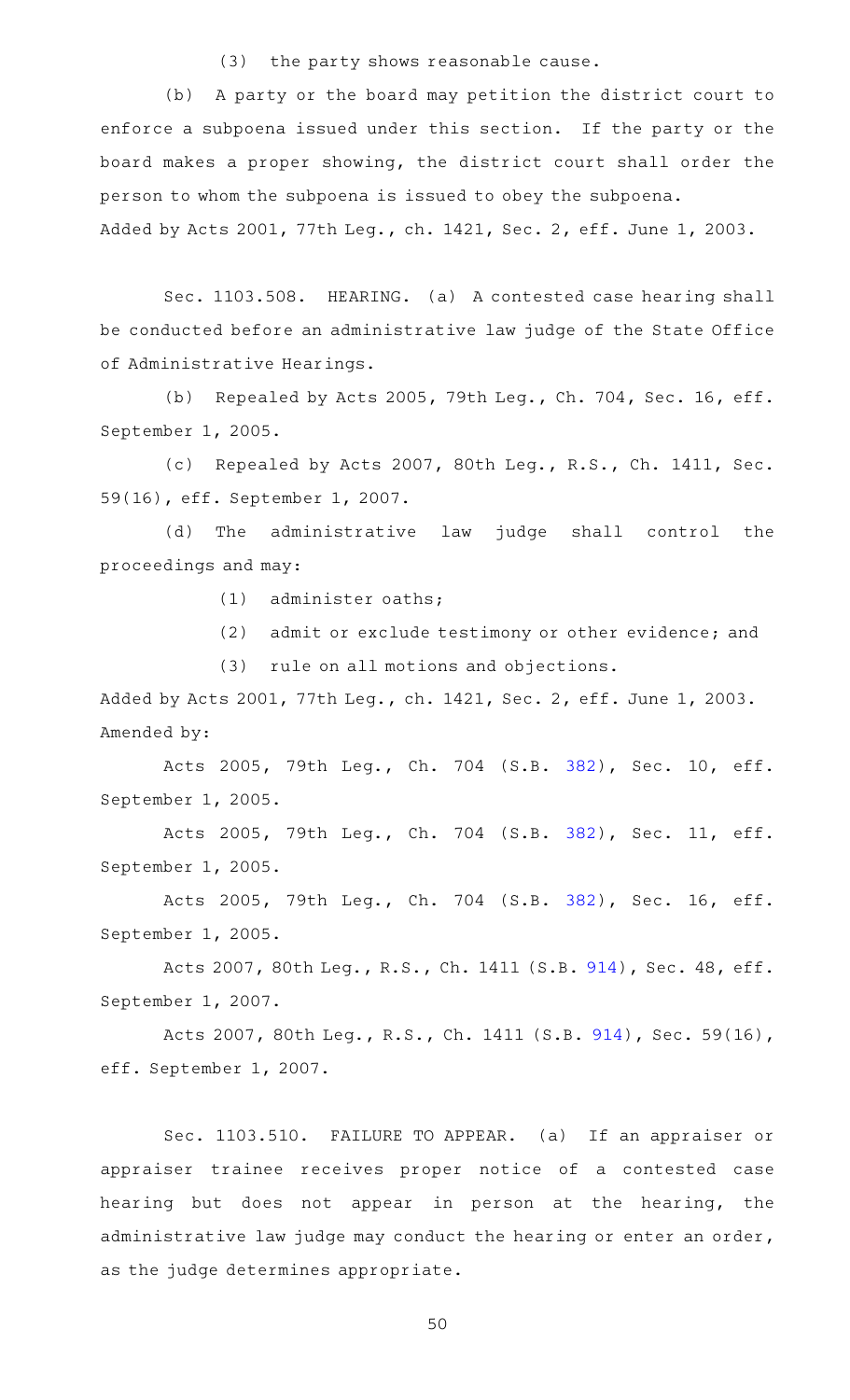(3) the party shows reasonable cause.

(b) A party or the board may petition the district court to enforce a subpoena issued under this section. If the party or the board makes a proper showing, the district court shall order the person to whom the subpoena is issued to obey the subpoena.

Added by Acts 2001, 77th Leg., ch. 1421, Sec. 2, eff. June 1, 2003.

Sec. 1103.508. HEARING. (a) A contested case hearing shall be conducted before an administrative law judge of the State Office of Administrative Hearings.

(b) Repealed by Acts 2005, 79th Leg., Ch. 704, Sec. 16, eff. September 1, 2005.

(c) Repealed by Acts 2007, 80th Leg., R.S., Ch. 1411, Sec. 59(16), eff. September 1, 2007.

(d) The administrative law judge shall control the proceedings and may:

 $(1)$  administer oaths;

(2) admit or exclude testimony or other evidence; and

(3) rule on all motions and objections.

Added by Acts 2001, 77th Leg., ch. 1421, Sec. 2, eff. June 1, 2003. Amended by:

Acts 2005, 79th Leg., Ch. 704 (S.B. [382\)](http://www.legis.state.tx.us/tlodocs/79R/billtext/html/SB00382F.HTM), Sec. 10, eff. September 1, 2005.

Acts 2005, 79th Leg., Ch. 704 (S.B. [382\)](http://www.legis.state.tx.us/tlodocs/79R/billtext/html/SB00382F.HTM), Sec. 11, eff. September 1, 2005.

Acts 2005, 79th Leg., Ch. 704 (S.B. [382\)](http://www.legis.state.tx.us/tlodocs/79R/billtext/html/SB00382F.HTM), Sec. 16, eff. September 1, 2005.

Acts 2007, 80th Leg., R.S., Ch. 1411 (S.B. [914\)](http://www.legis.state.tx.us/tlodocs/80R/billtext/html/SB00914F.HTM), Sec. 48, eff. September 1, 2007.

Acts 2007, 80th Leg., R.S., Ch. 1411 (S.B. [914\)](http://www.legis.state.tx.us/tlodocs/80R/billtext/html/SB00914F.HTM), Sec. 59(16), eff. September 1, 2007.

Sec. 1103.510. FAILURE TO APPEAR. (a) If an appraiser or appraiser trainee receives proper notice of a contested case hearing but does not appear in person at the hearing, the administrative law judge may conduct the hearing or enter an order, as the judge determines appropriate.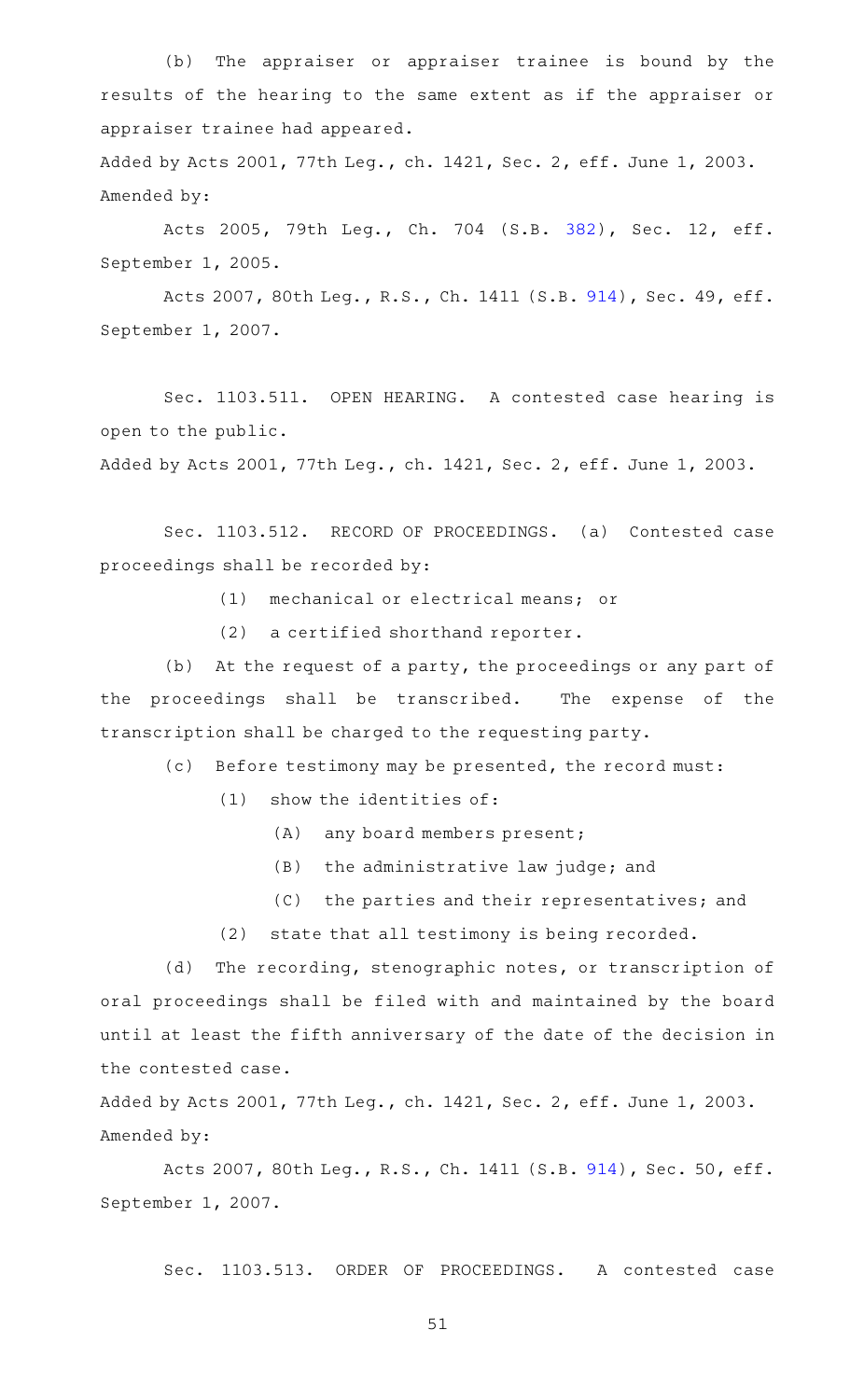(b) The appraiser or appraiser trainee is bound by the results of the hearing to the same extent as if the appraiser or appraiser trainee had appeared.

Added by Acts 2001, 77th Leg., ch. 1421, Sec. 2, eff. June 1, 2003. Amended by:

Acts 2005, 79th Leg., Ch. 704 (S.B. [382\)](http://www.legis.state.tx.us/tlodocs/79R/billtext/html/SB00382F.HTM), Sec. 12, eff. September 1, 2005.

Acts 2007, 80th Leg., R.S., Ch. 1411 (S.B. [914\)](http://www.legis.state.tx.us/tlodocs/80R/billtext/html/SB00914F.HTM), Sec. 49, eff. September 1, 2007.

Sec. 1103.511. OPEN HEARING. A contested case hearing is open to the public.

Added by Acts 2001, 77th Leg., ch. 1421, Sec. 2, eff. June 1, 2003.

Sec. 1103.512. RECORD OF PROCEEDINGS. (a) Contested case proceedings shall be recorded by:

(1) mechanical or electrical means; or

 $(2)$  a certified shorthand reporter.

(b) At the request of a party, the proceedings or any part of the proceedings shall be transcribed. The expense of the transcription shall be charged to the requesting party.

(c) Before testimony may be presented, the record must:

 $(1)$  show the identities of:

(A) any board members present;

- $(B)$  the administrative law judge; and
- (C) the parties and their representatives; and

(2) state that all testimony is being recorded.

(d) The recording, stenographic notes, or transcription of oral proceedings shall be filed with and maintained by the board until at least the fifth anniversary of the date of the decision in the contested case.

Added by Acts 2001, 77th Leg., ch. 1421, Sec. 2, eff. June 1, 2003. Amended by:

Acts 2007, 80th Leg., R.S., Ch. 1411 (S.B. [914\)](http://www.legis.state.tx.us/tlodocs/80R/billtext/html/SB00914F.HTM), Sec. 50, eff. September 1, 2007.

Sec. 1103.513. ORDER OF PROCEEDINGS. A contested case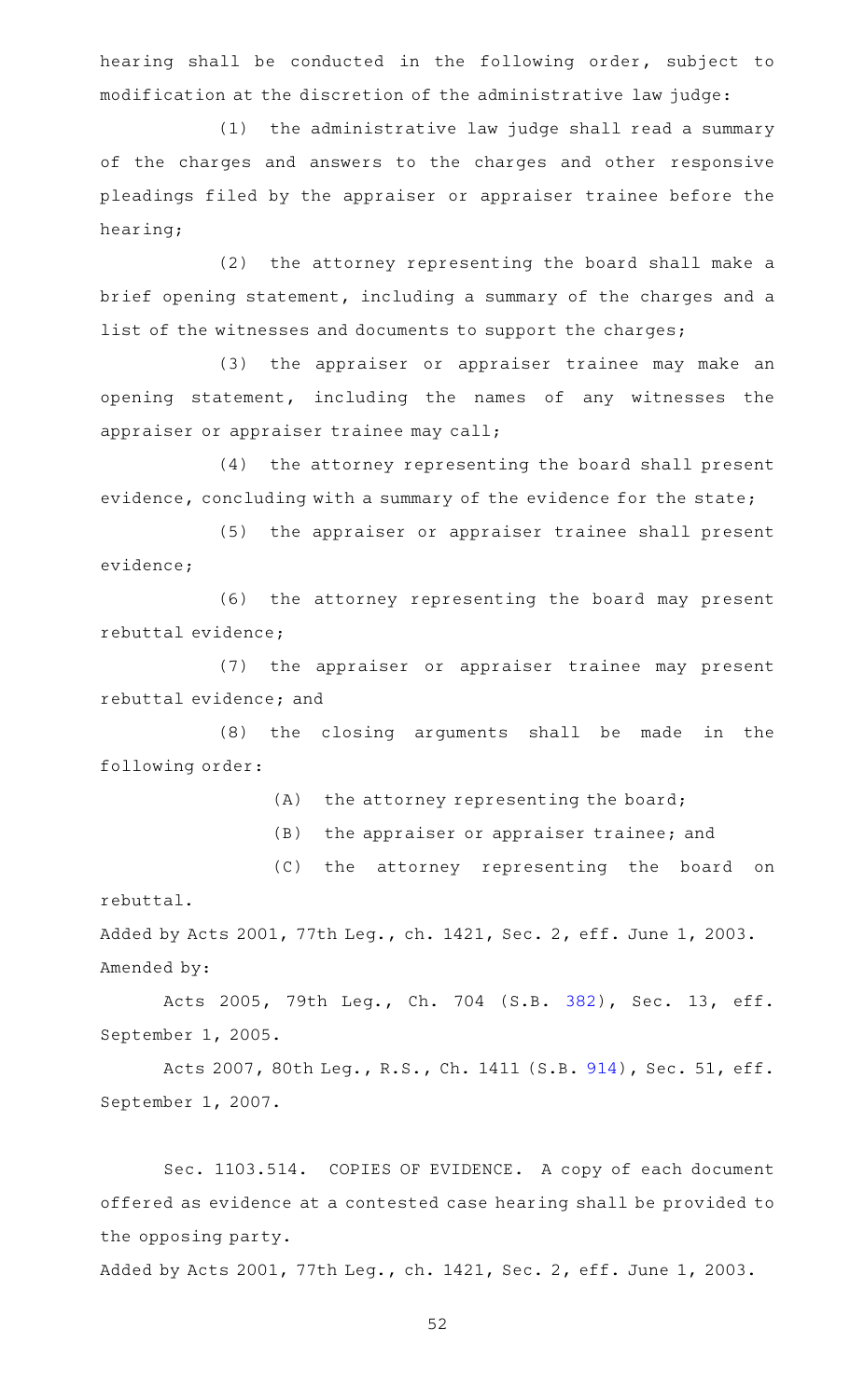hearing shall be conducted in the following order, subject to modification at the discretion of the administrative law judge:

(1) the administrative law judge shall read a summary of the charges and answers to the charges and other responsive pleadings filed by the appraiser or appraiser trainee before the hearing;

(2) the attorney representing the board shall make a brief opening statement, including a summary of the charges and a list of the witnesses and documents to support the charges;

(3) the appraiser or appraiser trainee may make an opening statement, including the names of any witnesses the appraiser or appraiser trainee may call;

(4) the attorney representing the board shall present evidence, concluding with a summary of the evidence for the state;

(5) the appraiser or appraiser trainee shall present evidence;

(6) the attorney representing the board may present rebuttal evidence;

(7) the appraiser or appraiser trainee may present rebuttal evidence; and

(8) the closing arguments shall be made in the following order:

(A) the attorney representing the board;

(B) the appraiser or appraiser trainee; and

(C) the attorney representing the board on rebuttal.

Added by Acts 2001, 77th Leg., ch. 1421, Sec. 2, eff. June 1, 2003. Amended by:

Acts 2005, 79th Leg., Ch. 704 (S.B. [382\)](http://www.legis.state.tx.us/tlodocs/79R/billtext/html/SB00382F.HTM), Sec. 13, eff. September 1, 2005.

Acts 2007, 80th Leg., R.S., Ch. 1411 (S.B. [914\)](http://www.legis.state.tx.us/tlodocs/80R/billtext/html/SB00914F.HTM), Sec. 51, eff. September 1, 2007.

Sec. 1103.514. COPIES OF EVIDENCE. A copy of each document offered as evidence at a contested case hearing shall be provided to the opposing party.

Added by Acts 2001, 77th Leg., ch. 1421, Sec. 2, eff. June 1, 2003.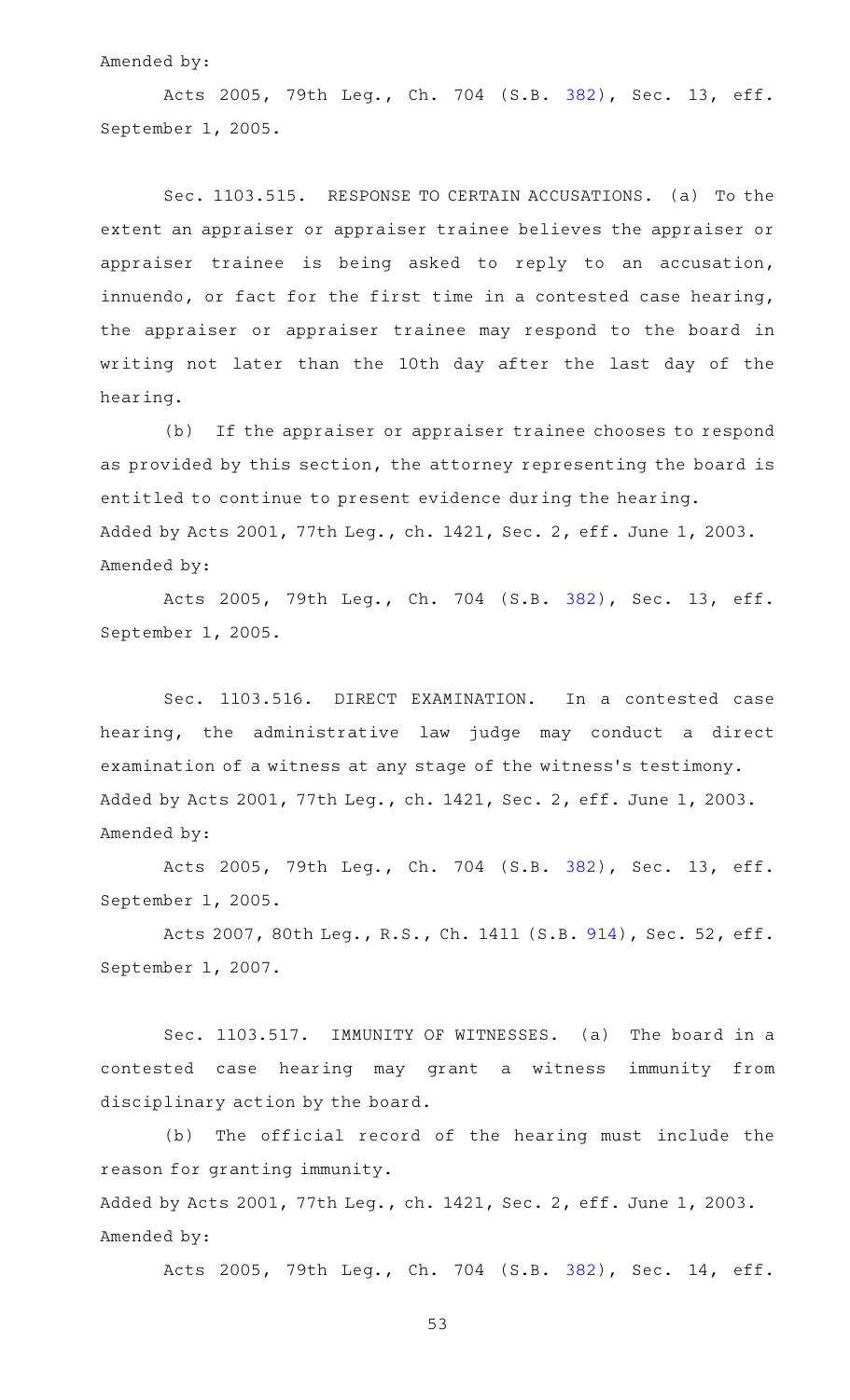#### Amended by:

Acts 2005, 79th Leg., Ch. 704 (S.B. [382\)](http://www.legis.state.tx.us/tlodocs/79R/billtext/html/SB00382F.HTM), Sec. 13, eff. September 1, 2005.

Sec. 1103.515. RESPONSE TO CERTAIN ACCUSATIONS. (a) To the extent an appraiser or appraiser trainee believes the appraiser or appraiser trainee is being asked to reply to an accusation, innuendo, or fact for the first time in a contested case hearing, the appraiser or appraiser trainee may respond to the board in writing not later than the 10th day after the last day of the hearing.

(b) If the appraiser or appraiser trainee chooses to respond as provided by this section, the attorney representing the board is entitled to continue to present evidence during the hearing. Added by Acts 2001, 77th Leg., ch. 1421, Sec. 2, eff. June 1, 2003. Amended by:

Acts 2005, 79th Leg., Ch. 704 (S.B. [382\)](http://www.legis.state.tx.us/tlodocs/79R/billtext/html/SB00382F.HTM), Sec. 13, eff. September 1, 2005.

Sec. 1103.516. DIRECT EXAMINATION. In a contested case hearing, the administrative law judge may conduct a direct examination of a witness at any stage of the witness 's testimony. Added by Acts 2001, 77th Leg., ch. 1421, Sec. 2, eff. June 1, 2003. Amended by:

Acts 2005, 79th Leg., Ch. 704 (S.B. [382\)](http://www.legis.state.tx.us/tlodocs/79R/billtext/html/SB00382F.HTM), Sec. 13, eff. September 1, 2005.

Acts 2007, 80th Leg., R.S., Ch. 1411 (S.B. [914\)](http://www.legis.state.tx.us/tlodocs/80R/billtext/html/SB00914F.HTM), Sec. 52, eff. September 1, 2007.

Sec. 1103.517. IMMUNITY OF WITNESSES. (a) The board in a contested case hearing may grant a witness immunity from disciplinary action by the board.

(b) The official record of the hearing must include the reason for granting immunity.

Added by Acts 2001, 77th Leg., ch. 1421, Sec. 2, eff. June 1, 2003. Amended by:

Acts 2005, 79th Leg., Ch. 704 (S.B. [382\)](http://www.legis.state.tx.us/tlodocs/79R/billtext/html/SB00382F.HTM), Sec. 14, eff.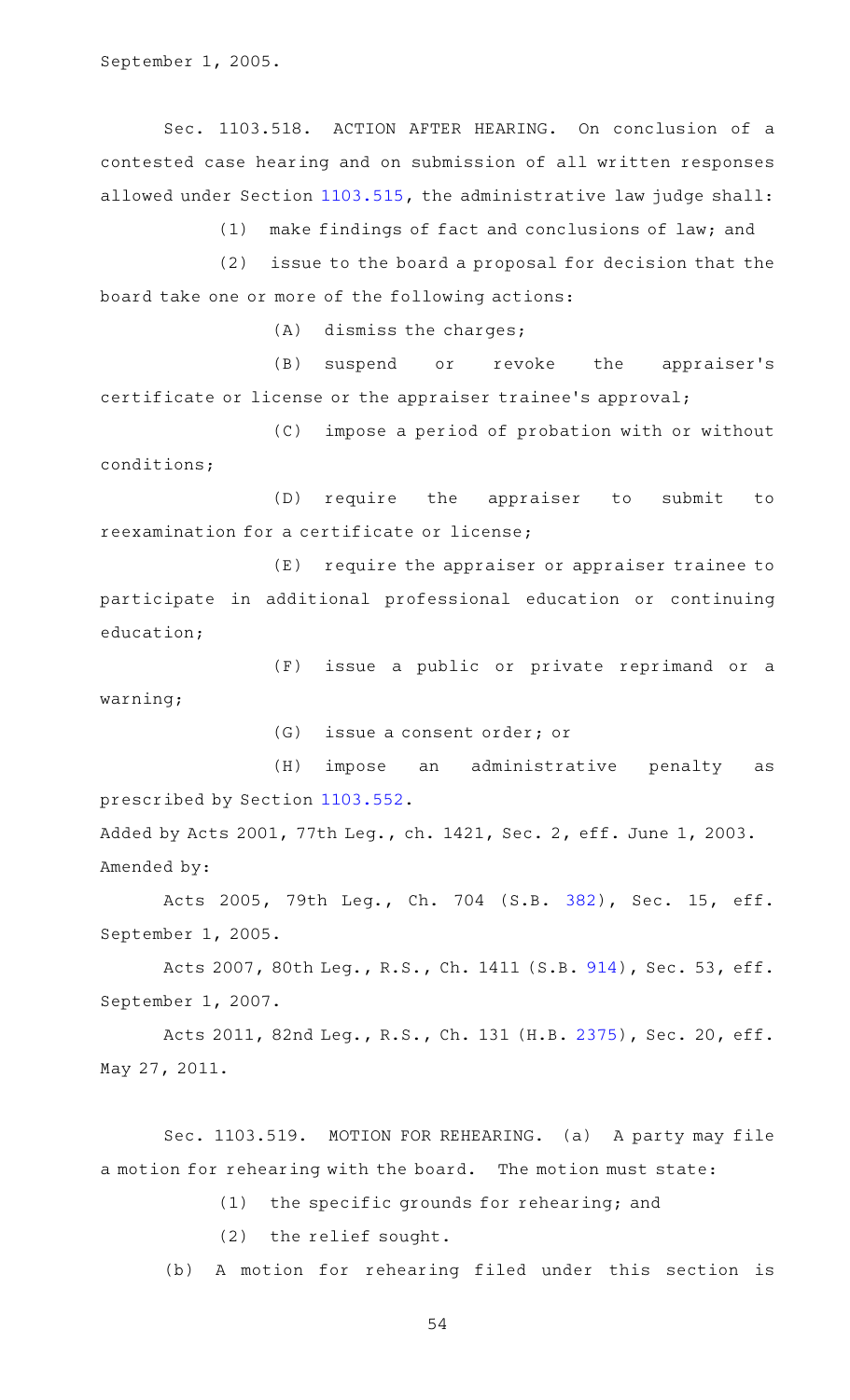September 1, 2005.

Sec. 1103.518. ACTION AFTER HEARING. On conclusion of a contested case hearing and on submission of all written responses allowed under Section [1103.515,](http://www.statutes.legis.state.tx.us/GetStatute.aspx?Code=OC&Value=1103.515) the administrative law judge shall:

(1) make findings of fact and conclusions of law; and

 $(2)$  issue to the board a proposal for decision that the board take one or more of the following actions:

 $(A)$  dismiss the charges;

(B) suspend or revoke the appraiser's certificate or license or the appraiser trainee 's approval;

(C) impose a period of probation with or without conditions;

(D) require the appraiser to submit to reexamination for a certificate or license;

(E) require the appraiser or appraiser trainee to participate in additional professional education or continuing education;

(F) issue a public or private reprimand or a warning;

(G) issue a consent order; or

(H) impose an administrative penalty as prescribed by Section [1103.552.](http://www.statutes.legis.state.tx.us/GetStatute.aspx?Code=OC&Value=1103.552)

Added by Acts 2001, 77th Leg., ch. 1421, Sec. 2, eff. June 1, 2003. Amended by:

Acts 2005, 79th Leg., Ch. 704 (S.B. [382\)](http://www.legis.state.tx.us/tlodocs/79R/billtext/html/SB00382F.HTM), Sec. 15, eff. September 1, 2005.

Acts 2007, 80th Leg., R.S., Ch. 1411 (S.B. [914\)](http://www.legis.state.tx.us/tlodocs/80R/billtext/html/SB00914F.HTM), Sec. 53, eff. September 1, 2007.

Acts 2011, 82nd Leg., R.S., Ch. 131 (H.B. [2375\)](http://www.legis.state.tx.us/tlodocs/82R/billtext/html/HB02375F.HTM), Sec. 20, eff. May 27, 2011.

Sec. 1103.519. MOTION FOR REHEARING. (a) A party may file a motion for rehearing with the board. The motion must state:

 $(1)$  the specific grounds for rehearing; and

 $(2)$  the relief sought.

(b) A motion for rehearing filed under this section is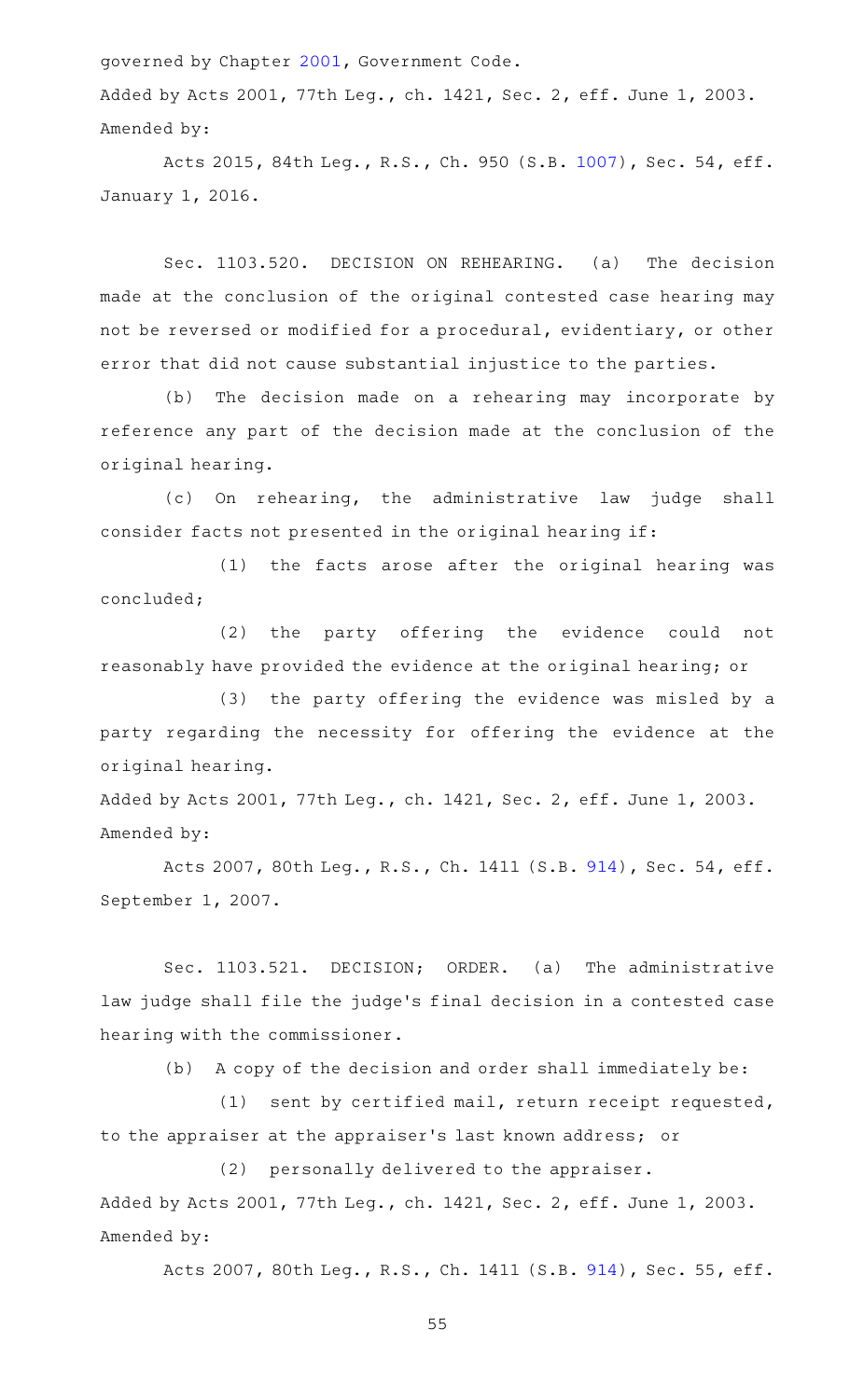governed by Chapter [2001,](http://www.statutes.legis.state.tx.us/GetStatute.aspx?Code=GV&Value=2001) Government Code.

Added by Acts 2001, 77th Leg., ch. 1421, Sec. 2, eff. June 1, 2003. Amended by:

Acts 2015, 84th Leg., R.S., Ch. 950 (S.B. [1007\)](http://www.legis.state.tx.us/tlodocs/84R/billtext/html/SB01007F.HTM), Sec. 54, eff. January 1, 2016.

Sec. 1103.520. DECISION ON REHEARING. (a) The decision made at the conclusion of the original contested case hearing may not be reversed or modified for a procedural, evidentiary, or other error that did not cause substantial injustice to the parties.

(b) The decision made on a rehearing may incorporate by reference any part of the decision made at the conclusion of the original hearing.

(c) On rehearing, the administrative law judge shall consider facts not presented in the original hearing if:

(1) the facts arose after the original hearing was concluded;

(2) the party offering the evidence could not reasonably have provided the evidence at the original hearing; or

(3) the party offering the evidence was misled by a party regarding the necessity for offering the evidence at the original hearing.

Added by Acts 2001, 77th Leg., ch. 1421, Sec. 2, eff. June 1, 2003. Amended by:

Acts 2007, 80th Leg., R.S., Ch. 1411 (S.B. [914\)](http://www.legis.state.tx.us/tlodocs/80R/billtext/html/SB00914F.HTM), Sec. 54, eff. September 1, 2007.

Sec. 1103.521. DECISION; ORDER. (a) The administrative law judge shall file the judge 's final decision in a contested case hearing with the commissioner.

 $(b)$  A copy of the decision and order shall immediately be:

(1) sent by certified mail, return receipt requested, to the appraiser at the appraiser 's last known address; or

(2) personally delivered to the appraiser. Added by Acts 2001, 77th Leg., ch. 1421, Sec. 2, eff. June 1, 2003. Amended by:

Acts 2007, 80th Leg., R.S., Ch. 1411 (S.B. [914\)](http://www.legis.state.tx.us/tlodocs/80R/billtext/html/SB00914F.HTM), Sec. 55, eff.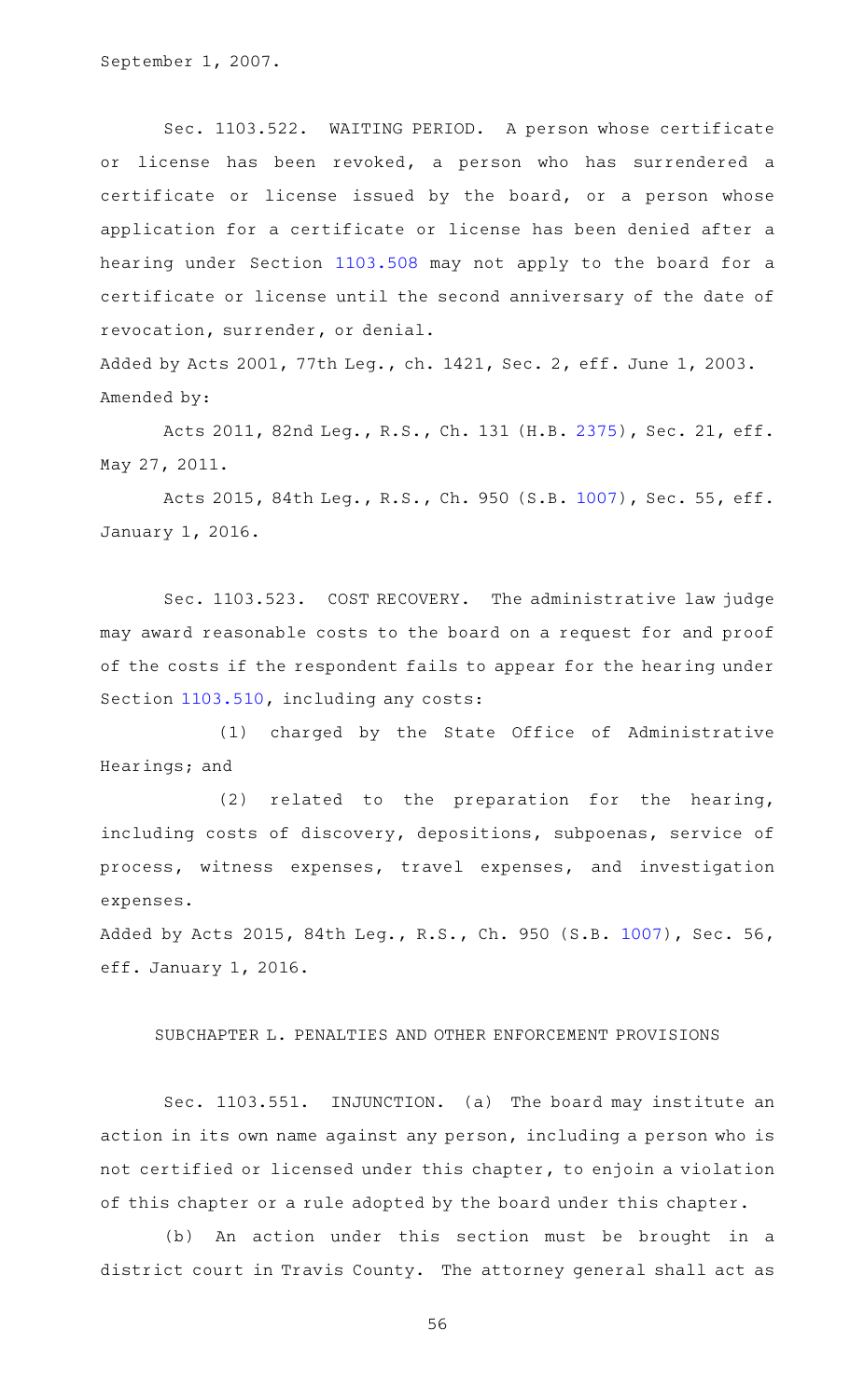September 1, 2007.

Sec. 1103.522. WAITING PERIOD. A person whose certificate or license has been revoked, a person who has surrendered a certificate or license issued by the board, or a person whose application for a certificate or license has been denied after a hearing under Section [1103.508](http://www.statutes.legis.state.tx.us/GetStatute.aspx?Code=OC&Value=1103.508) may not apply to the board for a certificate or license until the second anniversary of the date of revocation, surrender, or denial.

Added by Acts 2001, 77th Leg., ch. 1421, Sec. 2, eff. June 1, 2003. Amended by:

Acts 2011, 82nd Leg., R.S., Ch. 131 (H.B. [2375\)](http://www.legis.state.tx.us/tlodocs/82R/billtext/html/HB02375F.HTM), Sec. 21, eff. May 27, 2011.

Acts 2015, 84th Leg., R.S., Ch. 950 (S.B. [1007\)](http://www.legis.state.tx.us/tlodocs/84R/billtext/html/SB01007F.HTM), Sec. 55, eff. January 1, 2016.

Sec. 1103.523. COST RECOVERY. The administrative law judge may award reasonable costs to the board on a request for and proof of the costs if the respondent fails to appear for the hearing under Section [1103.510](http://www.statutes.legis.state.tx.us/GetStatute.aspx?Code=OC&Value=1103.510), including any costs:

(1) charged by the State Office of Administrative Hearings; and

(2) related to the preparation for the hearing, including costs of discovery, depositions, subpoenas, service of process, witness expenses, travel expenses, and investigation expenses.

Added by Acts 2015, 84th Leg., R.S., Ch. 950 (S.B. [1007\)](http://www.legis.state.tx.us/tlodocs/84R/billtext/html/SB01007F.HTM), Sec. 56, eff. January 1, 2016.

#### SUBCHAPTER L. PENALTIES AND OTHER ENFORCEMENT PROVISIONS

Sec. 1103.551. INJUNCTION. (a) The board may institute an action in its own name against any person, including a person who is not certified or licensed under this chapter, to enjoin a violation of this chapter or a rule adopted by the board under this chapter.

(b) An action under this section must be brought in a district court in Travis County. The attorney general shall act as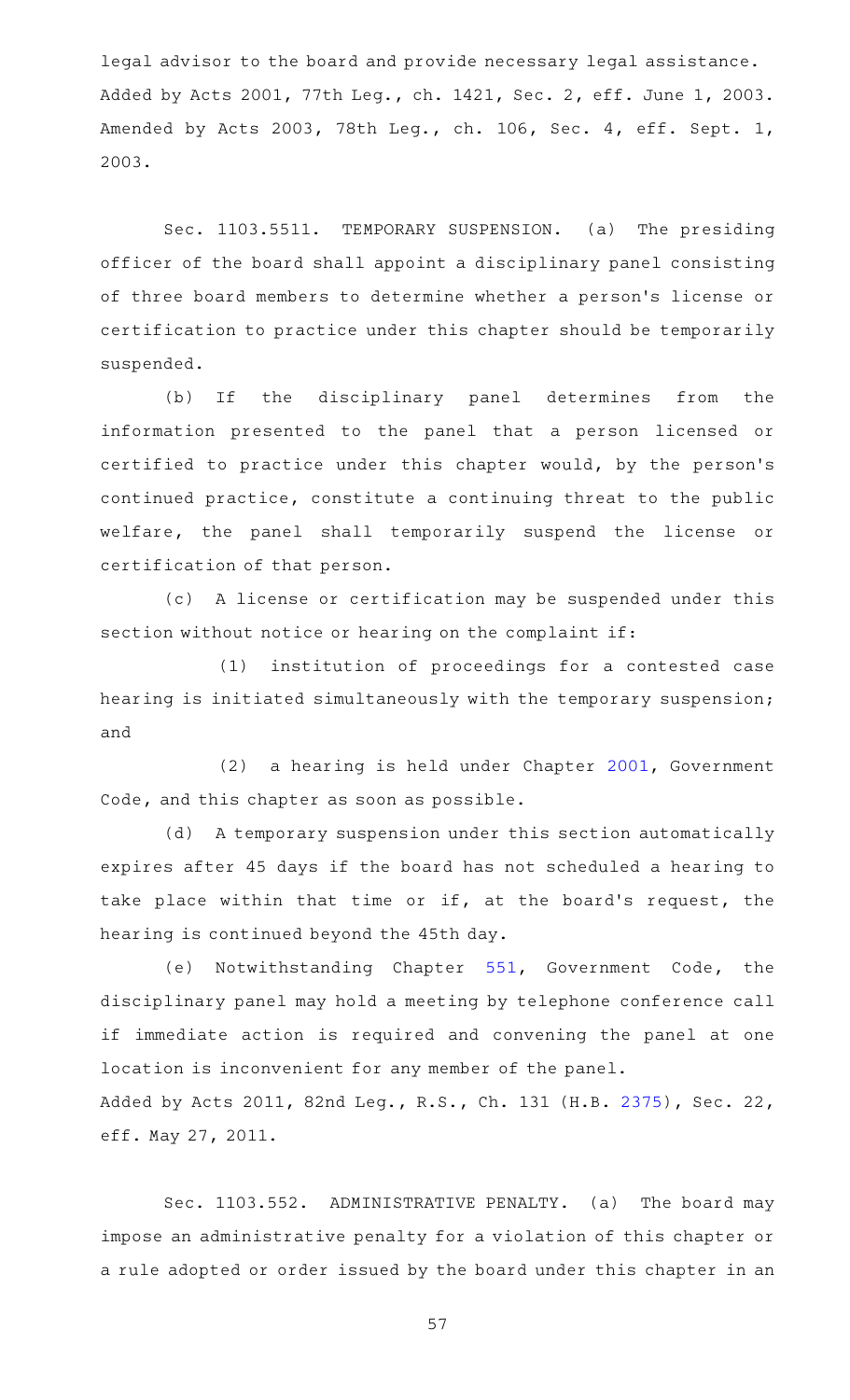legal advisor to the board and provide necessary legal assistance. Added by Acts 2001, 77th Leg., ch. 1421, Sec. 2, eff. June 1, 2003. Amended by Acts 2003, 78th Leg., ch. 106, Sec. 4, eff. Sept. 1, 2003.

Sec. 1103.5511. TEMPORARY SUSPENSION. (a) The presiding officer of the board shall appoint a disciplinary panel consisting of three board members to determine whether a person's license or certification to practice under this chapter should be temporarily suspended.

(b) If the disciplinary panel determines from the information presented to the panel that a person licensed or certified to practice under this chapter would, by the person 's continued practice, constitute a continuing threat to the public welfare, the panel shall temporarily suspend the license or certification of that person.

(c) A license or certification may be suspended under this section without notice or hearing on the complaint if:

(1) institution of proceedings for a contested case hearing is initiated simultaneously with the temporary suspension; and

(2) a hearing is held under Chapter [2001](http://www.statutes.legis.state.tx.us/GetStatute.aspx?Code=GV&Value=2001), Government Code, and this chapter as soon as possible.

(d) A temporary suspension under this section automatically expires after 45 days if the board has not scheduled a hearing to take place within that time or if, at the board's request, the hearing is continued beyond the 45th day.

(e) Notwithstanding Chapter [551](http://www.statutes.legis.state.tx.us/GetStatute.aspx?Code=GV&Value=551), Government Code, the disciplinary panel may hold a meeting by telephone conference call if immediate action is required and convening the panel at one location is inconvenient for any member of the panel. Added by Acts 2011, 82nd Leg., R.S., Ch. 131 (H.B. [2375\)](http://www.legis.state.tx.us/tlodocs/82R/billtext/html/HB02375F.HTM), Sec. 22, eff. May 27, 2011.

Sec. 1103.552. ADMINISTRATIVE PENALTY. (a) The board may impose an administrative penalty for a violation of this chapter or a rule adopted or order issued by the board under this chapter in an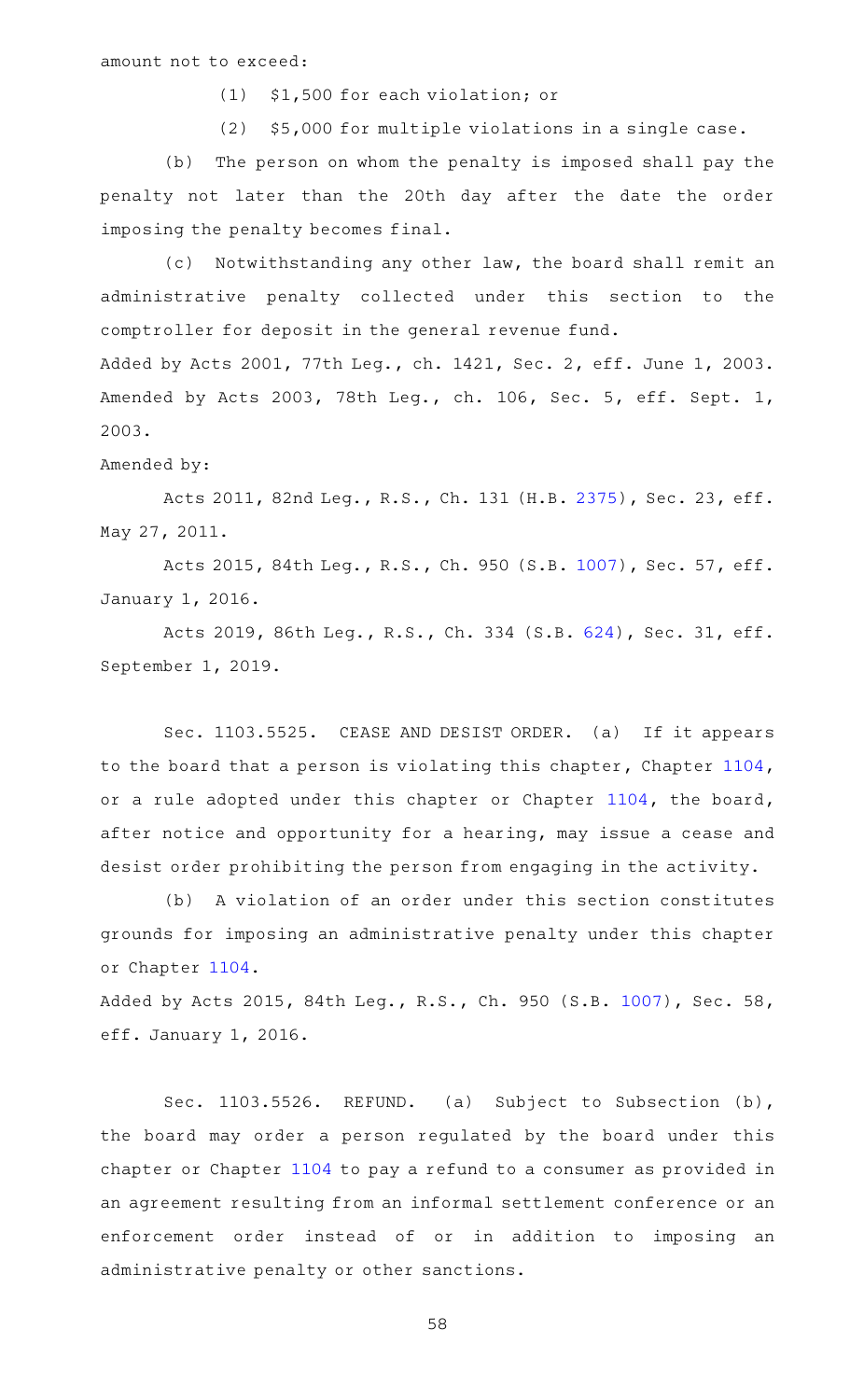(1) \$1,500 for each violation; or

(2) \$5,000 for multiple violations in a single case.

(b) The person on whom the penalty is imposed shall pay the penalty not later than the 20th day after the date the order imposing the penalty becomes final.

(c) Notwithstanding any other law, the board shall remit an administrative penalty collected under this section to the comptroller for deposit in the general revenue fund. Added by Acts 2001, 77th Leg., ch. 1421, Sec. 2, eff. June 1, 2003. Amended by Acts 2003, 78th Leg., ch. 106, Sec. 5, eff. Sept. 1,

## Amended by:

2003.

Acts 2011, 82nd Leg., R.S., Ch. 131 (H.B. [2375\)](http://www.legis.state.tx.us/tlodocs/82R/billtext/html/HB02375F.HTM), Sec. 23, eff. May 27, 2011.

Acts 2015, 84th Leg., R.S., Ch. 950 (S.B. [1007\)](http://www.legis.state.tx.us/tlodocs/84R/billtext/html/SB01007F.HTM), Sec. 57, eff. January 1, 2016.

Acts 2019, 86th Leg., R.S., Ch. 334 (S.B. [624\)](http://www.legis.state.tx.us/tlodocs/86R/billtext/html/SB00624F.HTM), Sec. 31, eff. September 1, 2019.

Sec. 1103.5525. CEASE AND DESIST ORDER. (a) If it appears to the board that a person is violating this chapter, Chapter [1104](http://www.statutes.legis.state.tx.us/GetStatute.aspx?Code=OC&Value=1104), or a rule adopted under this chapter or Chapter [1104,](http://www.statutes.legis.state.tx.us/GetStatute.aspx?Code=OC&Value=1104) the board, after notice and opportunity for a hearing, may issue a cease and desist order prohibiting the person from engaging in the activity.

(b) A violation of an order under this section constitutes grounds for imposing an administrative penalty under this chapter or Chapter [1104](http://www.statutes.legis.state.tx.us/GetStatute.aspx?Code=OC&Value=1104).

Added by Acts 2015, 84th Leg., R.S., Ch. 950 (S.B. [1007\)](http://www.legis.state.tx.us/tlodocs/84R/billtext/html/SB01007F.HTM), Sec. 58, eff. January 1, 2016.

Sec. 1103.5526. REFUND. (a) Subject to Subsection (b), the board may order a person regulated by the board under this chapter or Chapter [1104](http://www.statutes.legis.state.tx.us/GetStatute.aspx?Code=OC&Value=1104) to pay a refund to a consumer as provided in an agreement resulting from an informal settlement conference or an enforcement order instead of or in addition to imposing an administrative penalty or other sanctions.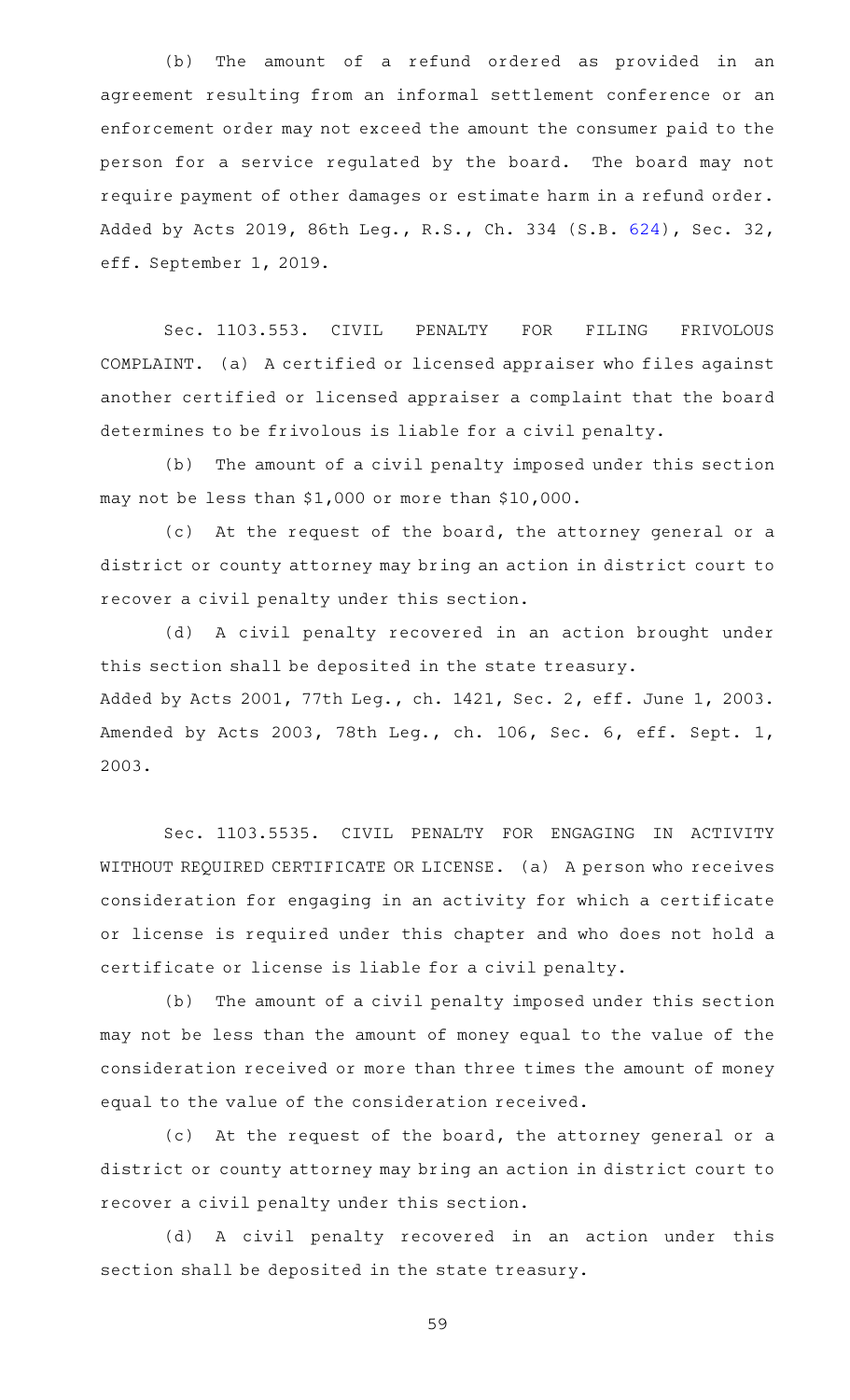(b) The amount of a refund ordered as provided in an agreement resulting from an informal settlement conference or an enforcement order may not exceed the amount the consumer paid to the person for a service regulated by the board. The board may not require payment of other damages or estimate harm in a refund order. Added by Acts 2019, 86th Leg., R.S., Ch. 334 (S.B. [624\)](http://www.legis.state.tx.us/tlodocs/86R/billtext/html/SB00624F.HTM), Sec. 32, eff. September 1, 2019.

Sec. 1103.553. CIVIL PENALTY FOR FILING FRIVOLOUS COMPLAINT. (a) A certified or licensed appraiser who files against another certified or licensed appraiser a complaint that the board determines to be frivolous is liable for a civil penalty.

(b) The amount of a civil penalty imposed under this section may not be less than \$1,000 or more than \$10,000.

(c) At the request of the board, the attorney general or a district or county attorney may bring an action in district court to recover a civil penalty under this section.

(d) A civil penalty recovered in an action brought under this section shall be deposited in the state treasury. Added by Acts 2001, 77th Leg., ch. 1421, Sec. 2, eff. June 1, 2003. Amended by Acts 2003, 78th Leg., ch. 106, Sec. 6, eff. Sept. 1, 2003.

Sec. 1103.5535. CIVIL PENALTY FOR ENGAGING IN ACTIVITY WITHOUT REQUIRED CERTIFICATE OR LICENSE. (a) A person who receives consideration for engaging in an activity for which a certificate or license is required under this chapter and who does not hold a certificate or license is liable for a civil penalty.

(b) The amount of a civil penalty imposed under this section may not be less than the amount of money equal to the value of the consideration received or more than three times the amount of money equal to the value of the consideration received.

(c) At the request of the board, the attorney general or a district or county attorney may bring an action in district court to recover a civil penalty under this section.

(d) A civil penalty recovered in an action under this section shall be deposited in the state treasury.